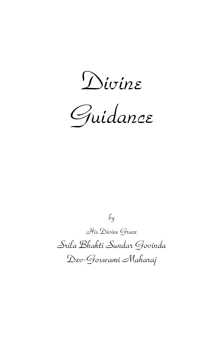*Divine* 



*by His Divine Grace Srila Bhakti Sundar Govinda Dev-Goswami Maharaj*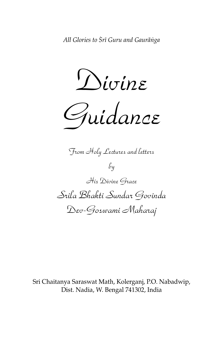*Divine* 

*Guidance*

*From Holy Lectures and letters by His Divine Grace Srila Bhakti Sundar Govinda Dev-Goswami Maharaj*

Sri Chaitanya Saraswat Math, Kolerganj, P.O. Nabadwip, Dist. Nadia, W. Bengal 741302, India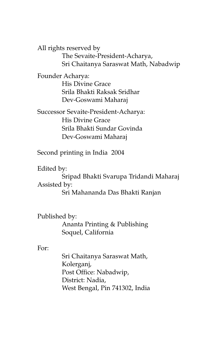All rights reserved by

The Sevaite-President-Acharya, Sri Chaitanya Saraswat Math, Nabadwip

Founder Acharya: His Divine Grace Srila Bhakti Raksak Sridhar Dev-Goswami Maharaj

Successor Sevaite-President-Acharya: His Divine Grace Srila Bhakti Sundar Govinda Dev-Goswami Maharaj

Second printing in India 2004

Edited by:

Sripad Bhakti Svarupa Tridandi Maharaj Assisted by:

Sri Mahananda Das Bhakti Ranjan

Published by:

Ananta Printing & Publishing Soquel, California

For:

Sri Chaitanya Saraswat Math, Kolerganj, Post Office: Nabadwip, District: Nadia, West Bengal, Pin 741302, India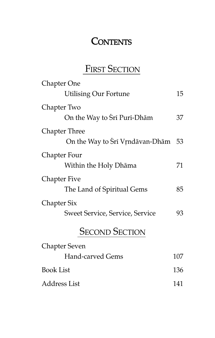# **CONTENTS**

# FIRST SECTION

| Chapter One                            |     |
|----------------------------------------|-----|
| <b>Utilising Our Fortune</b>           | 15  |
| Chapter Two                            |     |
| On the Way to Sri Puri-Dhām            | 37  |
| <b>Chapter Three</b>                   |     |
| On the Way to Sri Vrndāvan-Dhām 53     |     |
| Chapter Four                           |     |
| Within the Holy Dhāma                  | 71  |
| <b>Chapter Five</b>                    |     |
| The Land of Spiritual Gems             | 85  |
| <b>Chapter Six</b>                     |     |
| <b>Sweet Service, Service, Service</b> | 93  |
| <b>SECOND SECTION</b>                  |     |
| <b>Chapter Seven</b>                   |     |
| <b>Hand-carved Gems</b>                | 107 |
| <b>Book List</b>                       | 136 |
|                                        |     |

Address List 141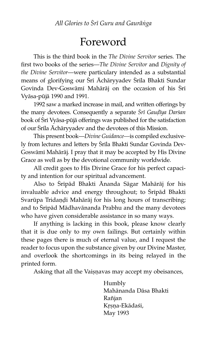# Foreword

This is the third book in the The Divine Servitor series. The first two books of the series—The Divine Servitor and Dignity of the Divine Servitor—were particulary intended as a substantial means of glorifying our Srī Āchāryyadev Srīla Bhakti Sundar Govinda Dev-Goswāmī Mahārāj on the occasion of his Śrī Vyāsa-pūjā 1990 and 1991.

1992 saw a marked increase in mail, and written offerings by the many devotees. Consequently a separate Srī Gaudīya Darśan book of Srī Vyāsa-pūjā offerings was published for the satisfaction of our Srila Ächāryyadev and the devotees of this Mission.

This present book—Divine Guidance—is compiled exclusively from lectures and letters by Śrīla Bhakti Sundar Govinda Dev-Goswāmī Mahārāj. I pray that it may be accepted by His Divine Grace as well as by the devotional community worldwide.

All credit goes to His Divine Grace for his perfect capacity and intention for our spiritual advancement.

Also to Sripåd Bhakti Änanda Sågar Mahārāj for his invaluable advice and energy throughout; to Sripād Bhakti Svarūpa Tridaņdi Mahārāj for his long hours of transcribing; and to Śripād Mādhavānanda Prabhu and the many devotees who have given considerable assistance in so many ways.

If anything is lacking in this book, please know clearly that it is due only to my own failings. But certainly within these pages there is much of eternal value, and I request the reader to focus upon the substance given by our Divine Master, and overlook the shortcomings in its being relayed in the printed form.

Asking that all the Vaisnavas may accept my obeisances,

Humbly Mahånanda Dåsa Bhakti Rañjan Krsna-Ekādaśi, May 1993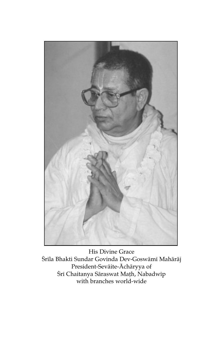

His Divine Grace Śrila Bhakti Sundar Govinda Dev-Goswāmi Mahārāj President-Sevāite-Āchāryya of Śrī Chaitanya Sāraswat Maṭh, Nabadwīp with branches world-wide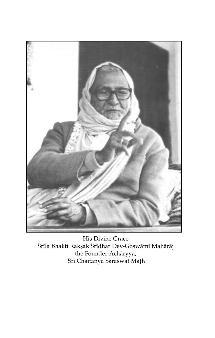

His Divine Grace Śrila Bhakti Rakșak Śridhar Dev-Goswāmi Mahārāj the Founder-Achāryya,<br>Śrī Chaitanya Sāraswat Math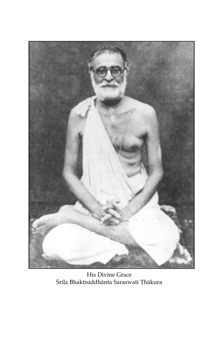

His Divine Grace Śrīla Bhaktisiddhānta Saraswatī Ţhākura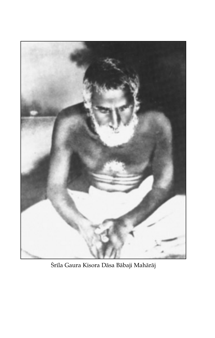

Śrīla Gaura Kisora Dāsa Bābaji Mahārāj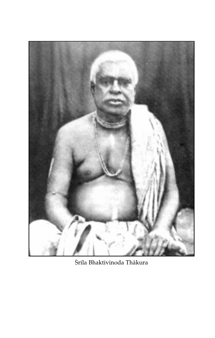

Śrīla Bhaktivinoda Thākura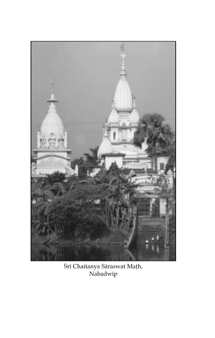

Śrī Chaitanya Sāraswat Maṭh,<br>Nabadwīp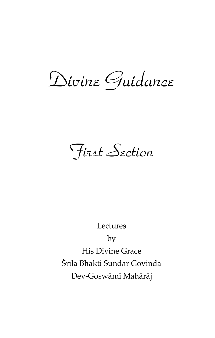Divine Guidance

First Section

Lectures

by

**His Divine Grace** Śrīla Bhakti Sundar Govinda Dev-Goswāmī Mahārāj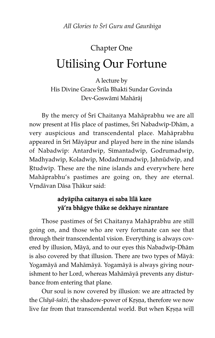# Chapter One Utilising Our Fortune

A lecture by His Divine Grace Śrīla Bhakti Sundar Govinda Dev-Goswåm^ Mahåråj

By the mercy of Sri Chaitanya Mahāprabhu we are all now present at His place of pastimes, Sri Nabadwip-Dhām, a very auspicious and transcendental place. Mahåprabhu appeared in Srī Māyāpur and played here in the nine islands of Nabadwip: Antardwip, Simantadwip, Godrumadwip, Madhyadwip, Koladwip, Modadrumadwip, Jahnūdwip, and Rtudwip. These are the nine islands and everywhere here Mahåprabhu's pastimes are going on, they are eternal. Vrndāvan Dāsa Thākur said:

## adyåpiha caitanya ei saba l^lå kare yå'ra bhågye thåke se dekhaye nirantare

Those pastimes of Srī Chaitanya Mahāprabhu are still going on, and those who are very fortunate can see that through their transcendental vision. Everything is always covered by illusion, Måyå, and to our eyes this Nabadw^p-Dhåm is also covered by that illusion. There are two types of Måyå: Yogamåyå and Mahåmåyå. Yogamåyå is always giving nourishment to her Lord, whereas Mahåmåyå prevents any disturbance from entering that plane.

Our soul is now covered by illusion: we are attracted by the Chāyā-śakti, the shadow-power of Krṣṇa, therefore we now live far from that transcendental world. But when Krsna will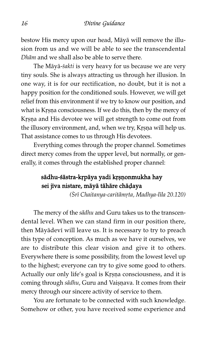bestow His mercy upon our head, Måyå will remove the illusion from us and we will be able to see the transcendental Dhåm and we shall also be able to serve there.

The Māyā-śakti is very heavy for us because we are very tiny souls. She is always attracting us through her illusion. In one way, it is for our rectification, no doubt, but it is not a happy position for the conditioned souls. However, we will get relief from this environment if we try to know our position, and what is Krsna consciousness. If we do this, then by the mercy of Krsna and His devotee we will get strength to come out from the illusory environment, and, when we try, Krsna will help us. That assistance comes to us through His devotees.

Everything comes through the proper channel. Sometimes direct mercy comes from the upper level, but normally, or generally, it comes through the established proper channel:

### sādhu-śāstra-kṛpāya yadi kṛṣṇonmukha hay sei jiva nistare, mäyä tähäre chäḍaya

(Srī Chaitanya-caritāmṛta, Madhya-līla 20.120)

The mercy of the sādhu and Guru takes us to the transcendental level. When we can stand firm in our position there, then Māyādevī will leave us. It is necessary to try to preach this type of conception. As much as we have it ourselves, we are to distribute this clear vision and give it to others. Everywhere there is some possibility, from the lowest level up to the highest; everyone can try to give some good to others. Actually our only life's goal is Krsna consciousness, and it is coming through sādhu, Guru and Vaișņava. It comes from their mercy through our sincere activity of service to them.

You are fortunate to be connected with such knowledge. Somehow or other, you have received some experience and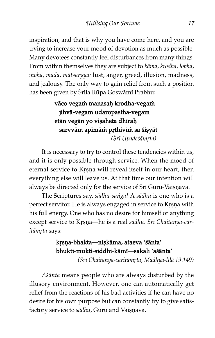inspiration, and that is why you have come here, and you are trying to increase your mood of devotion as much as possible. Many devotees constantly feel disturbances from many things. From within themselves they are subject to kåma, krodha, lobha, moha, mada, måtsaryya: lust, anger, greed, illusion, madness, and jealousy. The only way to gain relief from such a position has been given by Śrila Rūpa Goswāmī Prabhu:

# vāco vegam manasah krodha-vegam jihvå-vegam udaropastha-vegam etān vegān yo vișaheta dhīraḥ sarvvām apīmām prthivīm sa śișyāt

(Šrī Upadeśāmrta)

It is necessary to try to control these tendencies within us, and it is only possible through service. When the mood of eternal service to Krsna will reveal itself in our heart, then everything else will leave us. At that time our intention will always be directed only for the service of Srī Guru-Vaișņava.

The Scriptures say, sādhu-saṅga! A sādhu is one who is a perfect servitor. He is always engaged in service to Krsna with his full energy. One who has no desire for himself or anything except service to Krsna—he is a real sādhu. Srī Chaitanya-caritāmrta says:

## krsna-bhakta—niskāma, ataeva 'śānta' bhukti-mukti-siddhi-kåm^—sakali 'aßånta'

(Srī Chaitanya-caritāmrta, Madhya-līlā 19.149)

Aßånta means people who are always disturbed by the illusory environment. However, one can automatically get relief from the reactions of his bad activities if he can have no desire for his own purpose but can constantly try to give satisfactory service to sādhu, Guru and Vaisnava.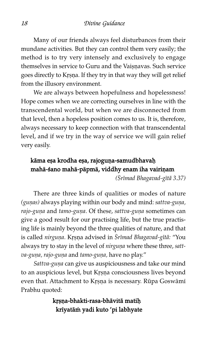Many of our friends always feel disturbances from their mundane activities. But they can control them very easily; the method is to try very intensely and exclusively to engage themselves in service to Guru and the Vaisnavas. Such service goes directly to Krsna. If they try in that way they will get relief from the illusory environment.

We are always between hopefulness and hopelessness! Hope comes when we are correcting ourselves in line with the transcendental world, but when we are disconnected from that level, then a hopeless position comes to us. It is, therefore, always necessary to keep connection with that transcendental level, and if we try in the way of service we will gain relief very easily.

# kāma eṣa krodha eṣa, rajoguṇa-samudbhavaḥ mahā-śano mahā-pāpmā, viddhy enam iha vairiņam

(Śrīmad Bhagavad-gītā 3.37)

There are three kinds of qualities or modes of nature (gunas) always playing within our body and mind: sattva-guna, rajo-guna and tamo-guna. Of these, sattva-guna sometimes can give a good result for our practising life, but the true practising life is mainly beyond the three qualities of nature, and that is called nirguna. Krsna advised in Śrīmad Bhagavad-gītā: "You always try to stay in the level of nirguna where these three, sattva-guna, rajo-guna and tamo-guna, have no play."

Sattva-guna can give us auspiciousness and take our mind to an auspicious level, but Krsna consciousness lives beyond even that. Attachment to Krsna is necessary. Rūpa Goswāmī Prabhu quoted:

### krsna-bhakti-rasa-bhāvitā matiḥ krīyatām yadi kuto 'pi labhyate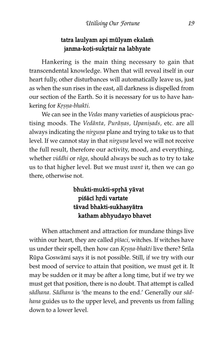#### tatra laulyam api mūlyam ekalam janma-koți-sukrtair na labhyate

Hankering is the main thing necessary to gain that transcendental knowledge. When that will reveal itself in our heart fully, other disturbances will automatically leave us, just as when the sun rises in the east, all darkness is dispelled from our section of the Earth. So it is necessary for us to have hankering for Krsna-bhakti.

We can see in the Vedas many varieties of auspicious practising moods. The Vedānta, Purāņas, Upanisads, etc. are all always indicating the nirguna plane and trying to take us to that level. If we cannot stay in that nirguna level we will not receive the full result, therefore our activity, mood, and everything, whether *viddhi* or rāga, should always be such as to try to take us to that higher level. But we must want it, then we can go there, otherwise not.

## bhukti-mukti-sprhā yāvat piśācī hŗdi vartate tåvad bhakti-sukhasyåtra katham abhyudayo bhavet

When attachment and attraction for mundane things live within our heart, they are called pisaci, witches. If witches have us under their spell, then how can Krsna-bhakti live there? Srila Rūpa Goswāmī says it is not possible. Still, if we try with our best mood of service to attain that position, we must get it. It may be sudden or it may be after a long time, but if we try we must get that position, there is no doubt. That attempt is called sådhana. Sådhana is 'the means to the end.' Generally our sådhana guides us to the upper level, and prevents us from falling down to a lower level.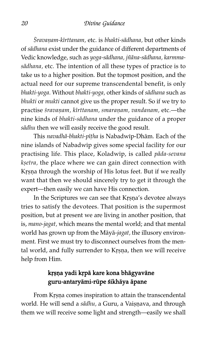Śravaṇam-kīrttanam, etc. is bhakti-sādhana, but other kinds of sådhana exist under the guidance of different departments of Vedic knowledge, such as yoga-sådhana, jñåna-sådhana, karmmasådhana, etc. The intention of all these types of practice is to take us to a higher position. But the topmost position, and the actual need for our supreme transcendental benefit, is only bhakti-yoga. Without bhakti-yoga, other kinds of sådhana such as bhukti or mukti cannot give us the proper result. So if we try to practise śravaņam, kīrttanam, smaraņam, vandanam, etc.—the nine kinds of bhakti-sådhana under the guidance of a proper sādhu then we will easily receive the good result.

This navadhā-bhakti-pīṭha is Nabadwīp-Dhām. Each of the nine islands of Nabadw^p gives some special facility for our practising life. This place, Koladwip, is called pāda-sevana ksetra, the place where we can gain direct connection with Krsna through the worship of His lotus feet. But if we really want that then we should sincerely try to get it through the expert—then easily we can have His connection.

In the Scriptures we can see that Krsna's devotee always tries to satisfy the devotees. That position is the supermost position, but at present we are living in another position, that is, mano-jagat, which means the mental world; and that mental world has grown up from the Måyå-jagat, the illusory environment. First we must try to disconnect ourselves from the mental world, and fully surrender to Krsna, then we will receive help from Him.

### krsna yadi krpā kare kona bhāgyavāne guru-antaryāmi-rūpe śikhāya āpane

From Krsna comes inspiration to attain the transcendental world. He will send a sādhu, a Guru, a Vaiṣṇava, and through them we will receive some light and strength—easily we shall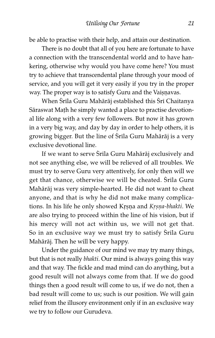be able to practise with their help, and attain our destination.

There is no doubt that all of you here are fortunate to have a connection with the transcendental world and to have hankering, otherwise why would you have come here? You must try to achieve that transcendental plane through your mood of service, and you will get it very easily if you try in the proper way. The proper way is to satisfy Guru and the Vaișnavas.

When Śrīla Guru Mahārāj established this Śrī Chaitanya Sāraswat Math he simply wanted a place to practise devotional life along with a very few followers. But now it has grown in a very big way, and day by day in order to help others, it is growing bigger. But the line of Śrila Guru Mahārāj is a very exclusive devotional line.

If we want to serve Srila Guru Mahārāj exclusively and not see anything else, we will be relieved of all troubles. We must try to serve Guru very attentively, for only then will we get that chance, otherwise we will be cheated. Srila Guru Mahåråj was very simple-hearted. He did not want to cheat anyone, and that is why he did not make many complications. In his life he only showed Krsna and Krsna-bhakti. We are also trying to proceed within the line of his vision, but if his mercy will not act within us, we will not get that. So in an exclusive way we must try to satisfy Srila Guru Mahåråj. Then he will be very happy.

Under the guidance of our mind we may try many things, but that is not really bhakti. Our mind is always going this way and that way. The fickle and mad mind can do anything, but a good result will not always come from that. If we do good things then a good result will come to us, if we do not, then a bad result will come to us; such is our position. We will gain relief from the illusory environment only if in an exclusive way we try to follow our Gurudeva.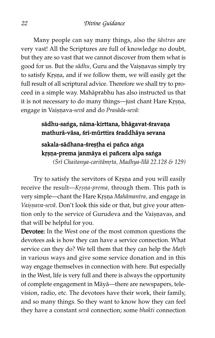Many people can say many things, also the *sāstras* are very vast! All the Scriptures are full of knowledge no doubt, but they are so vast that we cannot discover from them what is good for us. But the sādhu, Guru and the Vaiṣṇavas simply try to satisfy Krsna, and if we follow them, we will easily get the full result of all scriptural advice. Therefore we shall try to proceed in a simple way. Mahåprabhu has also instructed us that it is not necessary to do many things—just chant Hare Krṣṇa, engage in Vaisnava-sevā and do Prasāda-sevā:

#### sādhu-saṅga, nāma-kīrttana, bhāgavat-śravaṇa mathurā-vāsa, śrī-mūrttira śraddhāya sevana

# sakala-sādhana-śreșțha ei pañca aṅga krșņa-prema janmāya ei pañcera alpa saṅga

( $Sr$ ī Chaitanya-caritāmrta, Madhya-līlā 22.128 & 129)

Try to satisfy the servitors of Krsna and you will easily receive the result—Krsna-prema, through them. This path is very simple—chant the Hare Krsna Mahāmantra, and engage in Vaisnava-sevā. Don't look this side or that, but give your attention only to the service of Gurudeva and the Vaișnavas, and that will be helpful for you.

Devotee: In the West one of the most common questions the devotees ask is how they can have a service connection. What service can they do? We tell them that they can help the Math in various ways and give some service donation and in this way engage themselves in connection with here. But especially in the West, life is very full and there is always the opportunity of complete engagement in Måyå—there are newspapers, television, radio, etc. The devotees have their work, their family, and so many things. So they want to know how they can feel they have a constant sevå connection; some bhakti connection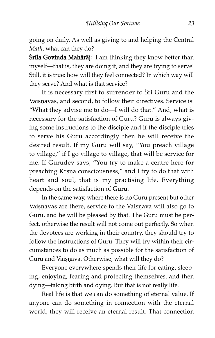going on daily. As well as giving to and helping the Central Math, what can they do?

**Śrila Govinda Mahārāj:** I am thinking they know better than myself—that is, they are doing it, and they are trying to serve! Still, it is true: how will they feel connected? In which way will they serve? And what is that service?

It is necessary first to surrender to Sri Guru and the Vaisnavas, and second, to follow their directives. Service is: "What they advise me to do—I will do that." And, what is necessary for the satisfaction of Guru? Guru is always giving some instructions to the disciple and if the disciple tries to serve his Guru accordingly then he will receive the desired result. If my Guru will say, "You preach village to village," if I go village to village, that will be service for me. If Gurudev says, "You try to make a centre here for preaching Krṣṇa consciousness," and I try to do that with heart and soul, that is my practising life. Everything depends on the satisfaction of Guru.

In the same way, where there is no Guru present but other Vaișņavas are there, service to the Vaișņava will also go to Guru, and he will be pleased by that. The Guru must be perfect, otherwise the result will not come out perfectly. So when the devotees are working in their country, they should try to follow the instructions of Guru. They will try within their circumstances to do as much as possible for the satisfaction of Guru and Vaisnava. Otherwise, what will they do?

Everyone everywhere spends their life for eating, sleeping, enjoying, fearing and protecting themselves, and then dying—taking birth and dying. But that is not really life.

Real life is that we can do something of eternal value. If anyone can do something in connection with the eternal world, they will receive an eternal result. That connection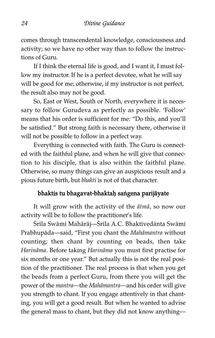comes through transcendental knowledge, consciousness and activity; so we have no other way than to follow the instructions of Guru.

If I think the eternal life is good, and I want it, I must follow my instructor. If he is a perfect devotee, what he will say will be good for me; otherwise, if my instructor is not perfect, the result also may not be good.

So, East or West, South or North, everywhere it is necessary to follow Gurudeva as perfectly as possible. 'Follow' means that his order is sufficient for me: "Do this, and you'll be satisfied." But strong faith is necessary there, otherwise it will not be possible to follow in a perfect way.

Everything is connected with faith. The Guru is connected with the faithful plane, and when he will give that connection to his disciple, that is also within the faithful plane. Otherwise, so many things can give an auspicious result and a pious future birth, but bhakti is not of that character.

#### bhaktis tu bhagavat-bhaktaḥ saṅgena parijāyate

It will grow with the activity of the åtmå, so now our activity will be to follow the practitioner's life.

Śrila Swāmi Mahārāj—Śrila A.C. Bhaktivedānta Swāmi Prabhupåda—said, "First you chant the Mahåmantra without counting; then chant by counting on beads, then take Harinåma. Before taking Harinåma you must first practise for six months or one year." But actually this is not the real position of the practitioner. The real process is that when you get the beads from a perfect Guru, from there you will get the power of the mantra—the Mahåmantra—and his order will give you strength to chant. If you engage attentively in that chanting, you will get a good result. But when he wanted to advise the general mass to chant, but they did not know anything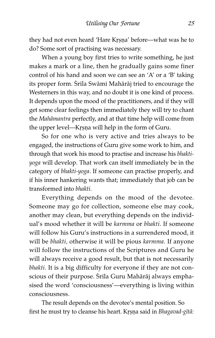they had not even heard 'Hare Krsna' before—what was he to do? Some sort of practising was necessary.

When a young boy first tries to write something, he just makes a mark or a line, then he gradually gains some finer control of his hand and soon we can see an 'A' or a 'B' taking its proper form. Srila Swāmi Mahārāj tried to encourage the Westerners in this way, and no doubt it is one kind of process. It depends upon the mood of the practitioners, and if they will get some clear feelings then immediately they will try to chant the Mahåmantra perfectly, and at that time help will come from the upper level—Krṣṇa will help in the form of Guru.

So for one who is very active and tries always to be engaged, the instructions of Guru give some work to him, and through that work his mood to practise and increase his bhaktiyoga will develop. That work can itself immediately be in the category of bhakti-yoga. If someone can practise properly, and if his inner hankering wants that; immediately that job can be transformed into bhakti.

Everything depends on the mood of the devotee. Someone may go for collection, someone else may cook, another may clean, but everything depends on the individual's mood whether it will be karmma or bhakti. If someone will follow his Guru's instructions in a surrendered mood, it will be bhakti, otherwise it will be pious karmma. If anyone will follow the instructions of the Scriptures and Guru he will always receive a good result, but that is not necessarily bhakti. It is a big difficulty for everyone if they are not conscious of their purpose. Srila Guru Mahārāj always emphasised the word 'consciousness'—everything is living within consciousness.

The result depends on the devotee's mental position. So first he must try to cleanse his heart. Krsna said in Bhagavad-gītā: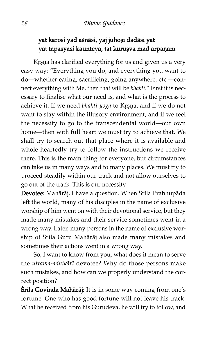# yat karoși yad aśnāsi, yaj juhoși dadāsi yat yat tapasyasi kaunteya, tat kuruşva mad arpaṇam

Krsna has clarified everything for us and given us a very easy way: "Everything you do, and everything you want to do—whether eating, sacrificing, going anywhere, etc.—connect everything with Me, then that will be bhakti." First it is necessary to finalise what our need is, and what is the process to achieve it. If we need bhakti-yoga to Krsna, and if we do not want to stay within the illusory environment, and if we feel the necessity to go to the transcendental world—our own home—then with full heart we must try to achieve that. We shall try to search out that place where it is available and whole-heartedly try to follow the instructions we receive there. This is the main thing for everyone, but circumstances can take us in many ways and to many places. We must try to proceed steadily within our track and not allow ourselves to go out of the track. This is our necessity.

Devotee: Mahārāj, I have a question. When Śrila Prabhupāda left the world, many of his disciples in the name of exclusive worship of him went on with their devotional service, but they made many mistakes and their service sometimes went in a wrong way. Later, many persons in the name of exclusive worship of Śrīla Guru Mahārāj also made many mistakes and sometimes their actions went in a wrong way.

So, I want to know from you, what does it mean to serve the uttama-adhikārī devotee? Why do those persons make such mistakes, and how can we properly understand the correct position?

Śrila Govinda Mahārāj: It is in some way coming from one's fortune. One who has good fortune will not leave his track. What he received from his Gurudeva, he will try to follow, and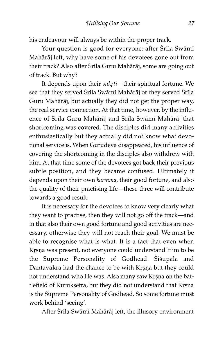his endeavour will always be within the proper track.

Your question is good for everyone: after Śrīla Swāmī Mahåråj left, why have some of his devotees gone out from their track? Also after Śrila Guru Mahārāj, some are going out of track. But why?

It depends upon their sukrti-their spiritual fortune. We see that they served Srila Swāmī Mahārāj or they served Srila Guru Mahåråj, but actually they did not get the proper way, the real service connection. At that time, however, by the influence of Śrila Guru Mahārāj and Śrila Swāmi Mahārāj that shortcoming was covered. The disciples did many activities enthusiastically but they actually did not know what devotional service is. When Gurudeva disappeared, his influence of covering the shortcoming in the disciples also withdrew with him. At that time some of the devotees got back their previous subtle position, and they became confused. Ultimately it depends upon their own karmma, their good fortune, and also the quality of their practising life—these three will contribute towards a good result.

It is necessary for the devotees to know very clearly what they want to practise, then they will not go off the track—and in that also their own good fortune and good activities are necessary, otherwise they will not reach their goal. We must be able to recognise what is what. It is a fact that even when Krsna was present, not everyone could understand Him to be the Supreme Personality of Godhead. Sisupāla and Dantavakra had the chance to be with Krsna but they could not understand who He was. Also many saw Krsna on the battlefield of Kurukṣetra, but they did not understand that Kṛṣṇa is the Supreme Personality of Godhead. So some fortune must work behind 'seeing'.

After Śrīla Swāmī Mahārāj left, the illusory environment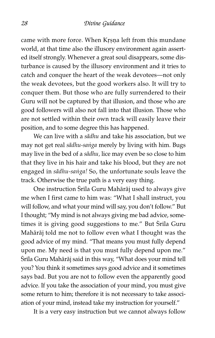came with more force. When Krsna left from this mundane world, at that time also the illusory environment again asserted itself strongly. Whenever a great soul disappears, some disturbance is caused by the illusory environment and it tries to catch and conquer the heart of the weak devotees—not only the weak devotees, but the good workers also. It will try to conquer them. But those who are fully surrendered to their Guru will not be captured by that illusion, and those who are good followers will also not fall into that illusion. Those who are not settled within their own track will easily leave their position, and to some degree this has happened.

We can live with a sādhu and take his association, but we may not get real sādhu-saṅga merely by living with him. Bugs may live in the bed of a sådhu, lice may even be so close to him that they live in his hair and take his blood, but they are not engaged in sādhu-saṅga! So, the unfortunate souls leave the track. Otherwise the true path is a very easy thing.

One instruction Śrila Guru Mahārāj used to always give me when I first came to him was: "What I shall instruct, you will follow, and what your mind will say, you don't follow." But I thought; "My mind is not always giving me bad advice, sometimes it is giving good suggestions to me." But Srila Guru Mahåråj told me not to follow even what I thought was the good advice of my mind. "That means you must fully depend upon me. My need is that you must fully depend upon me." Śrīla Guru Mahārāj said in this way, "What does your mind tell you? You think it sometimes says good advice and it sometimes says bad. But you are not to follow even the apparently good advice. If you take the association of your mind, you must give some return to him; therefore it is not necessary to take association of your mind, instead take my instruction for yourself."

It is a very easy instruction but we cannot always follow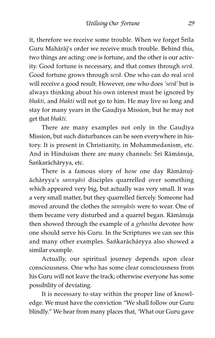it, therefore we receive some trouble. When we forget Srila Guru Mahåråj's order we receive much trouble. Behind this, two things are acting: one is fortune, and the other is our activity. Good fortune is necessary, and that comes through sevå. Good fortune grows through sevå. One who can do real sevå will receive a good result. However, one who does 'sevå' but is always thinking about his own interest must be ignored by bhakti, and bhakti will not go to him. He may live so long and stay for many years in the Gaudiya Mission, but he may not get that bhakti.

There are many examples not only in the Gaudiya Mission, but such disturbances can be seen everywhere in history. It is present in Christianity, in Mohammedanism, etc. And in Hinduism there are many channels: Śrī Rāmānuja, Śańkarāchāryya, etc.

There is a famous story of how one day Råmånujåchåryya's sannyås^ disciples quarrelled over something which appeared very big, but actually was very small. It was a very small matter, but they quarrelled fiercely. Someone had moved around the clothes the sannyāsīs were to wear. One of them became very disturbed and a quarrel began. Råmånuja then showed through the example of a *grhastha* devotee how one should serve his Guru. In the Scriptures we can see this and many other examples. Sankarāchāryya also showed a similar example.

Actually, our spiritual journey depends upon clear consciousness. One who has some clear consciousness from his Guru will not leave the track; otherwise everyone has some possibility of deviating.

It is necessary to stay within the proper line of knowledge. We must have the conviction "We shall follow our Guru blindly." We hear from many places that, 'What our Guru gave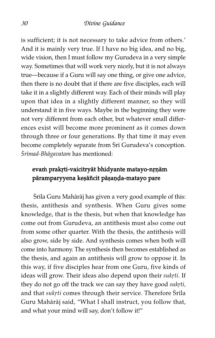is sufficient; it is not necessary to take advice from others.' And it is mainly very true. If I have no big idea, and no big, wide vision, then I must follow my Gurudeva in a very simple way. Sometimes that will work very nicely, but it is not always true—because if a Guru will say one thing, or give one advice, then there is no doubt that if there are five disciples, each will take it in a slightly different way. Each of their minds will play upon that idea in a slightly different manner, so they will understand it in five ways. Maybe in the beginning they were not very different from each other, but whatever small differences exist will become more prominent as it comes down through three or four generations. By that time it may even become completely separate from Sri Gurudeva's conception. Śrīmad-Bhāgavatam has mentioned:

### evam prakrti-vaicitryāt bhidyante matayo-nrṇām pāramparyyena keşāñcit pāṣaṇḍa-matayo pare

Śrila Guru Mahārāj has given a very good example of this: thesis, antithesis and synthesis. When Guru gives some knowledge, that is the thesis, but when that knowledge has come out from Gurudeva, an antithesis must also come out from some other quarter. With the thesis, the antithesis will also grow, side by side. And synthesis comes when both will come into harmony. The synthesis then becomes established as the thesis, and again an antithesis will grow to oppose it. In this way, if five disciples hear from one Guru, five kinds of ideas will grow. Their ideas also depend upon their sukrti. If they do not go off the track we can say they have good sukrti, and that sukrti comes through their service. Therefore Srila Guru Mahåråj said, "What I shall instruct, you follow that, and what your mind will say, don't follow it!"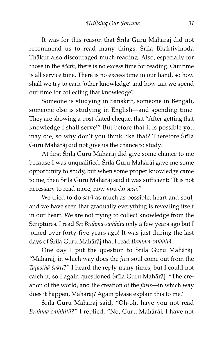It was for this reason that Srila Guru Mahārāj did not recommend us to read many things. Srila Bhaktivinoda ëhåkur also discouraged much reading. Also, especially for those in the *Math*, there is no excess time for reading. Our time is all service time. There is no excess time in our hand, so how shall we try to earn 'other knowledge' and how can we spend our time for collecting that knowledge?

Someone is studying in Sanskrit, someone in Bengali, someone else is studying in English—and spending time. They are showing a post-dated cheque, that "After getting that knowledge I shall serve!" But before that it is possible you may die, so why don't you think like that? Therefore Srila Guru Mahåråj did not give us the chance to study.

At first Srila Guru Mahārāj did give some chance to me because I was unqualified. Srila Guru Mahārāj gave me some opportunity to study, but when some proper knowledge came to me, then Srila Guru Mahārāj said it was sufficient: "It is not necessary to read more, now you do sevå."

We tried to do sevå as much as possible, heart and soul, and we have seen that gradually everything is revealing itself in our heart. We are not trying to collect knowledge from the Scriptures. I read Śrī Brahma-saṁhitā only a few years ago but I joined over forty-five years ago! It was just during the last days of Śrila Guru Mahārāj that I read Brahma-samhitā.

One day I put the question to Śrila Guru Mahārāj: "Mahārāj, in which way does the  $jiva$ -soul come out from the Tatasthā-śakti?" I heard the reply many times, but I could not catch it, so I again questioned Śrila Guru Mahārāj: "The creation of the world, and the creation of the  $ijvas$ —in which way does it happen, Mahåråj? Again please explain this to me."

Śrila Guru Mahārāj said, "Oh-oh, have you not read Brahma-samhitā?" I replied, "No, Guru Mahārāj, I have not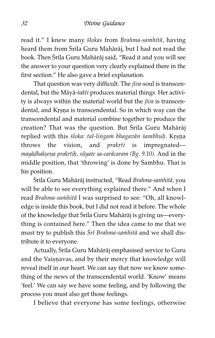read it." I knew many *ślokas* from Brahma-samhitā, having heard them from Śrila Guru Mahārāj, but I had not read the book. Then Srila Guru Mahārāj said, "Read it and you will see the answer to your question very clearly explained there in the first section." He also gave a brief explanation.

That question was very difficult. The jīva-soul is transcendental, but the Māyā-śakti produces material things. Her activity is always within the material world but the  $jiva$  is transcendental, and Krsna is transcendental. So in which way can the transcendental and material combine together to produce the creation? That was the question. But Śrila Guru Mahārāj replied with this śloka: tal-lingam bhagavān śambhuḥ. Kṛṣṇa throws the vision, and  $prakrti$  is impregnated mayādhakṣeṇa prakṛtiḥ, sūyate sa-carācaram (Bg. 9.10). And in the middle position, that 'throwing' is done by Sambhu. That is his position.

Śrila Guru Mahārāj instructed, "Read Brahma-samhitā, you will be able to see everything explained there." And when I read Brahma-sa $\dot{m}$ hitā I was surprised to see: "Oh, all knowledge is inside this book, but I did not read it before. The whole of the knowledge that Srila Guru Mahārāj is giving us—everything is contained here." Then the idea came to me that we must try to publish this Śrī Brahma-saṁhitā and we shall distribute it to everyone.

Actually, Srila Guru Mahārāj emphasised service to Guru and the Vaișņavas, and by their mercy that knowledge will reveal itself in our heart. We can say that now we know something of the news of the transcendental world. 'Know' means 'feel.' We can say we have some feeling, and by following the process you must also get those feelings.

I believe that everyone has some feelings, otherwise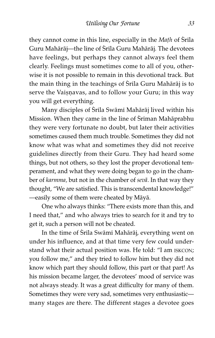they cannot come in this line, especially in the  $Math$  of  $S^r$ ila Guru Mahārāj—the line of Śrila Guru Mahārāj. The devotees have feelings, but perhaps they cannot always feel them clearly. Feelings must sometimes come to all of you, otherwise it is not possible to remain in this devotional track. But the main thing in the teachings of Srila Guru Mahārāj is to serve the Vaișņavas, and to follow your Guru; in this way you will get everything.

Many disciples of Śrīla Swāmī Mahārāj lived within his Mission. When they came in the line of Sriman Mahāprabhu they were very fortunate no doubt, but later their activities sometimes caused them much trouble. Sometimes they did not know what was what and sometimes they did not receive guidelines directly from their Guru. They had heard some things, but not others, so they lost the proper devotional temperament, and what they were doing began to go in the chamber of karmma, but not in the chamber of sevå. In that way they thought, "We are satisfied. This is transcendental knowledge!" —easily some of them were cheated by Måyå.

One who always thinks: "There exists more than this, and I need that," and who always tries to search for it and try to get it, such a person will not be cheated.

In the time of Srila Swāmi Mahārāj, everything went on under his influence, and at that time very few could understand what their actual position was. He told: "I am ISKCON; you follow me," and they tried to follow him but they did not know which part they should follow, this part or that part! As his mission became larger, the devotees' mood of service was not always steady. It was a great difficulty for many of them. Sometimes they were very sad, sometimes very enthusiastic many stages are there. The different stages a devotee goes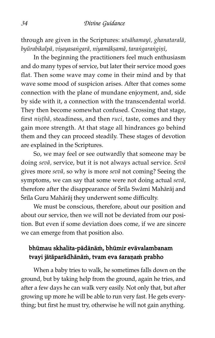through are given in the Scriptures: utsāhamayī, ghanataralā, byūrabikalpā, visayasangarā, niyamākṣamā, tarangarangiṇī,

In the beginning the practitioners feel much enthusiasm and do many types of service, but later their service mood goes flat. Then some wave may come in their mind and by that wave some mood of suspicion arises. After that comes some connection with the plane of mundane enjoyment, and, side by side with it, a connection with the transcendental world. They then become somewhat confused. Crossing that stage, first nisthā, steadiness, and then ruci, taste, comes and they gain more strength. At that stage all hindrances go behind them and they can proceed steadily. These stages of devotion are explained in the Scriptures.

So, we may feel or see outwardly that someone may be doing sevå, service, but it is not always actual service. Sevå gives more sevå, so why is more sevå not coming? Seeing the symptoms, we can say that some were not doing actual seva, therefore after the disappearance of Śrīla Swāmī Mahārāj and Śrila Guru Mahārāj they underwent some difficulty.

We must be conscious, therefore, about our position and about our service, then we will not be deviated from our position. But even if some deviation does come, if we are sincere we can emerge from that position also.

### bhūmau skhalita-pādānām, bhūmir evāvalambanam tvayi jātāparādhānām, tvam eva śaraņam prabho

When a baby tries to walk, he sometimes falls down on the ground, but by taking help from the ground, again he tries, and after a few days he can walk very easily. Not only that, but after growing up more he will be able to run very fast. He gets everything; but first he must try, otherwise he will not gain anything.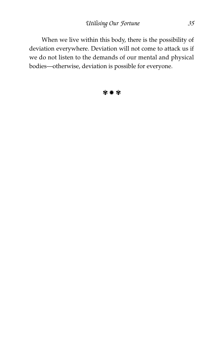When we live within this body, there is the possibility of deviation everywhere. Deviation will not come to attack us if we do not listen to the demands of our mental and physical bodies—otherwise, deviation is possible for everyone.

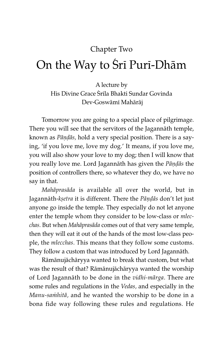# Chapter Two

# On the Way to Sri Puri-Dhām

A lecture by His Divine Grace Śrīla Bhakti Sundar Govinda Dev-Goswåm^ Mahåråj

Tomorrow you are going to a special place of pilgrimage. There you will see that the servitors of the Jagannåth temple, known as Pāṇḍās, hold a very special position. There is a saying, 'if you love me, love my dog.' It means, if you love me, you will also show your love to my dog; then I will know that you really love me. Lord Jagannāth has given the *Pāṇḍās* the position of controllers there, so whatever they do, we have no say in that.

Mahåprasåda is available all over the world, but in Jagannāth-ksetra it is different. There the Pāņdās don't let just anyone go inside the temple. They especially do not let anyone enter the temple whom they consider to be low-class or mlecchas. But when Mahåprasåda comes out of that very same temple, then they will eat it out of the hands of the most low-class people, the mlecchas. This means that they follow some customs. They follow a custom that was introduced by Lord Jagannåth.

Råmånujåchåryya wanted to break that custom, but what was the result of that? Råmånujåchåryya wanted the worship of Lord Jagannåth to be done in the vidhi-mårga. There are some rules and regulations in the Vedas, and especially in the Manu-samhitā, and he wanted the worship to be done in a bona fide way following these rules and regulations. He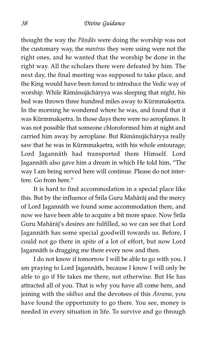thought the way the Pāṇḍās were doing the worship was not the customary way, the mantras they were using were not the right ones, and he wanted that the worship be done in the right way. All the scholars there were defeated by him. The next day, the final meeting was supposed to take place, and the King would have been forced to introduce the Vedic way of worship. While Råmånujåchåryya was sleeping that night, his bed was thrown three hundred miles away to Kūrmmakṣetra. In the morning he wondered where he was, and found that it was Kūrmmakṣetra. In those days there were no aeroplanes. It was not possible that someone chloroformed him at night and carried him away by aeroplane. But Råmånujåchåryya really saw that he was in Kūrmmakṣetra, with his whole entourage; Lord Jagannåth had transported them Himself. Lord Jagannåth also gave him a dream in which He told him, "The way I am being served here will continue. Please do not interfere. Go from here."

It is hard to find accommodation in a special place like this. But by the influence of Srila Guru Mahārāj and the mercy of Lord Jagannåth we found some accommodation there, and now we have been able to acquire a bit more space. Now Srila Guru Mahåråj's desires are fulfilled, so we can see that Lord Jagannåth has some special goodwill towards us. Before, I could not go there in spite of a lot of effort, but now Lord Jagannåth is dragging me there every now and then.

I do not know if tomorrow I will be able to go with you. I am praying to Lord Jagannåth, because I know I will only be able to go if He takes me there, not otherwise. But He has attracted all of you. That is why you have all come here, and joining with the sādhus and the devotees of this Asrama, you have found the opportunity to go there. You see, money is needed in every situation in life. To survive and go through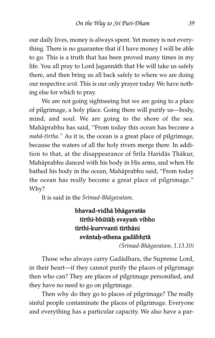our daily lives, money is always spent. Yet money is not everything. There is no guarantee that if I have money I will be able to go. This is a truth that has been proved many times in my life. You all pray to Lord Jagannåth that He will take us safely there, and then bring us all back safely to where we are doing our respective sevå. This is our only prayer today. We have nothing else for which to pray.

We are not going sightseeing but we are going to a place of pilgrimage, a holy place. Going there will purify us—body, mind, and soul. We are going to the shore of the sea. Mahåprabhu has said, "From today this ocean has become a  $mahā-tirtha."$  As it is, the ocean is a great place of pilgrimage, because the waters of all the holy rivers merge there. In addition to that, at the disappearance of Srila Haridās Țhākur, Mahåprabhu danced with his body in His arms, and when He bathed his body in the ocean, Mahåprabhu said, "From today the ocean has really become a great place of pilgrimage." Why?

It is said in the Srīmad-Bhāgavatam,

# bhavad-vidhå bhågavatås tīrthī-bhūtāh svayam vibho tīrthī-kurvvanti tīrthāni sväntah-sthena gadābhrtā

(çr^mad-Bhågavatam, 1.13.10)

Those who always carry Gadådhara, the Supreme Lord, in their heart—if they cannot purify the places of pilgrimage then who can? They are places of pilgrimage personified, and they have no need to go on pilgrimage.

Then why do they go to places of pilgrimage? The really sinful people contaminate the places of pilgrimage. Everyone and everything has a particular capacity. We also have a par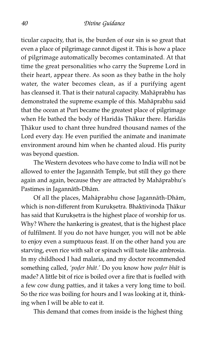ticular capacity, that is, the burden of our sin is so great that even a place of pilgrimage cannot digest it. This is how a place of pilgrimage automatically becomes contaminated. At that time the great personalities who carry the Supreme Lord in their heart, appear there. As soon as they bathe in the holy water, the water becomes clean, as if a purifying agent has cleansed it. That is their natural capacity. Mahåprabhu has demonstrated the supreme example of this. Mahåprabhu said that the ocean at Puri became the greatest place of pilgrimage when He bathed the body of Haridās Thākur there. Haridās Thākur used to chant three hundred thousand names of the Lord every day. He even purified the animate and inanimate environment around him when he chanted aloud. His purity was beyond question.

The Western devotees who have come to India will not be allowed to enter the Jagannåth Temple, but still they go there again and again, because they are attracted by Mahåprabhu's Pastimes in Jagannåth-Dhåm.

Of all the places, Mahåprabhu chose Jagannåth-Dhåm, which is non-different from Kuruksetra. Bhaktivinoda Thākur has said that Kuruk setra is the highest place of worship for us. Why? Where the hankering is greatest, that is the highest place of fulfilment. If you do not have hunger, you will not be able to enjoy even a sumptuous feast. If on the other hand you are starving, even rice with salt or spinach will taste like ambrosia. In my childhood I had malaria, and my doctor recommended something called, 'poder bhāt.' Do you know how poder bhāt is made? A little bit of rice is boiled over a fire that is fuelled with a few cow dung patties, and it takes a very long time to boil. So the rice was boiling for hours and I was looking at it, thinking when I will be able to eat it.

This demand that comes from inside is the highest thing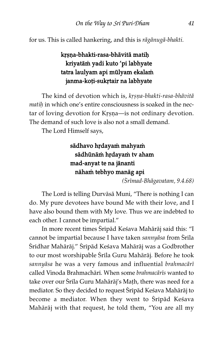for us. This is called hankering, and this is rågånugå-bhakti.

# krsna-bhakti-rasa-bhāvitā matih kriyatām yadi kuto 'pi labhyate tatra laulyam api mūlyam ekalam janma-koți-sukrtair na labhyate

The kind of devotion which is, krsna-bhakti-rasa-bhāvitā matih in which one's entire consciousness is soaked in the nectar of loving devotion for Krsna—is not ordinary devotion. The demand of such love is also not a small demand.

The Lord Himself says,

## sādhavo hrdayam mahyam sādhūnām hrdayam tv aham mad-anyat te na jånanti nāham tebhyo manāg api

(çr^mad-Bhågavatam, 9.4.68)

The Lord is telling Durvåså Muni, "There is nothing I can do. My pure devotees have bound Me with their love, and I have also bound them with My love. Thus we are indebted to each other. I cannot be impartial."

In more recent times Śrīpād Keśava Mahārāj said this: "I cannot be impartial because I have taken sannyāsa from Śrīla Śridhar Mahārāj." Śrīpād Keśava Mahārāj was a Godbrother to our most worshipable Śrila Guru Mahārāj. Before he took sannyāsa he was a very famous and influential brahmacārī called Vinoda Brahmachārī. When some brahmacārīs wanted to take over our Śrila Guru Mahārāj's Math, there was need for a mediator. So they decided to request Śrīpād Keśava Mahārāj to become a mediator. When they went to Śripād Keśava Mahåråj with that request, he told them, "You are all my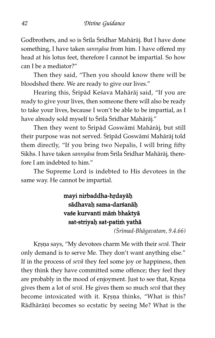Godbrothers, and so is Śrīla Śrīdhar Mahārāj. But I have done something, I have taken sannyåsa from him. I have offered my head at his lotus feet, therefore I cannot be impartial. So how can I be a mediator?"

Then they said, "Then you should know there will be bloodshed there. We are ready to give our lives."

Hearing this, Srīpād Keśava Mahārāj said, "If you are ready to give your lives, then someone there will also be ready to take your lives, because I won't be able to be impartial, as I have already sold myself to Śrīla Śrīdhar Mahārāj."

Then they went to Śrīpād Goswāmī Mahārāj, but still their purpose was not served. Sripād Goswāmi Mahārāj told them directly, "If you bring two Nepalis, I will bring fifty Sikhs. I have taken sannyāsa from Śrīla Śrīdhar Mahārāj, therefore I am indebted to him."

The Supreme Lord is indebted to His devotees in the same way. He cannot be impartial.

# mayi nirbaddha-hrdayāh sädhavah sama-darśanāh vaśe kurvanti mām bhaktyā sat-striyaḥ sat-patim yathā

(Srīmad-Bhāgavatam, 9.4.66)

Krsna says, "My devotees charm Me with their sevā. Their only demand is to serve Me. They don't want anything else." If in the process of sevå they feel some joy or happiness, then they think they have committed some offence; they feel they are probably in the mood of enjoyment. Just to see that, Krsna gives them a lot of sevå. He gives them so much sevå that they become intoxicated with it. Krsna thinks, "What is this? Rādhārāņī becomes so ecstatic by seeing Me? What is the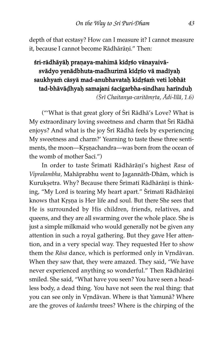depth of that ecstasy? How can I measure it? I cannot measure it, because I cannot become Rādhārāṇī." Then:

# śri-rādhāyāḥ praṇaya-mahimā kidṛśo vānayaivāsvādyo yenādbhuta-madhurimā kīdŗśo vā madīyaḥ saukhyam cāsyā mad-anubhavataḥ kīdṛśam veti lobhāt tad-bhāvāḍhyaḥ samajani śacīgarbha-sindhau harīnduḥ

(Śrī Chaitanya-caritāmrta, Ādi-līlā, 1.6)

("'What is that great glory of Sri Rādhā's Love? What is My extraordinary loving sweetness and charm that Srī Rādhā enjoys? And what is the joy Śrī Rādhā feels by experiencing My sweetness and charm?' Yearning to taste these three sentiments, the moon—Krṣṇachandra—was born from the ocean of the womb of mother  $Saci."$ )

In order to taste Srimati Rādhārāņi's highest Rasa of Vipralambha, Mahåprabhu went to Jagannåth-Dhåm, which is Kurukṣetra. Why? Because there Śrīmatī Rādhārāṇī is thinking, "My Lord is tearing My heart apart." Srimati Rādhārāṇi knows that Krsna is Her life and soul. But there She sees that He is surrounded by His children, friends, relatives, and queens, and they are all swarming over the whole place. She is just a simple milkmaid who would generally not be given any attention in such a royal gathering. But they gave Her attention, and in a very special way. They requested Her to show them the Rāsa dance, which is performed only in Vrndāvan. When they saw that, they were amazed. They said, "We have never experienced anything so wonderful." Then Rādhārāņī smiled. She said, "What have you seen? You have seen a headless body, a dead thing. You have not seen the real thing: that you can see only in Vrndāvan. Where is that Yamunā? Where are the groves of kadamba trees? Where is the chirping of the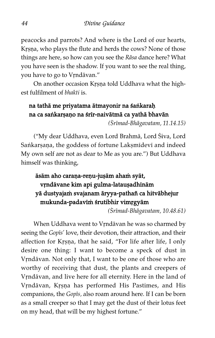peacocks and parrots? And where is the Lord of our hearts, Krsna, who plays the flute and herds the cows? None of those things are here, so how can you see the Råsa dance here? What you have seen is the shadow. If you want to see the real thing, you have to go to Vrndāvan."

On another occasion Krsna told Uddhava what the highest fulfilment of bhakti is.

#### na tathā me priyatama ātmayonir na śańkarah na ca saṅkarṣaṇo na śrīr-naivātmā ca yathā bhavān

(Srīmad-Bhāgavatam, 11.14.15)

("My dear Uddhava, even Lord Brahmā, Lord Śiva, Lord Sankarṣaṇa, the goddess of fortune Lakṣmīdevī and indeed My own self are not as dear to Me as you are.") But Uddhava himself was thinking,

# āsām aho caraņa-reņu-jușām aham syāt, vrndävane kim api gulma-lataușadhīnām yā dustyajam svajanam āryya-pathañ ca hitvābhejur mukunda-padavīm śrutibhir vimrgyām

(Śrīmad-Bhāgavatam, 10.48.61)

When Uddhava went to Vrndāvan he was so charmed by seeing the Gopīs' love, their devotion, their attraction, and their affection for Krsna, that he said, "For life after life, I only desire one thing: I want to become a speck of dust in Vrndāvan. Not only that, I want to be one of those who are worthy of receiving that dust, the plants and creepers of Vrndāvan, and live here for all eternity. Here in the land of Vrndāvan, Krsna has performed His Pastimes, and His companions, the Gopis, also roam around here. If I can be born as a small creeper so that I may get the dust of their lotus feet on my head, that will be my highest fortune."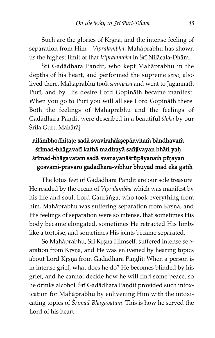Such are the glories of Krsna, and the intense feeling of separation from Him—Vipralambha. Mahåprabhu has shown us the highest limit of that Vipralambha in Sri Nīlācala-Dhām.

Śri Gadādhara Paņḍit, who kept Mahāprabhu in the depths of his heart, and performed the supreme sevå, also lived there. Mahåprabhu took sannyåsa and went to Jagannåth Puri, and by His desire Lord Gopināth became manifest. When you go to Puri you will all see Lord Gopināth there. Both the feelings of Mahåprabhu and the feelings of Gadādhara Paṇḍit were described in a beautiful śloka by our Śrila Guru Mahārāj.

# nilāmbhodhitațe sadā svavirahāk sepānvitam bāndhavam śrīmad-bhāgavatī kathā madirayā sañjīvayan bhāti yaḥ śrimad-bhāgavatam sadā svanayanāśrūpāyanaih pūjayan gosvāmi-pravaro gadādhara-vibhur bhūyād mad ekā gatih

The lotus feet of Gadādhara Pandit are our sole treasure. He resided by the ocean of Vipralambha which was manifest by his life and soul, Lord Gaurāṅga, who took everything from him. Mahāprabhu was suffering separation from Krṣṇa, and His feelings of separation were so intense, that sometimes His body became elongated, sometimes He retracted His limbs like a tortoise, and sometimes His joints became separated.

So Mahāprabhu, Śrī Krsna Himself, suffered intense separation from Krṣṇa, and He was enlivened by hearing topics about Lord Krsna from Gadādhara Pandit: When a person is in intense grief, what does he do? He becomes blinded by his grief, and he cannot decide how he will find some peace, so he drinks alcohol. Srī Gadādhara Paṇḍit provided such intoxication for Mahåprabhu by enlivening Him with the intoxicating topics of Srīmad-Bhāgavatam. This is how he served the Lord of his heart.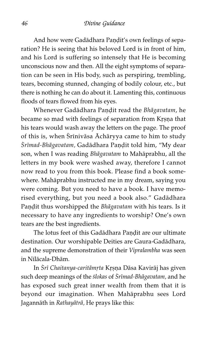And how were Gadādhara Pandit's own feelings of separation? He is seeing that his beloved Lord is in front of him, and his Lord is suffering so intensely that He is becoming unconscious now and then. All the eight symptoms of separation can be seen in His body, such as perspiring, trembling, tears, becoming stunned, changing of bodily colour, etc., but there is nothing he can do about it. Lamenting this, continuous floods of tears flowed from his eyes.

Whenever Gadādhara Paṇḍit read the Bhāgavatam, he became so mad with feelings of separation from Krsna that his tears would wash away the letters on the page. The proof of this is, when Śrīnivāsa Āchāryya came to him to study Śrīmad-Bhāgavatam, Gadādhara Paṇḍit told him, "My dear son, when I was reading Bhågavatam to Mahåprabhu, all the letters in my book were washed away, therefore I cannot now read to you from this book. Please find a book somewhere. Mahåprabhu instructed me in my dream, saying you were coming. But you need to have a book. I have memorised everything, but you need a book also." Gadådhara Paṇḍit thus worshipped the Bhāgavatam with his tears. Is it necessary to have any ingredients to worship? One's own tears are the best ingredients.

The lotus feet of this Gadādhara Paṇḍit are our ultimate destination. Our worshipable Deities are Gaura-Gadådhara, and the supreme demonstration of their Vipralambha was seen in N^låcala-Dhåm.

In *Śrī Chaitanya-caritāmrta Kr*ṣṇa Dāsa Kavirāj has given such deep meanings of the *ślokas* of *Śrīmad-Bhāgavatam*, and he has exposed such great inner wealth from them that it is beyond our imagination. When Mahåprabhu sees Lord Jagannåth in Rathayåtrå, He prays like this: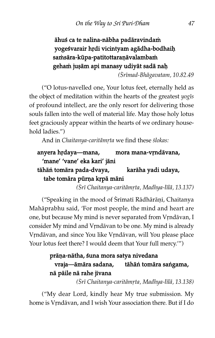# āhuś ca te nalina-nābha padāravindam yogeśvarair hrdi vicintyam agādha-bodhaiḥ samsāra-kūpa-patitottaraņāvalambam geham juşām api manasy udiyāt sadā nah

(Srīmad-Bhāgavatam, 10.82.49

("O lotus-navelled one, Your lotus feet, eternally held as the object of meditation within the hearts of the greatest  $y_{0}q\bar{s}$ of profound intellect, are the only resort for delivering those souls fallen into the well of material life. May those holy lotus feet graciously appear within the hearts of we ordinary household ladies.")

And in Chaitanya-caritāmrta we find these ślokas:

# anyera hṛdaya—mana, mora mana-vṛndāvana, 'mane' 'vane' eka kari' jåni tāhāṅ tomāra pada-dvaya, karāha yadi udaya, tabe tomāra pūrņa krpā māni

(Śrī Chaitanya-caritāmrta, Madhya-līlā, 13.137)

("Speaking in the mood of Srimati Rādhārāṇi, Chaitanya Mahåprabhu said, 'For most people, the mind and heart are one, but because My mind is never separated from Vrndāvan, I consider My mind and Vrndāvan to be one. My mind is already Vrndāvan, and since You like Vrndāvan, will You please place Your lotus feet there? I would deem that Your full mercy."")

#### prāņa-nātha, śuna mora satya nivedana vraja—åmåra sadana, tåhåí tomåra saígama, nā pāile nā rahe jīvana

(Srī Chaitanya-caritāmrta, Madhya-līlā, 13.138)

("My dear Lord, kindly hear My true submission. My home is Vrndāvan, and I wish Your association there. But if I do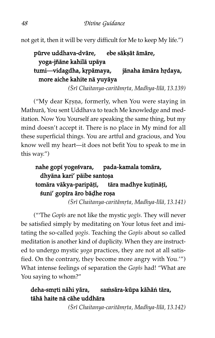not get it, then it will be very difficult for Me to keep My life.")

# pūrve uddhava-dvāre, ebe sākṣāt āmāre, yoga-jñåne kahilå upåya tumi—vidagdha, krpāmaya, jānaha āmāra hṛdaya, more aiche kahite nå yuyåya

(Śrī Chaitanya-caritāmrta, Madhya-līlā, 13.139)

("My dear Krsna, formerly, when You were staying in Mathurå, You sent Uddhava to teach Me knowledge and meditation. Now You Yourself are speaking the same thing, but my mind doesn't accept it. There is no place in My mind for all these superficial things. You are artful and gracious, and You know well my heart—it does not befit You to speak to me in this way.")

# nahe gopi yogeśvara, pada-kamala tomāra, dhyāna kari' pāibe santoṣa tomāra vākya-paripāṭī, tāra madhye kuṭināṭī, śuni' gopira āro bāḍhe roṣa

(Śrī Chaitanya-caritāmrta, Madhya-līlā, 13.141)

("The Gopis are not like the mystic  $yogis$ . They will never be satisfied simply by meditating on Your lotus feet and imitating the so-called yogis. Teaching the Gopis about so called meditation is another kind of duplicity. When they are instructed to undergo mystic yoga practices, they are not at all satisfied. On the contrary, they become more angry with You.'") What intense feelings of separation the Gopis had! "What are You saying to whom?"

# deha-smṛti nāhi yāra, samsāra-kūpa kāhān tāra, tåhå haite nå cåhe uddhåra

(Śrī Chaitanya-caritāmrta, Madhya-līlā, 13.142)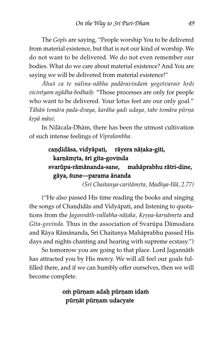The Gopis are saying, "People worship You to be delivered from material existence, but that is not our kind of worship. We do not want to be delivered. We do not even remember our bodies. What do we care about material existence? And You are saying we will be delivered from material existence!"

Ähus ca te nalina-nābha padāravindam yogesvarair hrdi vicintyam agādha-bodhaih: "Those processes are only for people who want to be delivered. Your lotus feet are our only goal." Tāhān tomāra pada-dvaya, karāha yadi udaya, tabe tomāra pūrņa krpā māni.

In N^låcala-Dhåm, there has been the utmost cultivation of such intense feelings of Vipralambha.

# caņdīdāsa, vidyāpati, rāyera nāțaka-gīti, karņāmŗta, śrī gīta-govinda svarūpa-rāmānanda-sane, mahāprabhu rātri-dine, gåya, ßune—parama ånanda

(Srī Chaitanya-caritāmrta, Madhya-līlā, 2.77)

("He also passed His time reading the books and singing the songs of Chaṇḍidās and Vidyāpati, and listening to quotations from the Jagannāth-vallabha-nātaka, Krsna-karnāmrta and Gīta-govinda. Thus in the association of Svarūpa Dāmodara and Rāya Rāmānanda, Srī Chaitanya Mahāprabhu passed His days and nights chanting and hearing with supreme ecstasy.")

So tomorrow you are going to that place. Lord Jagannåth has attracted you by His mercy. We will all feel our goals fulfilled there, and if we can humbly offer ourselves, then we will become complete.

# om pūrņam adaļ pūrņam idam pūrņāt pūrņam udacyate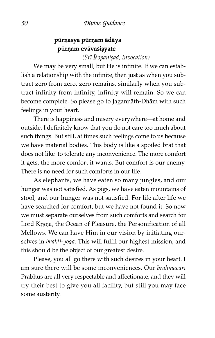# pūrņasya pūrņam ādāya pūrņam evāvaśișyate

 $(Sr\overline{i}$  *Îsopanisad*, Invocation)

We may be very small, but He is infinite. If we can establish a relationship with the infinite, then just as when you subtract zero from zero, zero remains, similarly when you subtract infinity from infinity, infinity will remain. So we can become complete. So please go to Jagannåth-Dhåm with such feelings in your heart.

There is happiness and misery everywhere—at home and outside. I definitely know that you do not care too much about such things. But still, at times such feelings come to us because we have material bodies. This body is like a spoiled brat that does not like to tolerate any inconvenience. The more comfort it gets, the more comfort it wants. But comfort is our enemy. There is no need for such comforts in our life.

As elephants, we have eaten so many jungles, and our hunger was not satisfied. As pigs, we have eaten mountains of stool, and our hunger was not satisfied. For life after life we have searched for comfort, but we have not found it. So now we must separate ourselves from such comforts and search for Lord Krsna, the Ocean of Pleasure, the Personification of all Mellows. We can have Him in our vision by initiating ourselves in bhakti-yoga. This will fulfil our highest mission, and this should be the object of our greatest desire.

Please, you all go there with such desires in your heart. I am sure there will be some inconveniences. Our *brahmacārī* Prabhus are all very respectable and affectionate, and they will try their best to give you all facility, but still you may face some austerity.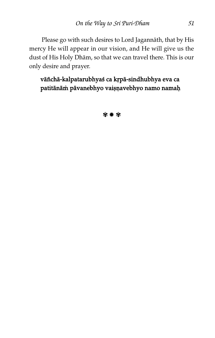Please go with such desires to Lord Jagannåth, that by His mercy He will appear in our vision, and He will give us the dust of His Holy Dhåm, so that we can travel there. This is our only desire and prayer.

## vāñchā-kalpatarubhyaś ca kṛpā-sindhubhya eva ca patitānām pāvanebhyo vaișņavebhyo namo namaķ

**發 兼 發**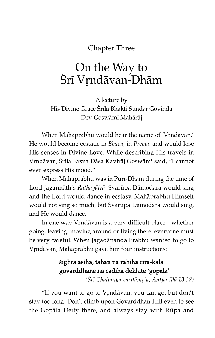Chapter Three

# On the Way to Śrī Vrndāvan-Dhām

A lecture by His Divine Grace Śrīla Bhakti Sundar Govinda Dev-Goswåm^ Mahåråj

When Mahāprabhu would hear the name of 'Vrndāvan,' He would become ecstatic in Bhåva, in Prema, and would lose His senses in Divine Love. While describing His travels in Vrndāvan, Šrīla Krsņa Dāsa Kavirāj Goswāmī said, "I cannot even express His mood."

When Mahāprabhu was in Puri-Dhām during the time of Lord Jagannāth's Rathayātrā, Svarūpa Dāmodara would sing and the Lord would dance in ecstasy. Mahåprabhu Himself would not sing so much, but Svarūpa Dāmodara would sing, and He would dance.

In one way Vrndāvan is a very difficult place—whether going, leaving, moving around or living there, everyone must be very careful. When Jagadånanda Prabhu wanted to go to Vrndāvan, Mahāprabhu gave him four instructions:

#### ßighra åsiha, tåhåí nå rahiha cira-kåla govarddhane nå caàiha dekhite 'gopåla'

(Srī Chaitanya-caritāmṛta, Antya-līlā 13.38)

"If you want to go to Vrndāvan, you can go, but don't stay too long. Don't climb upon Govarddhan Hill even to see the Gopāla Deity there, and always stay with Rūpa and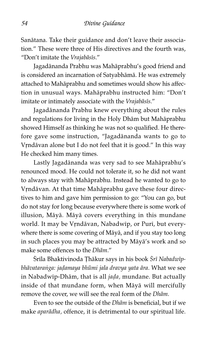Sanåtana. Take their guidance and don't leave their association." These were three of His directives and the fourth was, "Don't imitate the Vrajabāsīs."

Jagadånanda Prabhu was Mahåprabhu's good friend and is considered an incarnation of Satyabhåmå. He was extremely attached to Mahåprabhu and sometimes would show his affection in unusual ways. Mahåprabhu instructed him: "Don't imitate or intimately associate with the Vrajabāsīs."

Jagadånanda Prabhu knew everything about the rules and regulations for living in the Holy Dhåm but Mahåprabhu showed Himself as thinking he was not so qualified. He therefore gave some instruction, "Jagadånanda wants to go to Vrndāvan alone but I do not feel that it is good." In this way He checked him many times.

Lastly Jagadånanda was very sad to see Mahåprabhu's renounced mood. He could not tolerate it, so he did not want to always stay with Mahåprabhu. Instead he wanted to go to Vrndāvan. At that time Mahāprabhu gave these four directives to him and gave him permission to go: "You can go, but do not stay for long because everywhere there is some work of illusion, Måyå. Måyå covers everything in this mundane world. It may be Vrndāvan, Nabadwip, or Puri, but everywhere there is some covering of Måyå, and if you stay too long in such places you may be attracted by Måyå's work and so make some offences to the Dhåm."

Śrīla Bhaktivinoda Thākur says in his book Śrī Nabadwīpbhāvataranga: jadamaya bhūmi jala dravya yata āra. What we see in Nabadwip-Dhām, that is all jada, mundane. But actually inside of that mundane form, when Måyå will mercifully remove the cover, we will see the real form of the Dhåm.

Even to see the outside of the Dhåm is beneficial, but if we make aparådha, offence, it is detrimental to our spiritual life.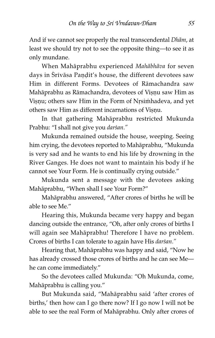And if we cannot see properly the real transcendental Dhām, at least we should try not to see the opposite thing—to see it as only mundane.

When Mahåprabhu experienced Mahåbhåva for seven days in Śrīvāsa Paṇḍit's house, the different devotees saw Him in different Forms. Devotees of Råmachandra saw Mahāprabhu as Rāmachandra, devotees of Vișņu saw Him as Vișņu; others saw Him in the Form of Nrsimhadeva, and yet others saw Him as different incarnations of Visnu.

In that gathering Mahåprabhu restricted Mukunda Prabhu: "I shall not give you darśan."

Mukunda remained outside the house, weeping. Seeing him crying, the devotees reported to Mahåprabhu, "Mukunda is very sad and he wants to end his life by drowning in the River Ganges. He does not want to maintain his body if he cannot see Your Form. He is continually crying outside."

Mukunda sent a message with the devotees asking Mahåprabhu, "When shall I see Your Form?"

Mahåprabhu answered, "After crores of births he will be able to see Me."

Hearing this, Mukunda became very happy and began dancing outside the entrance, "Oh, after only crores of births I will again see Mahåprabhu! Therefore I have no problem. Crores of births I can tolerate to again have His darsan."

Hearing that, Mahåprabhu was happy and said, "Now he has already crossed those crores of births and he can see Me he can come immediately."

So the devotees called Mukunda: "Oh Mukunda, come, Mahåprabhu is calling you."

But Mukunda said, "Mahåprabhu said 'after crores of births,' then how can I go there now? If I go now I will not be able to see the real Form of Mahåprabhu. Only after crores of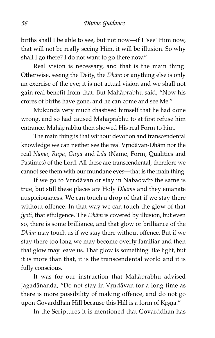births shall I be able to see, but not now—if I 'see' Him now, that will not be really seeing Him, it will be illusion. So why shall I go there? I do not want to go there now."

Real vision is necessary, and that is the main thing. Otherwise, seeing the Deity, the Dhåm or anything else is only an exercise of the eye; it is not actual vision and we shall not gain real benefit from that. But Mahåprabhu said, "Now his crores of births have gone, and he can come and see Me."

Mukunda very much chastised himself that he had done wrong, and so had caused Mahåprabhu to at first refuse him entrance. Mahåprabhu then showed His real Form to him.

The main thing is that without devotion and transcendental knowledge we can neither see the real Vrndāvan-Dhām nor the real Nāma, Rūpa, Guņa and Līlā (Name, Form, Qualities and Pastimes) of the Lord. All these are transcendental, therefore we cannot see them with our mundane eyes—that is the main thing.

If we go to Vrndāvan or stay in Nabadwip the same is true, but still these places are Holy Dhåms and they emanate auspiciousness. We can touch a drop of that if we stay there without offence. In that way we can touch the glow of that jyoti, that effulgence. The Dhām is covered by illusion, but even so, there is some brilliance, and that glow or brilliance of the Dhåm may touch us if we stay there without offence. But if we stay there too long we may become overly familiar and then that glow may leave us. That glow is something like light, but it is more than that, it is the transcendental world and it is fully conscious.

It was for our instruction that Mahåprabhu advised Jagadānanda, "Do not stay in Vrndāvan for a long time as there is more possibility of making offence, and do not go upon Govarddhan Hill because this Hill is a form of Krsna."

In the Scriptures it is mentioned that Govarddhan has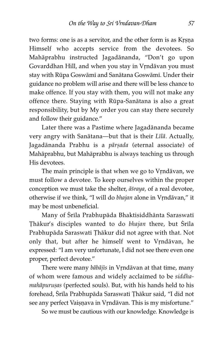two forms: one is as a servitor, and the other form is as Krsna Himself who accepts service from the devotees. So Mahåprabhu instructed Jagadånanda, "Don't go upon Govarddhan Hill, and when you stay in Vrndāvan you must stay with Rūpa Goswāmī and Sanātana Goswāmī. Under their guidance no problem will arise and there will be less chance to make offence. If you stay with them, you will not make any offence there. Staying with Rūpa-Sanātana is also a great responsibility, but by My order you can stay there securely and follow their guidance."

Later there was a Pastime where Jagadånanda became very angry with Sanātana—but that is their Līlā. Actually, Jagadānanda Prabhu is a pārșada (eternal associate) of Mahåprabhu, but Mahåprabhu is always teaching us through His devotees.

The main principle is that when we go to Vrndāvan, we must follow a devotee. To keep ourselves within the proper conception we must take the shelter,  $\bar{a}$ *sraya*, of a real devotee, otherwise if we think, "I will do bhajan alone in Vrndāvan," it may be most unbeneficial.

Many of Śrila Prabhupāda Bhaktisiddhānta Saraswati Thākur's disciples wanted to do bhajan there, but Śrīla Prabhupāda Saraswatī Ţhākur did not agree with that. Not only that, but after he himself went to Vrndāvan, he expressed: "I am very unfortunate, I did not see there even one proper, perfect devotee."

There were many bābājīs in Vṛndāvan at that time, many of whom were famous and widely acclaimed to be siddhamahāpuruṣas (perfected souls). But, with his hands held to his forehead, Srila Prabhupāda Saraswatī Ţhākur said, "I did not see any perfect Vaișņava in Vŗndāvan. This is my misfortune."

So we must be cautious with our knowledge. Knowledge is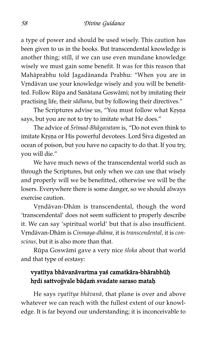a type of power and should be used wisely. This caution has been given to us in the books. But transcendental knowledge is another thing; still, if we can use even mundane knowledge wisely we must gain some benefit. It was for this reason that Mahåprabhu told Jagadånanda Prabhu: "When you are in Vrndāvan use your knowledge wisely and you will be benefitted. Follow Rūpa and Sanātana Goswāmī; not by imitating their practising life, their sådhana, but by following their directives."

The Scriptures advise us, "You must follow what Krṣṇa says, but you are not to try to imitate what He does."

The advice of Srīmad-Bhāgavatam is, "Do not even think to imitate Krsna or His powerful devotees. Lord Siva digested an ocean of poison, but you have no capacity to do that. If you try, you will die."

We have much news of the transcendental world such as through the Scriptures, but only when we can use that wisely and properly will we be benefitted, otherwise we will be the losers. Everywhere there is some danger, so we should always exercise caution.

Vrndāvan-Dhām is transcendental, though the word 'transcendental' does not seem sufficient to properly describe it. We can say 'spiritual world' but that is also insufficient. Vrndāvan-Dhām is Cinmaya-dhāma, it is transcendental, it is conscious, but it is also more than that.

Rūpa Goswāmī gave a very nice śloka about that world and that type of ecstasy:

#### vyatītya bhāvanāvartma yaś camatkāra-bhārabhūḥ hrdi sattvojjvale bāḍaṁ svadate saraso mataḥ

He says vyatītya bhāvanā, that plane is over and above whatever we can reach with the fullest extent of our knowledge. It is far beyond our understanding; it is inconceivable to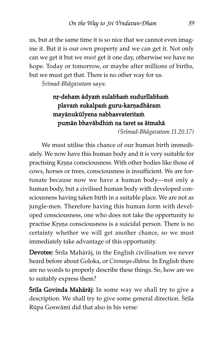us, but at the same time it is so nice that we cannot even imagine it. But it is our own property and we can get it. Not only can we get it but we must get it one day, otherwise we have no hope. Today or tomorrow, or maybe after millions of births, but we must get that. There is no other way for us.

Śrīmad-Bhāgavatam says:

# nr-deham ādyam sulabham sudurllabham plavam sukalpam guru-karṇadhāram mayānukūlyena nabhasvateritam pumān bhavābdhim na taret sa ātmahā

(çr^mad-Bhågavatam 11.20.17)

We must utilise this chance of our human birth immediately. We now have this human body and it is very suitable for practising Krsna consciousness. With other bodies like those of cows, horses or trees, consciousness is insufficient. We are fortunate because now we have a human body—not only a human body, but a civilised human body with developed consciousness having taken birth in a suitable place. We are not as jungle-men. Therefore having this human form with developed consciousness, one who does not take the opportunity to practise Krsna consciousness is a suicidal person. There is no certainty whether we will get another chance, so we must immediately take advantage of this opportunity.

Devotee: Śrīla Mahārāj, in the English civilisation we never heard before about Goloka, or Cinmaya-dhåma. In English there are no words to properly describe these things. So, how are we to suitably express them?

Śrila Govinda Mahārāj: In some way we shall try to give a description. We shall try to give some general direction. Srila Rūpa Goswāmī did that also in his verse: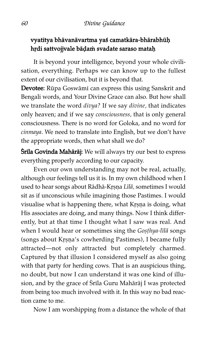#### vyatītya bhāvanāvartma yaś camatkāra-bhārabhūḥ hṛdi sattvojjvale bāḍaṁ svadate saraso mataḥ

It is beyond your intelligence, beyond your whole civilisation, everything. Perhaps we can know up to the fullest extent of our civilisation, but it is beyond that.

Devotee: Rūpa Goswāmī can express this using Sanskrit and Bengali words, and Your Divine Grace can also. But how shall we translate the word divya? If we say divine, that indicates only heaven; and if we say consciousness, that is only general consciousness. There is no word for Goloka, and no word for cinmaya. We need to translate into English, but we don't have the appropriate words, then what shall we do?

**Śrila Govinda Mahārāj:** We will always try our best to express everything properly according to our capacity.

Even our own understanding may not be real, actually, although our feelings tell us it is. In my own childhood when I used to hear songs about Rādhā-Krṣṇa Līlā, sometimes I would sit as if unconscious while imagining those Pastimes. I would visualise what is happening there, what Krṣṇa is doing, what His associates are doing, and many things. Now I think differently, but at that time I thought what I saw was real. And when I would hear or sometimes sing the Gosthya-lilā songs (songs about Krṣṇa's cowherding Pastimes), I became fully attracted—not only attracted but completely charmed. Captured by that illusion I considered myself as also going with that party for herding cows. That is an auspicious thing, no doubt, but now I can understand it was one kind of illusion, and by the grace of Śrila Guru Mahārāj I was protected from being too much involved with it. In this way no bad reaction came to me.

Now I am worshipping from a distance the whole of that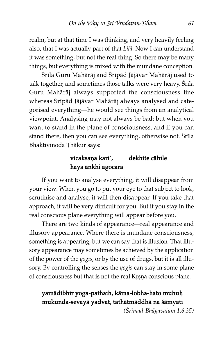realm, but at that time I was thinking, and very heavily feeling also, that I was actually part of that Līlā. Now I can understand it was something, but not the real thing. So there may be many things, but everything is mixed with the mundane conception.

Śrila Guru Mahārāj and Śripād Jājāvar Mahārāj used to talk together, and sometimes those talks were very heavy. Srila Guru Mahåråj always supported the consciousness line whereas Śrīpād Jājāvar Mahārāj always analysed and categorised everything—he would see things from an analytical viewpoint. Analysing may not always be bad; but when you want to stand in the plane of consciousness, and if you can stand there, then you can see everything, otherwise not. Srila Bhaktivinoda Thākur says:

#### vicakṣaṇa kari', dekhite cāhile haya ānkhi agocara

If you want to analyse everything, it will disappear from your view. When you go to put your eye to that subject to look, scrutinise and analyse, it will then disappear. If you take that approach, it will be very difficult for you. But if you stay in the real conscious plane everything will appear before you.

There are two kinds of appearance—real appearance and illusory appearance. Where there is mundane consciousness, something is appearing, but we can say that is illusion. That illusory appearance may sometimes be achieved by the application of the power of the *yogis*, or by the use of drugs, but it is all illusory. By controlling the senses the  $yogis$  can stay in some plane of consciousness but that is not the real Krsna conscious plane.

## yamādibhir yoga-pathaiḥ, kāma-lobha-hato muhuḥ mukunda-sevayå yadvat, tathåtmåddhå na ßåmyati

(çr^mad-Bhågavatam 1.6.35)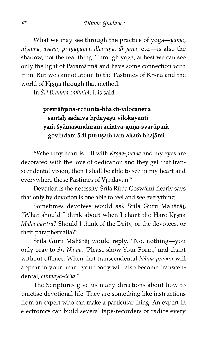What we may see through the practice of yoga—yama, niyama, āsana, prāņāyāma, dhāraṇā, dhyāna, etc.—is also the shadow, not the real thing. Through yoga, at best we can see only the light of Paramåtmå and have some connection with Him. But we cannot attain to the Pastimes of Krṣṇa and the world of Krsna through that method.

In Srī Brahma-samhitā, it is said:

# premåñjana-cchurita-bhakti-vilocanena santah sadaiva hrdayeşu vilokayanti yam śyāmasundaram acintya-guņa-svarūpam govindam ādi purușam tam aham bhajāmi

"When my heart is full with  $Kr$ *ṣṇa-prema* and my eyes are decorated with the love of dedication and they get that transcendental vision, then I shall be able to see in my heart and everywhere those Pastimes of Vrndāvan."

Devotion is the necessity. Srila Rūpa Goswāmi clearly says that only by devotion is one able to feel and see everything.

Sometimes devotees would ask Srila Guru Mahārāj, "What should I think about when I chant the Hare Krsna Mahåmantra? Should I think of the Deity, or the devotees, or their paraphernalia?"

Śrila Guru Mahārāj would reply, "No, nothing—you only pray to Śrī Nāma, 'Please show Your Form,' and chant without offence. When that transcendental Nåma-prabhu will appear in your heart, your body will also become transcendental, cinmaya-deha."

The Scriptures give us many directions about how to practise devotional life. They are something like instructions from an expert who can make a particular thing. An expert in electronics can build several tape-recorders or radios every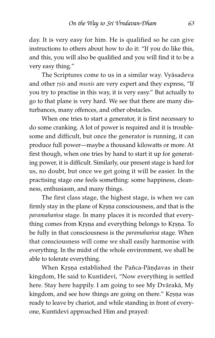day. It is very easy for him. He is qualified so he can give instructions to others about how to do it: "If you do like this, and this, you will also be qualified and you will find it to be a very easy thing."

The Scriptures come to us in a similar way. Vyåsadeva and other rsis and munis are very expert and they express, "If you try to practise in this way, it is very easy." But actually to go to that plane is very hard. We see that there are many disturbances, many offences, and other obstacles.

When one tries to start a generator, it is first necessary to do some cranking. A lot of power is required and it is troublesome and difficult, but once the generator is running, it can produce full power—maybe a thousand kilowatts or more. At first though, when one tries by hand to start it up for generating power, it is difficult. Similarly, our present stage is hard for us, no doubt, but once we get going it will be easier. In the practising stage one feels something: some happiness, cleanness, enthusiasm, and many things.

The first class stage, the highest stage, is when we can firmly stay in the plane of Krsna consciousness, and that is the paramahamsa stage. In many places it is recorded that everything comes from Krsna and everything belongs to Krsna. To be fully in that consciousness is the *paramahamsa* stage. When that consciousness will come we shall easily harmonise with everything. In the midst of the whole environment, we shall be able to tolerate everything.

When Krsna established the Pañca-Pāndavas in their kingdom, He said to Kuntidevi, "Now everything is settled here. Stay here happily. I am going to see My Dvårakå, My kingdom, and see how things are going on there." Krṣṇa was ready to leave by chariot, and while standing in front of everyone, Kuntidevi approached Him and prayed: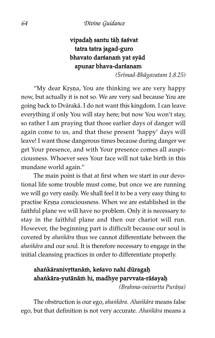# vipadah santu tāh śaśvat tatra tatra jagad-guro bhavato darśanam yat syād apunar bhava-darßanam

(çr^mad-Bhågavatam 1.8.25)

"My dear Krsna, You are thinking we are very happy now, but actually it is not so. We are very sad because You are going back to Dvårakå. I do not want this kingdom. I can leave everything if only You will stay here; but now You won't stay, so rather I am praying that those earlier days of danger will again come to us, and that these present 'happy' days will leave! I want those dangerous times because during danger we get Your presence, and with Your presence comes all auspiciousness. Whoever sees Your face will not take birth in this mundane world again."

The main point is that at first when we start in our devotional life some trouble must come, but once we are running we will go very easily. We shall feel it to be a very easy thing to practise Krsna consciousness. When we are established in the faithful plane we will have no problem. Only it is necessary to stay in the faithful plane and then our chariot will run. However, the beginning part is difficult because our soul is covered by ahankāra thus we cannot differentiate between the ahankāra and our soul. It is therefore necessary to engage in the initial cleansing practices in order to differentiate properly.

## ahankāranivrttanām, keśavo nahī dūragah ahankāra-yutānām hi, madhye parvvata-rāśayah

(Brahma-vaivartta Purāņa)

The obstruction is our ego, ahankāra. Ahankāra means false ego, but that definition is not very accurate. Ahankāra means a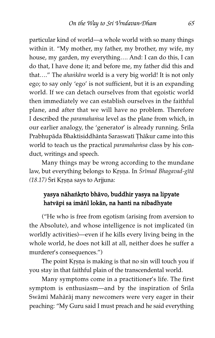particular kind of world—a whole world with so many things within it. "My mother, my father, my brother, my wife, my house, my garden, my everything…. And: I can do this, I can do that, I have done it; and before me, my father did this and that...." The ahankara world is a very big world! It is not only ego; to say only 'ego' is not sufficient, but it is an expanding world. If we can detach ourselves from that egoistic world then immediately we can establish ourselves in the faithful plane, and after that we will have no problem. Therefore I described the paramahamsa level as the plane from which, in our earlier analogy, the 'generator' is already running. Srila Prabhupāda Bhaktisiddhānta Saraswatī Thākur came into this world to teach us the practical paramahamsa class by his conduct, writings and speech.

Many things may be wrong according to the mundane law, but everything belongs to Krsna. In Śrīmad Bhagavad-gītā  $(18.17)$  Śrī Krṣṇa says to Arjjuna:

#### yasya nāhankrto bhāvo, buddhir yasya na lipyate hatvåpi sa imåíl lokån, na hanti na nibadhyate

("He who is free from egotism (arising from aversion to the Absolute), and whose intelligence is not implicated (in worldly activities)—even if he kills every living being in the whole world, he does not kill at all, neither does he suffer a murderer's consequences.")

The point Krsna is making is that no sin will touch you if you stay in that faithful plain of the transcendental world.

Many symptoms come in a practitioner's life. The first symptom is enthusiasm—and by the inspiration of Srila Swāmi Mahārāj many newcomers were very eager in their peaching: "My Guru said I must preach and he said everything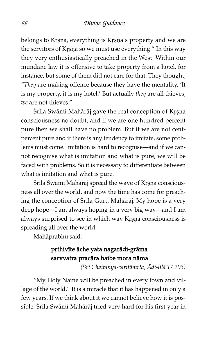belongs to Krsna, everything is Krsna's property and we are the servitors of Krṣṇa so we must use everything." In this way they very enthusiastically preached in the West. Within our mundane law it is offensive to take property from a hotel, for instance, but some of them did not care for that. They thought, "They are making offence because they have the mentality, 'It is my property, it is my hotel.' But actually they are all thieves, we are not thieves."

Śrila Swāmi Mahārāj gave the real conception of Krșņa consciousness no doubt, and if we are one hundred percent pure then we shall have no problem. But if we are not centpercent pure and if there is any tendency to imitate, some problems must come. Imitation is hard to recognise—and if we cannot recognise what is imitation and what is pure, we will be faced with problems. So it is necessary to differentiate between what is imitation and what is pure.

Śrīla Swāmī Mahārāj spread the wave of Krsņa consciousness all over the world, and now the time has come for preaching the conception of Srila Guru Mahārāj. My hope is a very deep hope—I am always hoping in a very big way—and I am always surprised to see in which way Krṣṇa consciousness is spreading all over the world.

Mahåprabhu said:

#### prthivite äche yata nagarädi-gräma sarvvatra pracåra haibe mora nåma

(Śrī Chaitanya-caritāmrta, Ādi-līlā 17.203)

"My Holy Name will be preached in every town and village of the world." It is a miracle that it has happened in only a few years. If we think about it we cannot believe how it is possible. Srila Swāmi Mahārāj tried very hard for his first year in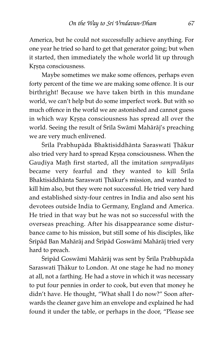America, but he could not successfully achieve anything. For one year he tried so hard to get that generator going; but when it started, then immediately the whole world lit up through Krsna consciousness.

Maybe sometimes we make some offences, perhaps even forty percent of the time we are making some offence. It is our birthright! Because we have taken birth in this mundane world, we can't help but do some imperfect work. But with so much offence in the world we are astonished and cannot guess in which way Krsna consciousness has spread all over the world. Seeing the result of Śrīla Swāmī Mahārāj's preaching we are very much enlivened.

Śrila Prabhupāda Bhaktisiddhānta Saraswati Țhākur also tried very hard to spread Krsna consciousness. When the Gaudiya Math first started, all the imitation sampradāyas became very fearful and they wanted to kill Srila Bhaktisiddhānta Saraswatī Thākur's mission, and wanted to kill him also, but they were not successful. He tried very hard and established sixty-four centres in India and also sent his devotees outside India to Germany, England and America. He tried in that way but he was not so successful with the overseas preaching. After his disappearance some disturbance came to his mission, but still some of his disciples, like Śrīpād Ban Mahārāj and Śrīpād Goswāmī Mahārāj tried very hard to preach.

Śripād Goswāmi Mahārāj was sent by Śrila Prabhupāda Saraswati Thākur to London. At one stage he had no money at all, not a farthing. He had a stove in which it was necessary to put four pennies in order to cook, but even that money he didn't have. He thought, "What shall I do now?" Soon afterwards the cleaner gave him an envelope and explained he had found it under the table, or perhaps in the door, "Please see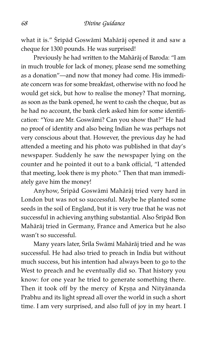what it is." Sripād Goswāmī Mahārāj opened it and saw a cheque for 1300 pounds. He was surprised!

Previously he had written to the Mahåråj of Baroda: "I am in much trouble for lack of money, please send me something as a donation"—and now that money had come. His immediate concern was for some breakfast, otherwise with no food he would get sick, but how to realise the money? That morning, as soon as the bank opened, he went to cash the cheque, but as he had no account, the bank clerk asked him for some identification: "You are Mr. Goswåm^? Can you show that?" He had no proof of identity and also being Indian he was perhaps not very conscious about that. However, the previous day he had attended a meeting and his photo was published in that day's newspaper. Suddenly he saw the newspaper lying on the counter and he pointed it out to a bank official, "I attended that meeting, look there is my photo." Then that man immediately gave him the money!

Anyhow, Śripād Goswāmi Mahārāj tried very hard in London but was not so successful. Maybe he planted some seeds in the soil of England, but it is very true that he was not successful in achieving anything substantial. Also Sripād Bon Mahåråj tried in Germany, France and America but he also wasn't so successful.

Many years later, Śrila Swāmi Mahārāj tried and he was successful. He had also tried to preach in India but without much success, but his intention had always been to go to the West to preach and he eventually did so. That history you know: for one year he tried to generate something there. Then it took off by the mercy of Krsna and Nityānanda Prabhu and its light spread all over the world in such a short time. I am very surprised, and also full of joy in my heart. I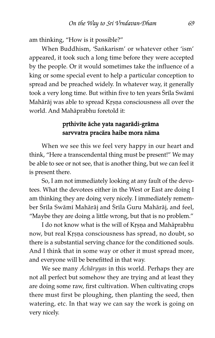am thinking, "How is it possible?"

When Buddhism, 'Sankarism' or whatever other 'ism' appeared, it took such a long time before they were accepted by the people. Or it would sometimes take the influence of a king or some special event to help a particular conception to spread and be preached widely. In whatever way, it generally took a very long time. But within five to ten years Srila Swāmi Mahārāj was able to spread Krsņa consciousness all over the world. And Mahåprabhu foretold it:

### prthivite äche yata nagarädi-gräma sarvvatra pracåra haibe mora nåma

When we see this we feel very happy in our heart and think, "Here a transcendental thing must be present!" We may be able to see or not see, that is another thing, but we can feel it is present there.

So, I am not immediately looking at any fault of the devotees. What the devotees either in the West or East are doing I am thinking they are doing very nicely. I immediately remember Śrila Swāmi Mahārāj and Śrila Guru Mahārāj, and feel, "Maybe they are doing a little wrong, but that is no problem."

I do not know what is the will of Krsna and Mahāprabhu now, but real Krsna consciousness has spread, no doubt, so there is a substantial serving chance for the conditioned souls. And I think that in some way or other it must spread more, and everyone will be benefitted in that way.

We see many *Āchāryyas* in this world. Perhaps they are not all perfect but somehow they are trying and at least they are doing some raw, first cultivation. When cultivating crops there must first be ploughing, then planting the seed, then watering, etc. In that way we can say the work is going on very nicely.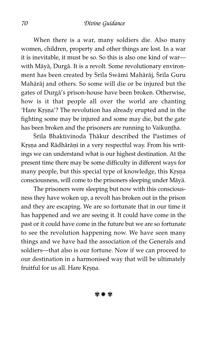When there is a war, many soldiers die. Also many women, children, property and other things are lost. In a war it is inevitable, it must be so. So this is also one kind of war with Måyå, Durgå. It is a revolt. Some revolutionary environment has been created by Śrila Swāmi Mahārāj, Śrila Guru Mahåråj and others. So some will die or be injured but the gates of Durgå's prison-house have been broken. Otherwise, how is it that people all over the world are chanting 'Hare Krṣṇa'? The revolution has already erupted and in the fighting some may be injured and some may die, but the gate has been broken and the prisoners are running to Vaikuntha.

Śrila Bhaktivinoda Thākur described the Pastimes of Krṣṇa and Rādhārāṇī in a very respectful way. From his writings we can understand what is our highest destination. At the present time there may be some difficulty in different ways for many people, but this special type of knowledge, this Krṣṇa consciousness, will come to the prisoners sleeping under Måyå.

The prisoners were sleeping but now with this consciousness they have woken up, a revolt has broken out in the prison and they are escaping. We are so fortunate that in our time it has happened and we are seeing it. It could have come in the past or it could have come in the future but we are so fortunate to see the revolution happening now. We have seen many things and we have had the association of the Generals and soldiers—that also is our fortune. Now if we can proceed to our destination in a harmonised way that will be ultimately fruitful for us all. Hare Krsna.

✾ ✹ ✾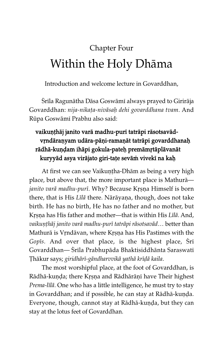# Chapter Four Within the Holy Dhåma

Introduction and welcome lecture in Govarddhan,

Śrīla Ragunātha Dāsa Goswāmī always prayed to Girirāja Govarddhan: nija-nikata-nivāsah dehi govarddhana tvam. And Rūpa Goswāmī Prabhu also said:

# vaikuņțhāj janito varā madhu-purī tatrāpi rāsotsavādvrndäranyam udära-päṇi-ramaṇāt tatrāpi govarddhanaḥ rādhā-kuņḍam ihāpi gokula-pateḥ premāmṛtāplāvanāt kuryyād asya virājato giri-tate sevām vivekī na kaḥ

At first we can see Vaikuṇṭha-Dhām as being a very high place, but above that, the more important place is Mathurå janito varā madhu-purī. Why? Because Krṣṇa Himself is born there, that is His Līlā there. Nārāyaṇa, though, does not take birth. He has no birth, He has no father and no mother, but Krsna has His father and mother—that is within His Līlā. And, vaikunthāj janito varā madhu-purī tatrāpi rāsotsavād... better than Mathurā is Vrndāvan, where Krsna has His Pastimes with the Gopis. And over that place, is the highest place,  $\overline{S}$ ri Govarddhan— Srila Prabhupāda Bhaktisiddhānta Saraswati Thākur says; giridhārī-gāndharvvikā yathā krīdā kaila.

The most worshipful place, at the foot of Govarddhan, is Rādhā-kuṇḍa; there Kṛṣṇa and Rādhārāṇī have Their highest Prema-līlā. One who has a little intelligence, he must try to stay in Govarddhan; and if possible, he can stay at Rādhā-kuṇḍa. Everyone, though, cannot stay at Rādhā-kuṇḍa, but they can stay at the lotus feet of Govarddhan.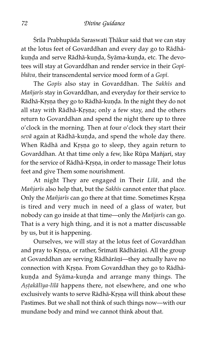Śrila Prabhupāda Saraswati Thākur said that we can stay at the lotus feet of Govarddhan and every day go to Rådhåkunda and serve Rādhā-kunda, Syāma-kuṇḍa, etc. The devotees will stay at Govarddhan and render service in their Gopibhāva, their transcendental service mood form of a Gopī.

The Gopis also stay in Govarddhan. The Sakhis and Mañjarīs stay in Govarddhan, and everyday for their service to Rādhā-Krṣṇa they go to Rādhā-kuṇḍa. In the night they do not all stay with Rādhā-Kṛṣṇa; only a few stay, and the others return to Govarddhan and spend the night there up to three o'clock in the morning. Then at four o'clock they start their sevā again at Rādhā-kuṇḍa, and spend the whole day there. When Rādhā and Krsņa go to sleep, they again return to Govarddhan. At that time only a few, like Rūpa Mañjarī, stay for the service of Rādhā-Krṣṇa, in order to massage Their lotus feet and give Them some nourishment.

At night They are engaged in Their  $Li\bar{l}\bar{a}$ , and the Mañjarīs also help that, but the Sakhīs cannot enter that place. Only the Mañjarīs can go there at that time. Sometimes Krṣṇa is tired and very much in need of a glass of water, but nobody can go inside at that time—only the Mañjarīs can go. That is a very high thing, and it is not a matter discussable by us, but it is happening.

Ourselves, we will stay at the lotus feet of Govarddhan and pray to Krsna, or rather, Srimati Rādhārāṇi. All the group at Govarddhan are serving Rādhārāṇī—they actually have no connection with Krsna. From Govarddhan they go to Rādhākunda and Syāma-kuṇḍa and arrange many things. The Astakālīya-līlā happens there, not elsewhere, and one who exclusively wants to serve Rādhā-Krṣṇa will think about these Pastimes. But we shall not think of such things now—with our mundane body and mind we cannot think about that.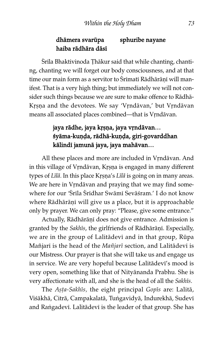#### dhämera svarūpa sphuribe nayane haiba rådhåra dås^

Śrīla Bhaktivinoda Thākur said that while chanting, chanting, chanting we will forget our body consciousness, and at that time our main form as a servitor to Śrīmatī Rādhārāṇī will manifest. That is a very high thing; but immediately we will not consider such things because we are sure to make offence to Rådhå-Krsna and the devotees. We say 'Vrndāvan,' but Vrndāvan means all associated places combined—that is Vrndāvan.

# jaya rādhe, jaya krsņa, jaya vrndāvan... śyāma-kuņḍa, rādhā-kuņḍa, giri-govarddhan kālindī jamunā jaya, jaya mahāvan...

All these places and more are included in Vrndāvan. And in this village of Vrndāvan, Krsņa is engaged in many different types of Līlā. In this place Krṣṇa's Līlā is going on in many areas. We are here in Vrndāvan and praying that we may find somewhere for our 'Srila Sridhar Swāmi Sevāśram.' I do not know where Rādhārāṇī will give us a place, but it is approachable only by prayer. We can only pray: "Please, give some entrance."

Actually, Rādhārāņī does not give entrance. Admission is granted by the Sakhīs, the girlfriends of Rādhārāṇī. Especially, we are in the group of Lalitādevi and in that group, Rūpa Mañjarī is the head of the Mañjarī section, and Lalitādevī is our Mistress. Our prayer is that she will take us and engage us in service. We are very hopeful because Lalitådev^'s mood is very open, something like that of Nityånanda Prabhu. She is very affectionate with all, and she is the head of all the Sakhīs.

The Asta-Sakhīs, the eight principal Gopīs are: Lalitā, Viśākhā, Citrā, Campakalatā, Tuṅgavidyā, Indurekhā, Sudevī and Rangadevi. Lalitādevi is the leader of that group. She has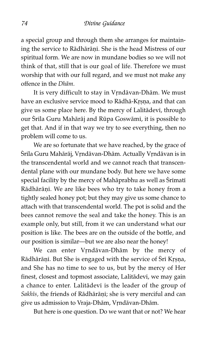a special group and through them she arranges for maintaining the service to Rādhārāṇī. She is the head Mistress of our spiritual form. We are now in mundane bodies so we will not think of that, still that is our goal of life. Therefore we must worship that with our full regard, and we must not make any offence in the Dhåm.

It is very difficult to stay in Vrndāvan-Dhām. We must have an exclusive service mood to Rādhā-Krṣṇa, and that can give us some place here. By the mercy of Lalitādevi, through our Śrila Guru Mahārāj and Rūpa Goswāmī, it is possible to get that. And if in that way we try to see everything, then no problem will come to us.

We are so fortunate that we have reached, by the grace of Śrila Guru Mahārāj, Vṛndāvan-Dhām. Actually Vṛndāvan is in the transcendental world and we cannot reach that transcendental plane with our mundane body. But here we have some special facility by the mercy of Mahāprabhu as well as Śrīmatī Rādhārāņī. We are like bees who try to take honey from a tightly sealed honey pot; but they may give us some chance to attach with that transcendental world. The pot is solid and the bees cannot remove the seal and take the honey. This is an example only, but still, from it we can understand what our position is like. The bees are on the outside of the bottle, and our position is similar—but we are also near the honey!

We can enter Vrndāvan-Dhām by the mercy of Rādhārāṇī. But She is engaged with the service of Srī Krṣṇa, and She has no time to see to us, but by the mercy of Her finest, closest and topmost associate, Lalitādevī, we may gain a chance to enter. Lalitādevi is the leader of the group of Sakhīs, the friends of Rādhārāṇī; she is very merciful and can give us admission to Vraja-Dhām, Vrndāvan-Dhām.

But here is one question. Do we want that or not? We hear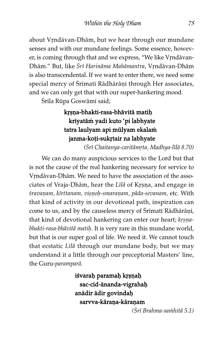about Vrndāvan-Dhām, but we hear through our mundane senses and with our mundane feelings. Some essence, however, is coming through that and we express, "We like Vrndāvan-Dhām." But, like Śrī Harināma Mahāmantra, Vṛndāvan-Dhām is also transcendental. If we want to enter there, we need some special mercy of Śrīmatī Rādhārāṇī through Her associates, and we can only get that with our super-hankering mood.

Śrīla Rūpa Goswāmī said;

#### krsna-bhakti-rasa-bhāvitā matih kriyatām yadi kuto 'pi labhyate tatra laulyam api mūlyam ekalam janma-koți-sukrtair na labhyate

(Śrī Chaitanya-caritāmrta, Madhya-līlā 8.70)

We can do many auspicious services to the Lord but that is not the cause of the real hankering necessary for service to Vrndāvan-Dhām. We need to have the association of the associates of Vraja-Dhām, hear the Lilā of Krsna, and engage in śravaņam, kīrttanam, vișņoh-smaraņam, pāda-sevanam, etc. With that kind of activity in our devotional path, inspiration can come to us, and by the causeless mercy of Śrimati Rādhārāni, that kind of devotional hankering can enter our heart; krsnabhakti-rasa-bhāvitā matiḥ. It is very rare in this mundane world, but that is our super goal of life. We need it. We cannot touch that ecstatic Lilā through our mundane body, but we may understand it a little through our preceptorial Masters' line, the Guru-paramparå.

> iśvarah paramah krșņah sac-cid-ānanda-vigrahah anādir ādir govindah sarvva-kārana-kāranam

 $(Sri$  Brahma-sa $\dot{m}$ hitā 5.1)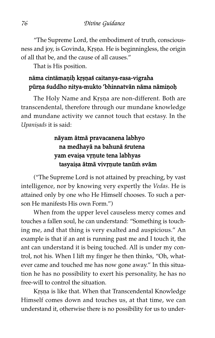"The Supreme Lord, the embodiment of truth, consciousness and joy, is Govinda, Krsna. He is beginningless, the origin of all that be, and the cause of all causes."

That is His position.

#### nāma cintāmaņiņ krsņaś caitanya-rasa-vigraha pūrņa śuddho nitya-mukto 'bhinnatvān nāma nāmiņoḥ

The Holy Name and Krsna are non-different. Both are transcendental, therefore through our mundane knowledge and mundane activity we cannot touch that ecstasy. In the Upanisads it is said:

#### nåyam åtmå pravacanena labhyo na medhayå na bahunå ßrutena yam evaișa vrņute tena labhyas tasyaiṣa ātmā vivŗņute tanūm svām

("The Supreme Lord is not attained by preaching, by vast intelligence, nor by knowing very expertly the Vedas. He is attained only by one who He Himself chooses. To such a person He manifests His own Form.")

When from the upper level causeless mercy comes and touches a fallen soul, he can understand: "Something is touching me, and that thing is very exalted and auspicious." An example is that if an ant is running past me and I touch it, the ant can understand it is being touched. All is under my control, not his. When I lift my finger he then thinks, "Oh, whatever came and touched me has now gone away." In this situation he has no possibility to exert his personality, he has no free-will to control the situation.

Krsna is like that. When that Transcendental Knowledge Himself comes down and touches us, at that time, we can understand it, otherwise there is no possibility for us to under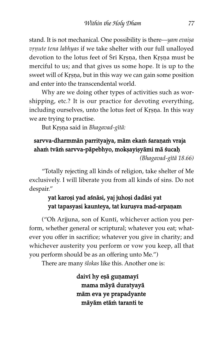stand. It is not mechanical. One possibility is there—yam evaișa vrnute tena labhyas if we take shelter with our full unalloyed devotion to the lotus feet of Sri Krsna, then Krsna must be merciful to us; and that gives us some hope. It is up to the sweet will of Krsna, but in this way we can gain some position and enter into the transcendental world.

Why are we doing other types of activities such as worshipping, etc.? It is our practice for devoting everything, including ourselves, unto the lotus feet of Krsna. In this way we are trying to practise.

But Krṣṇa said in Bhagavad-gītā:

#### sarvva-dharmmān parrityajya, mām ekam śaraņam vraja aham tvām sarvva-pāpebhyo, mokṣayiṣyāmi mā śucaḥ

(Bhagavad-g^tå 18.66)

"Totally rejecting all kinds of religion, take shelter of Me exclusively. I will liberate you from all kinds of sins. Do not despair."

#### yat karosi yad aśnāsi, yaj juhoși dadāsi yat yat tapasyasi kaunteya, tat kuruşva mad-arpaṇam

("Oh Arjjuna, son of Kunti, whichever action you perform, whether general or scriptural; whatever you eat; whatever you offer in sacrifice; whatever you give in charity; and whichever austerity you perform or vow you keep, all that you perform should be as an offering unto Me.")

There are many *ślokas* like this. Another one is:

daivī hy eşā guņamayī mama måyå duratyayå måm eva ye prapadyante mäyäm etäm taranti te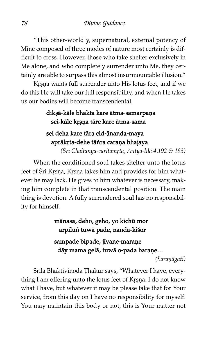"This other-worldly, supernatural, external potency of Mine composed of three modes of nature most certainly is difficult to cross. However, those who take shelter exclusively in Me alone, and who completely surrender unto Me, they certainly are able to surpass this almost insurmountable illusion."

Krsna wants full surrender unto His lotus feet, and if we do this He will take our full responsibility, and when He takes us our bodies will become transcendental.

#### dikşā-kāle bhakta kare ātma-samarpaṇa sei-kāle krsna tāre kare ātma-sama

#### sei deha kare tåra cid-ånanda-maya aprākŗta-dehe tāṅra caraṇa bhajaya

( $\overline{Sri}$  Chaitanya-caritāmṛta, Antya-līlā 4.192 & 193)

When the conditioned soul takes shelter unto the lotus feet of Srī Krsna, Krsna takes him and provides for him whatever he may lack. He gives to him whatever is necessary, making him complete in that transcendental position. The main thing is devotion. A fully surrendered soul has no responsibility for himself.

> mānasa, deho, geho, yo kichū mor arpiluń tuwā pade, nanda-kiśor sampade bipade, jivane-marane dāy mama gelā, tuwā o-pada baraņe... (Saranāgati)

Śrila Bhaktivinoda Țhākur says, "Whatever I have, everything I am offering unto the lotus feet of Krsna. I do not know what I have, but whatever it may be please take that for Your service, from this day on I have no responsibility for myself. You may maintain this body or not, this is Your matter not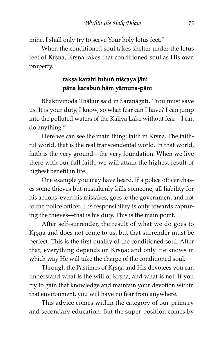mine. I shall only try to serve Your holy lotus feet."

When the conditioned soul takes shelter under the lotus feet of Krsna, Krsna takes that conditioned soul as His own property.

#### rakşa karabi tuhun niścaya jāni påna karabuí håm yåmuna-påni

Bhaktivinoda Thākur said in Saraṇāgati, "You must save us. It is your duty, I know, so what fear can I have? I can jump into the polluted waters of the Kåliya Lake without fear—I can do anything."

Here we can see the main thing: faith in Krsna. The faithful world, that is the real transcendental world. In that world, faith is the very ground—the very foundation. When we live there with our full faith, we will attain the highest result of highest benefit in life.

One example you may have heard. If a police officer chases some thieves but mistakenly kills someone, all liability for his actions, even his mistakes, goes to the government and not to the police officer. His responsibility is only towards capturing the thieves—that is his duty. This is the main point.

After self-surrender, the result of what we do goes to Krsna and does not come to us, but that surrender must be perfect. This is the first quality of the conditioned soul. After that, everything depends on Krṣṇa; and only He knows in which way He will take the charge of the conditioned soul.

Through the Pastimes of Krsna and His devotees you can understand what is the will of Krsna, and what is not. If you try to gain that knowledge and maintain your devotion within that environment, you will have no fear from anywhere.

This advice comes within the category of our primary and secondary education. But the super-position comes by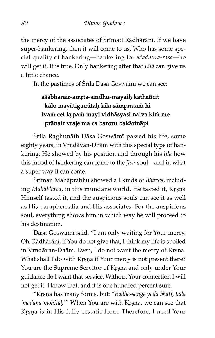the mercy of the associates of Srimati Rādhārāni. If we have super-hankering, then it will come to us. Who has some special quality of hankering—hankering for Madhura-rasa—he will get it. It is true. Only hankering after that Lilā can give us a little chance.

In the pastimes of Śrila Dāsa Goswāmi we can see:

### āśābharair-amrta-sindhu-mayaih kathañcit kālo mayātigamitah kila sāmpratam hi tvam cet krpam mayi vidhāsyasi naiva kim me prånair vraje ma ca baroru bakårinåpi

Śrila Raghunāth Dāsa Goswāmi passed his life, some eighty years, in Vrndāvan-Dhām with this special type of hankering. He showed by his position and through his lilā how this mood of hankering can come to the  $j\bar{v}a$ -soul—and in what a super way it can come.

Śriman Mahāprabhu showed all kinds of Bhāvas, including Mahābhāva, in this mundane world. He tasted it, Krsna Himself tasted it, and the auspicious souls can see it as well as His paraphernalia and His associates. For the auspicious soul, everything shows him in which way he will proceed to his destination.

Dāsa Goswāmī said, "I am only waiting for Your mercy. Oh, Rādhārāṇī, if You do not give that, I think my life is spoiled in Vrndāvan-Dhām. Even, I do not want the mercy of Krșņa. What shall I do with Krsna if Your mercy is not present there? You are the Supreme Servitor of Krsna and only under Your guidance do I want that service. Without Your connection I will not get it, I know that, and it is one hundred percent sure.

"Krsņa has many forms, but: "Rādhā-sange yadā bhāti, tadā 'madana-mohitah'" When You are with Krsna, we can see that Krsna is in His fully ecstatic form. Therefore, I need Your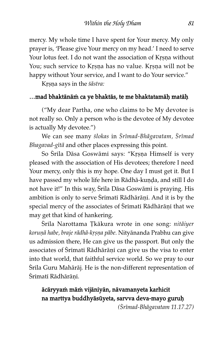mercy. My whole time I have spent for Your mercy. My only prayer is, 'Please give Your mercy on my head.' I need to serve Your lotus feet. I do not want the association of Krsna without You; such service to Krsna has no value. Krsna will not be happy without Your service, and I want to do Your service."

Krṣṇa says in the śāstra:

#### …mad bhaktānām ca ye bhaktās, te me bhaktatamāḥ matāḥ

("My dear Partha, one who claims to be My devotee is not really so. Only a person who is the devotee of My devotee is actually My devotee.")

We can see many ślokas in Śrīmad-Bhāgavatam, Śrīmad Bhagavad-gītā and other places expressing this point.

So Śrila Dāsa Goswāmi says: "Krṣṇa Himself is very pleased with the association of His devotees; therefore I need Your mercy, only this is my hope. One day I must get it. But I have passed my whole life here in Rādhā-kuṇḍa, and still I do not have it!" In this way, Śrīla Dāsa Goswāmī is praying. His ambition is only to serve Srimati Rādhārāṇi. And it is by the special mercy of the associates of Śrīmatī Rādhārāņī that we may get that kind of hankering.

Śrila Narottama Tkākura wrote in one song: nitāiyer korunā habe, braje rādhā-krṣṇa pābe. Nityānanda Prabhu can give us admission there, He can give us the passport. But only the associates of Śrīmatī Rādhārāņī can give us the visa to enter into that world, that faithful service world. So we pray to our Śrila Guru Mahārāj. He is the non-different representation of Śrīmatī Rādhārānī.

#### ācāryyam mām vijānīyān, nāvamanyeta karhicit na marttya buddhyāsūyeta, sarvva deva-mayo guruḥ

(çr^mad-Bhågavatam 11.17.27)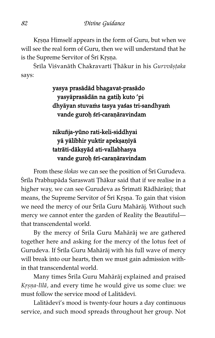Krsna Himself appears in the form of Guru, but when we will see the real form of Guru, then we will understand that he is the Supreme Servitor of Sri Krsna.

Śrīla Viśvanāth Chakravartī Thākur in his Gurvvāșțaka says:

> yasya prasådåd bhagavat-prasådo yasyāprasādān na gatiņ kuto 'pi dhyāyan stuvams tasya yaśas tri-sandhyam vande guroḥ śrī-caraṇāravindam

nikuñja-yūno rati-keli-siddhyai yā yālibhir yuktir apekṣaṇīyā tatråti-dåk£yåd ati-vallabhasya vande guroh śri-caraṇāravindam

From these *slokas* we can see the position of Sri Gurudeva. Śrila Prabhupāda Saraswati Țhākur said that if we realise in a higher way, we can see Gurudeva as Srimati Rādhārāņi; that means, the Supreme Servitor of Śrī Krsna. To gain that vision we need the mercy of our Srila Guru Mahārāj. Without such mercy we cannot enter the garden of Reality the Beautiful that transcendental world.

By the mercy of Srila Guru Mahārāj we are gathered together here and asking for the mercy of the lotus feet of Gurudeva. If Srila Guru Mahārāj with his full wave of mercy will break into our hearts, then we must gain admission within that transcendental world.

Many times Śrīla Guru Mahārāj explained and praised Krsna-līlā, and every time he would give us some clue: we must follow the service mood of Lalitådev^.

Lalitådev^'s mood is twenty-four hours a day continuous service, and such mood spreads throughout her group. Not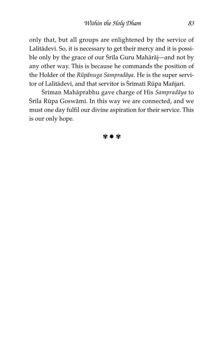only that, but all groups are enlightened by the service of Lalitādevī. So, it is necessary to get their mercy and it is possible only by the grace of our Śrila Guru Mahārāj—and not by any other way. This is because he commands the position of the Holder of the Rūpānuga Sampradāya. He is the super servitor of Lalitādevī, and that servitor is Śrīmatī Rūpa Mañjarī.

Śriman Mahāprabhu gave charge of His Sampradāya to Śrila Rūpa Goswāmi. In this way we are connected, and we must one day fulfil our divine aspiration for their service. This is our only hope.

#### ✾ ✹ ✾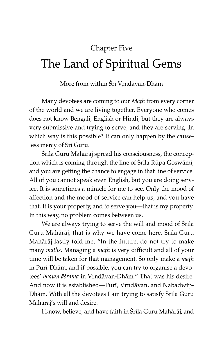# Chapter Five The Land of Spiritual Gems

More from within Śrī Vrndāvan-Dhām

Many devotees are coming to our Math from every corner of the world and we are living together. Everyone who comes does not know Bengali, English or Hindi, but they are always very submissive and trying to serve, and they are serving. In which way is this possible? It can only happen by the causeless mercy of Sri Guru.

Srila Guru Mahārāj spread his consciousness, the conception which is coming through the line of Srila Rūpa Goswāmi, and you are getting the chance to engage in that line of service. All of you cannot speak even English, but you are doing service. It is sometimes a miracle for me to see. Only the mood of affection and the mood of service can help us, and you have that. It is your property, and to serve you—that is my property. In this way, no problem comes between us.

We are always trying to serve the will and mood of Srila Guru Mahārāj, that is why we have come here. Srīla Guru Mahåråj lastly told me, "In the future, do not try to make many maths. Managing a math is very difficult and all of your time will be taken for that management. So only make a *math* in Puri-Dhām, and if possible, you can try to organise a devotees' bhajan āśrama in Vrndāvan-Dhām." That was his desire. And now it is established—Puri, Vrndāvan, and Nabadwip-Dhām. With all the devotees I am trying to satisfy Srila Guru Mahåråj's will and desire.

I know, believe, and have faith in Srila Guru Mahārāj, and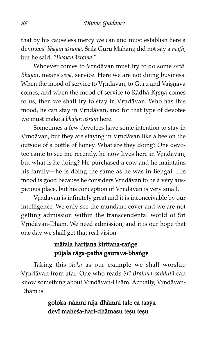that by his causeless mercy we can and must establish here a devotees' bhajan āśrama. Śrīla Guru Mahārāj did not say a mațh, but he said, "Bhajan āśrama."

Whoever comes to Vrndāvan must try to do some sevā. Bhajan, means sevå, service. Here we are not doing business. When the mood of service to Vrndāvan, to Guru and Vaișnava comes, and when the mood of service to Rādhā-Krṣṇa comes to us, then we shall try to stay in Vrndāvan. Who has this mood, he can stay in Vrndāvan, and for that type of devotee we must make a bhajan āśram here.

Sometimes a few devotees have some intention to stay in Vrndāvan, but they are staying in Vrndāvan like a bee on the outside of a bottle of honey. What are they doing? One devotee came to see me recently, he now lives here in Vrndāvan, but what is he doing? He purchased a cow and he maintains his family—he is doing the same as he was in Bengal. His mood is good because he considers Vrndāvan to be a very auspicious place, but his conception of Vrndāvan is very small.

Vrndāvan is infinitely great and it is inconceivable by our intelligence. We only see the mundane cover and we are not getting admission within the transcendental world of Sri Vrndāvan-Dhām. We need admission, and it is our hope that one day we shall get that real vision.

#### mātala harijana kīrttana-rańge pūjala rāga-patha gaurava-bhange

Taking this *śloka* as our example we shall worship Vrndāvan from afar. One who reads Śrī Brahma-samhitā can know something about Vrndāvan-Dhām. Actually, Vrndāvan-Dhåm is:

#### goloka-nåmni nija-dhåmni tale ca tasya devi maheśa-hari-dhāmasu tesu tesu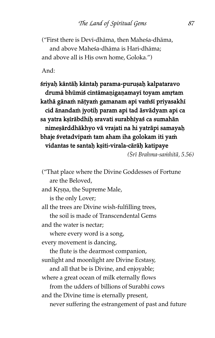("First there is Dev^-dhåma, then Maheßa-dhåma, and above Maheßa-dhåma is Hari-dhåma; and above all is His own home, Goloka.")

And:

śriyah kāntāḥ kāntaḥ parama-puruṣaḥ kalpataravo drumā bhūmiś cintāmaṇigaṇamayī toyam amṛtam kathā gānam nāṭyam gamanam api vamśī priyasakhī cid änandam jyotih param api tad äsvädyam api ca sa yatra kṣīrābdhiḥ sravati surabhīyaś ca sumahān nimesärddhäkhyo vä vrajati na hi yaträpi samayah bhaje śvetadvipam tam aham iha golokam iti yam vidantas te santah kṣiti-virala-cārāḥ katipaye

(Šrī Brahma-saṁhitā, 5.56)

("That place where the Divine Goddesses of Fortune are the Beloved, and Krsna, the Supreme Male, is the only Lover; all the trees are Divine wish-fulfilling trees, the soil is made of Transcendental Gems and the water is nectar; where every word is a song, every movement is dancing, the flute is the dearmost companion, sunlight and moonlight are Divine Ecstasy, and all that be is Divine, and enjoyable; where a great ocean of milk eternally flows from the udders of billions of Surabhi cows and the Divine time is eternally present, never suffering the estrangement of past and future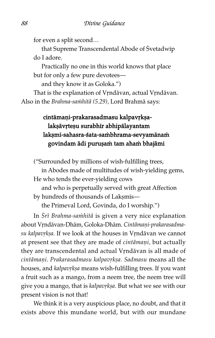for even a split second…

that Supreme Transcendental Abode of Svetadwip do I adore.

Practically no one in this world knows that place but for only a few pure devotees—

and they know it as Goloka.")

That is the explanation of Vrndāvan, actual Vrndāvan. Also in the Brahma-sa $\dot{m}$ hitā (5.29), Lord Brahmā says:

#### cintāmaṇi-prakarasadmasu kalpavṛkṣalakşāvrteşu surabhīr abhipālayantam lakṣmī-sahasra-śata-saṁbhrama-sevyamānaṁ govindam ādi purușam tam aham bhajāmi

("Surrounded by millions of wish-fulfilling trees, in Abodes made of multitudes of wish-yielding gems, He who tends the ever-yielding cows and who is perpetually served with great Affection by hundreds of thousands of Laksmis the Primeval Lord, Govinda, do I worship.")

In Srī Brahma-samhitā is given a very nice explanation about Vrndāvan-Dhām, Goloka-Dhām. Cintāmaņi-prakarasadmasu kalpavrkṣa. If we look at the houses in Vrndāvan we cannot at present see that they are made of cintāmaṇi, but actually they are transcendental and actual Vrndāvan is all made of cintāmaņi. Prakarasadmasu kalpavrksa. Sadmasu means all the houses, and kalpavrkṣa means wish-fulfilling trees. If you want a fruit such as a mango, from a neem tree, the neem tree will give you a mango, that is kalpavrksa. But what we see with our present vision is not that!

We think it is a very auspicious place, no doubt, and that it exists above this mundane world, but with our mundane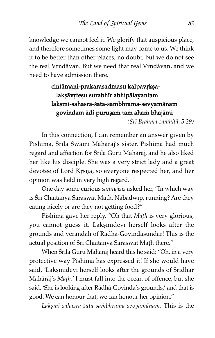knowledge we cannot feel it. We glorify that auspicious place, and therefore sometimes some light may come to us. We think it to be better than other places, no doubt; but we do not see the real Vrndāvan. But we need that real Vrndāvan, and we need to have admission there.

### cintāmaṇi-prakarasadmasu kalpavṛkṣalakṣāvṛteṣu surabhīr abhipālayantam lakṣmī-sahasra-śata-saṁbhrama-sevyamānaṁ govindam ādi purușam tam aham bhajāmi

(Šrī Brahma-sa $\dot{m}$ hitā, 5.29)

In this connection, I can remember an answer given by Pishima, Śrila Swāmī Mahārāj's sister. Pishima had much regard and affection for Srila Guru Mahārāj, and he also liked her like his disciple. She was a very strict lady and a great devotee of Lord Krsna, so everyone respected her, and her opinion was held in very high regard.

One day some curious sannyāsīs asked her, "In which way is Śrī Chaitanya Sāraswat Maṭh, Nabadwīp, running? Are they eating nicely or are they not getting food?"

Pishima gave her reply, "Oh that Math is very glorious, you cannot guess it. Laksmidevi herself looks after the grounds and verandah of Rådhå-Govindasundar! This is the actual position of Śrī Chaitanya Sāraswat Math there."

When Śrila Guru Mahārāj heard this he said; "Oh, in a very protective way Pishima has expressed it! If she would have said, 'Laksmidevi herself looks after the grounds of Sridhar Mahārāj's Math,' I must fall into the ocean of offence, but she said, 'She is looking after Rådhå-Govinda's grounds,' and that is good. We can honour that, we can honour her opinion."

Lakșmī-sahasra-śata-saṁbhrama-sevyamānam. This is the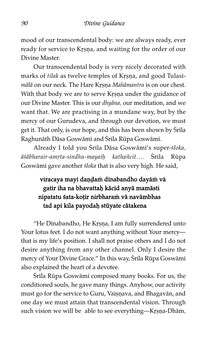mood of our transcendental body: we are always ready, ever ready for service to Krsna, and waiting for the order of our Divine Master.

Our transcendental body is very nicely decorated with marks of tilak as twelve temples of Krsna, and good Tulasimālā on our neck. The Hare Krsna Mahāmantra is on our chest. With that body we are to serve Krṣṇa under the guidance of our Divine Master. This is our dhyåna, our meditation, and we want that. We are practising in a mundane way, but by the mercy of our Gurudeva, and through our devotion, we must get it. That only, is our hope, and this has been shown by Srila Raghunāth Dāsa Goswāmī and Śrīla Rūpa Goswāmī.

Already I told you Śrila Dāsa Goswāmi's super-śloka, āśābharair-amrta-sindhu-mayaih kathañcit.... Śrīla Rūpa Goswāmī gave another śloka that is also very high. He said,

#### viracaya mayi daṇḍaṁ dīnabandho dayāṁ vā gatir iha na bhavattaḥ kācid anyā mamāsti nipatatu śata-koțir nirbharam vā navāmbhas tad api kila payodah stūyate cātakena

"He Dīnabandho, He Krṣṇa, I am fully surrendered unto Your lotus feet. I do not want anything without Your mercy that is my life's position. I shall not praise others and I do not desire anything from any other channel. Only I desire the mercy of Your Divine Grace." In this way, Srila Rūpa Goswāmī also explained the heart of a devotee.

Śrila Rūpa Goswāmi composed many books. For us, the conditioned souls, he gave many things. Anyhow, our activity must go for the service to Guru, Vaisnava, and Bhagavān, and one day we must attain that transcendental vision. Through such vision we will be able to see everything—Krṣṇa-Dhām,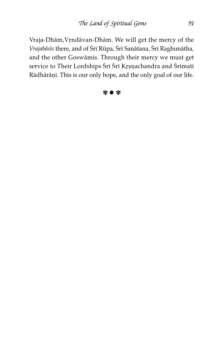Vraja-Dhām, Vrndāvan-Dhām. We will get the mercy of the Vrajabāsīs there, and of Śrī Rūpa, Śrī Sanātana, Śrī Raghunātha, and the other Goswāmis. Through their mercy we must get service to Their Lordships Śrī Śrī Krṣṇachandra and Śrīmatī Rādhārāṇī. This is our only hope, and the only goal of our life.

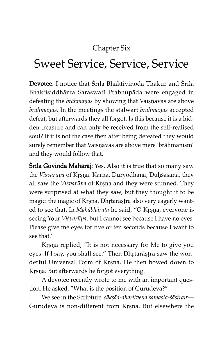### Chapter Six

## Sweet Service, Service, Service

Devotee: I notice that Srila Bhaktivinoda Thākur and Srila Bhaktisiddhånta Saraswat^ Prabhupåda were engaged in defeating the *brāhmaṇas* by showing that Vaiṣṇavas are above brāhmanas. In the meetings the stalwart brāhmaņas accepted defeat, but afterwards they all forgot. Is this because it is a hidden treasure and can only be received from the self-realised soul? If it is not the case then after being defeated they would surely remember that Vaiṣṇavas are above mere 'brāhmaṇism' and they would follow that.

**Śrila Govinda Mahārāj:** Yes. Also it is true that so many saw the Viśvarūpa of Krsna. Karņa, Duryodhana, Duḥśāsana, they all saw the Visvarūpa of Krsna and they were stunned. They were surprised at what they saw, but they thought it to be magic: the magic of Krsna. Dhrtarāstra also very eagerly wanted to see that. In Mahābhārata he said, "O Krsna, everyone is seeing Your Viśvarūpa, but I cannot see because I have no eyes. Please give me eyes for five or ten seconds because I want to see that."

Krsna replied, "It is not necessary for Me to give you eyes. If I say, you shall see." Then Dhrtarāṣṭra saw the wonderful Universal Form of Krsna. He then bowed down to Krsna. But afterwards he forgot everything.

A devotee recently wrote to me with an important question. He asked, "What is the position of Gurudeva?"

We see in the Scripture: sākṣād-dharitvena samasta-śāstrair-Gurudeva is non-different from Krsna. But elsewhere the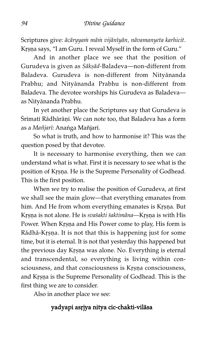Scriptures give: ācāryyam mām vijānīyān, nāvamanyeta karhicit. Krsna says, "I am Guru. I reveal Myself in the form of Guru."

And in another place we see that the position of Gurudeva is given as Sākṣād-Baladeva—non-different from Baladeva. Gurudeva is non-different from Nityånanda Prabhu; and Nityånanda Prabhu is non-different from Baladeva. The devotee worships his Gurudeva as Baladeva as Nityånanda Prabhu.

In yet another place the Scriptures say that Gurudeva is Śrimati Rādhārāņi. We can note too, that Baladeva has a form as a Mañjarī: Anańga Mañjarī.

So what is truth, and how to harmonise it? This was the question posed by that devotee.

It is necessary to harmonise everything, then we can understand what is what. First it is necessary to see what is the position of Krsna. He is the Supreme Personality of Godhead. This is the first position.

When we try to realise the position of Gurudeva, at first we shall see the main glow—that everything emanates from him. And He from whom everything emanates is Krsna. But Krsna is not alone. He is svasakti saktimāna—Krsna is with His Power. When Krsna and His Power come to play, His form is Rādhā-Krṣṇa. It is not that this is happening just for some time, but it is eternal. It is not that yesterday this happened but the previous day Krsna was alone. No. Everything is eternal and transcendental, so everything is living within consciousness, and that consciousness is Krsna consciousness, and Krsna is the Supreme Personality of Godhead. This is the first thing we are to consider.

Also in another place we see:

#### yadyapi asriya nitya cic-chakti-vilāsa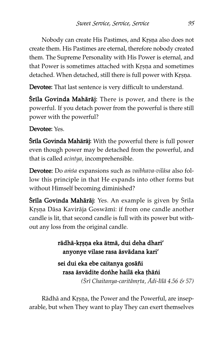Nobody can create His Pastimes, and Krsna also does not create them. His Pastimes are eternal, therefore nobody created them. The Supreme Personality with His Power is eternal, and that Power is sometimes attached with Krsna and sometimes detached. When detached, still there is full power with Krsna.

Devotee: That last sentence is very difficult to understand.

Śrila Govinda Mahārāj: There is power, and there is the powerful. If you detach power from the powerful is there still power with the powerful?

#### Devotee: Yes.

Śrila Govinda Mahārāj: With the powerful there is full power even though power may be detached from the powerful, and that is called acintya, incomprehensible.

Devotee: Do amsa expansions such as vaibhava-vilāsa also follow this principle in that He expands into other forms but without Himself becoming diminished?

**Śrila Govinda Mahārāj:** Yes. An example is given by Śrila Krsņa Dāsa Kavirāja Goswāmī: if from one candle another candle is lit, that second candle is full with its power but without any loss from the original candle.

#### rādhā-krsna eka ātmā, dui deha dhari' anyonye vilase rasa åsvådana kari'

### sei dui eka ebe caitanya gosåñi rasa äsvädite donhe hailä eka thäni

 $(Sri$  Chaitanya-caritāmrta, Ādi-līlā 4.56 & 57)

Rādhā and Krsna, the Power and the Powerful, are inseparable, but when They want to play They can exert themselves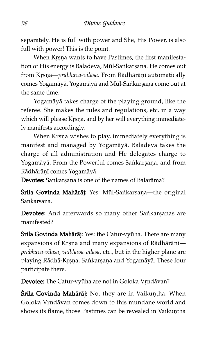separately. He is full with power and She, His Power, is also full with power! This is the point.

When Krsna wants to have Pastimes, the first manifestation of His energy is Baladeva, Mūl-Saṅkarṣaṇa. He comes out from Krsna—prābhava-vilāsa. From Rādhārāņī automatically comes Yogamāyā. Yogamāyā and Mūl-Saṅkarṣaṇa come out at the same time.

Yogamåyå takes charge of the playing ground, like the referee. She makes the rules and regulations, etc. in a way which will please Krsna, and by her will everything immediately manifests accordingly.

When Krsna wishes to play, immediately everything is manifest and managed by Yogamåyå. Baladeva takes the charge of all administration and He delegates charge to Yogamāyā. From the Powerful comes Sankarṣaṇa, and from Rādhārāņī comes Yogamāyā.

Devotee: Sankarsana is one of the names of Balarāma?

**Śrila Govinda Mahārāj:** Yes: Mūl-Sankarṣaṇa—the original Sankarsana.

Devotee: And afterwards so many other Sankarṣaṇas are manifested?

**Śrila Govinda Mahārāj:** Yes: the Catur-vyūha. There are many expansions of Krṣṇa and many expansions of Rādhārāṇi pråbhava-vilåsa, vaibhava-vilåsa, etc., but in the higher plane are playing Rādhā-Krsņa, Sankarşaņa and Yogamāyā. These four participate there.

Devotee: The Catur-vyūha are not in Goloka Vrndāvan?

**Śrila Govinda Mahārāj:** No, they are in Vaikuntha. When Goloka Vrndāvan comes down to this mundane world and shows its flame, those Pastimes can be revealed in Vaikuntha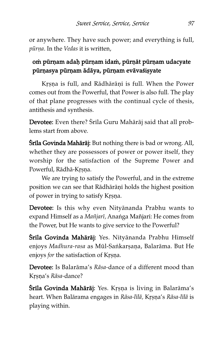or anywhere. They have such power; and everything is full, pūrņa. In the Vedas it is written,

#### om pūrņam adaḥ pūrņam idam, pūrņāt pūrņam udacyate pūrņasya pūrņam ādāya, pūrņam evāvaśișyate

Krsna is full, and Rādhārānī is full. When the Power comes out from the Powerful, that Power is also full. The play of that plane progresses with the continual cycle of thesis, antithesis and synthesis.

Devotee: Even there? Srila Guru Mahārāj said that all problems start from above.

**Śrila Govinda Mahārāj:** But nothing there is bad or wrong. All, whether they are possessors of power or power itself, they worship for the satisfaction of the Supreme Power and Powerful, Rādhā-Krsna.

We are trying to satisfy the Powerful, and in the extreme position we can see that Rādhārāṇī holds the highest position of power in trying to satisfy Krsna.

Devotee: Is this why even Nityånanda Prabhu wants to expand Himself as a Mañjarī, Ananga Mañjarī: He comes from the Power, but He wants to give service to the Powerful?

Śrila Govinda Mahārāj: Yes. Nityānanda Prabhu Himself enjoys Madhura-rasa as Mūl-Saṅkarṣaṇa, Balarāma. But He enjoys for the satisfaction of Krsna.

Devotee: Is Balaråma's Råsa-dance of a different mood than Krsna's Rāsa-dance?

**Śrila Govinda Mahārāj:** Yes. Krsņa is living in Balarāma's heart. When Balārama engages in Rāsa-līlā, Kṛṣṇa's Rāsa-līlā is playing within.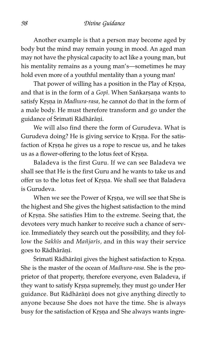Another example is that a person may become aged by body but the mind may remain young in mood. An aged man may not have the physical capacity to act like a young man, but his mentality remains as a young man's—sometimes he may hold even more of a youthful mentality than a young man!

That power of willing has a position in the Play of Krsna, and that is in the form of a Gopi. When Sankarṣaṇa wants to satisfy Krsna in Madhura-rasa, he cannot do that in the form of a male body. He must therefore transform and go under the guidance of Srimati Rādhārāņi.

We will also find there the form of Gurudeva. What is Gurudeva doing? He is giving service to Krsna. For the satisfaction of Krsna he gives us a rope to rescue us, and he takes us as a flower-offering to the lotus feet of Krsna.

Baladeva is the first Guru. If we can see Baladeva we shall see that He is the first Guru and he wants to take us and offer us to the lotus feet of Krsna. We shall see that Baladeva is Gurudeva.

When we see the Power of Krsna, we will see that She is the highest and She gives the highest satisfaction to the mind of Krsna. She satisfies Him to the extreme. Seeing that, the devotees very much hanker to receive such a chance of service. Immediately they search out the possibility, and they follow the Sakhīs and Mañjarīs, and in this way their service goes to Rādhārāņī.

Śrīmatī Rādhārāņī gives the highest satisfaction to Krsņa. She is the master of the ocean of Madhura-rasa. She is the proprietor of that property, therefore everyone, even Baladeva, if they want to satisfy Krsna supremely, they must go under Her guidance. But Rādhārāṇī does not give anything directly to anyone because She does not have the time. She is always busy for the satisfaction of Krsna and She always wants ingre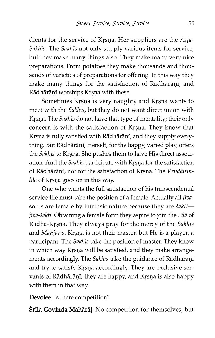dients for the service of Krsna. Her suppliers are the Asta-Sakhīs. The Sakhīs not only supply various items for service, but they make many things also. They make many very nice preparations. From potatoes they make thousands and thousands of varieties of preparations for offering. In this way they make many things for the satisfaction of Rādhārāṇi, and Rādhārāṇī worships Krsna with these.

Sometimes Krsna is very naughty and Krsna wants to meet with the Sakhīs, but they do not want direct union with Krsna. The Sakhīs do not have that type of mentality; their only concern is with the satisfaction of Krsna. They know that Krsna is fully satisfied with Rādhārāṇī, and they supply everything. But Rādhārāṇī, Herself, for the happy, varied play, offers the Sakhīs to Krsna. She pushes them to have His direct association. And the Sakhīs participate with Krṣṇa for the satisfaction of Rādhārāṇī, not for the satisfaction of Kṛṣṇa. The Vṛndāvanlīlā of Krṣṇa goes on in this way.

One who wants the full satisfaction of his transcendental service-life must take the position of a female. Actually all jīvasouls are female by intrinsic nature because they are saktijīva-śakti. Obtaining a female form they aspire to join the Līlā of Rādhā-Krsna. They always pray for the mercy of the Sakhīs and Mañjarīs. Krsņa is not their master, but He is a player, a participant. The Sakhis take the position of master. They know in which way Krsna will be satisfied, and they make arrangements accordingly. The Sakhīs take the guidance of Rādhārāṇī and try to satisfy Krsna accordingly. They are exclusive servants of Rādhārāṇī; they are happy, and Kṛṣṇa is also happy with them in that way.

Devotee: Is there competition?

Śrila Govinda Mahārāj: No competition for themselves, but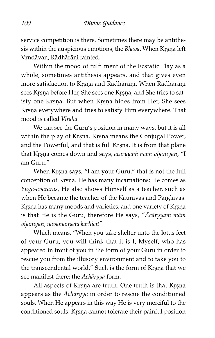service competition is there. Sometimes there may be antithesis within the auspicious emotions, the Bhāva. When Krsna left Vrndāvan, Rādhārāņī fainted.

Within the mood of fulfilment of the Ecstatic Play as a whole, sometimes antithesis appears, and that gives even more satisfaction to Krsna and Rādhārāṇī. When Rādhārāṇī sees Krsna before Her, She sees one Krsna, and She tries to satisfy one Krsna. But when Krsna hides from Her, She sees Krsna everywhere and tries to satisfy Him everywhere. That mood is called Viraha.

We can see the Guru's position in many ways, but it is all within the play of Krsna. Krsna means the Conjugal Power, and the Powerful, and that is full Krsna. It is from that plane that Krsna comes down and says, ācāryyam mām vijānīyān, "I am Guru."

When Krsna says, "I am your Guru," that is not the full conception of Krsna. He has many incarnations: He comes as Yuga-avatåras, He also shows Himself as a teacher, such as when He became the teacher of the Kauravas and Pāndavas. Krsna has many moods and varieties, and one variety of Krsna is that He is the Guru, therefore He says, "Acāryyam mām vijån^yån, nåvamanyeta karhicit"

Which means, "When you take shelter unto the lotus feet of your Guru, you will think that it is I, Myself, who has appeared in front of you in the form of your Guru in order to rescue you from the illusory environment and to take you to the transcendental world." Such is the form of Krsna that we see manifest there: the Ächåryya form.

All aspects of Krsna are truth. One truth is that Krsna appears as the Ächåryya in order to rescue the conditioned souls. When He appears in this way He is very merciful to the conditioned souls. Krsna cannot tolerate their painful position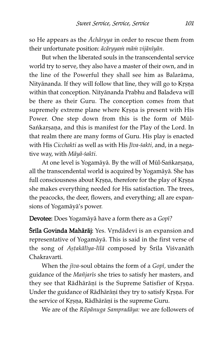so He appears as the Ächåryya in order to rescue them from their unfortunate position: ācāryyam mām vijānīyān.

But when the liberated souls in the transcendental service world try to serve, they also have a master of their own, and in the line of the Powerful they shall see him as Balaråma, Nityānanda. If they will follow that line, they will go to Krṣṇa within that conception. Nityånanda Prabhu and Baladeva will be there as their Guru. The conception comes from that supremely extreme plane where Krsna is present with His Power. One step down from this is the form of Mūl-Sankarsana, and this is manifest for the Play of the Lord. In that realm there are many forms of Guru. His play is enacted with His Cicchakti as well as with His Jīva-śakti, and, in a negative way, with Māyā-śakti.

At one level is Yogamāyā. By the will of Mūl-Sankarṣaṇa, all the transcendental world is acquired by Yogamåyå. She has full consciousness about Krsna, therefore for the play of Krsna she makes everything needed for His satisfaction. The trees, the peacocks, the deer, flowers, and everything; all are expansions of Yogamåyå's power.

Devotee: Does Yogamāyā have a form there as a Gopī?

Śrila Govinda Mahārāj: Yes. Vrndādevi is an expansion and representative of Yogamåyå. This is said in the first verse of the song of Astakālīya-līlā composed by Śrila Viśvanāth Chakravartī.

When the  $jiva$ -soul obtains the form of a Gopi, under the guidance of the Mañjarīs she tries to satisfy her masters, and they see that Rādhārāṇī is the Supreme Satisfier of Krṣṇa. Under the guidance of Rādhārāṇī they try to satisfy Kṛṣṇa. For the service of Krsna, Rādhārāṇī is the supreme Guru.

We are of the Rūpānuga Sampradāya: we are followers of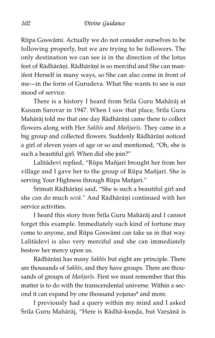Rūpa Goswāmī. Actually we do not consider ourselves to be following properly, but we are trying to be followers. The only destination we can see is in the direction of the lotus feet of Rādhārānī. Rādhārānī is so merciful and She can manifest Herself in many ways, so She can also come in front of me—in the form of Gurudeva. What She wants to see is our mood of service.

There is a history I heard from Srila Guru Mahārāj at Kusum Sarovar in 1947. When I saw that place, Srila Guru Mahārāj told me that one day Rādhārāṇī came there to collect flowers along with Her Sakhis and Mañjaris. They came in a big group and collected flowers. Suddenly Rādhārāṇī noticed a girl of eleven years of age or so and mentioned, "Oh, she is such a beautiful girl. When did she join?"

Lalitādevī replied, "Rūpa Mañjarī brought her from her village and I gave her to the group of Rūpa Mañjarī. She is serving Your Highness through Rūpa Mañjari."

Śrīmatī Rādhārāṇī said, "She is such a beautiful girl and she can do much sevā." And Rādhārānī continued with her service activities.

I heard this story from Srila Guru Mahārāj and I cannot forget this example. Immediately such kind of fortune may come to anyone, and Rūpa Goswāmī can take us in that way. Lalitādevī is also very merciful and she can immediately bestow her mercy upon us.

Rādhārāņī has many Sakhīs but eight are principle. There are thousands of Sakhīs, and they have groups. There are thousands of groups of Mañjarīs. First we must remember that this matter is to do with the transcendental universe. Within a second it can expand by one thousand yojanas\* and more.

I previously had a query within my mind and I asked Śrila Guru Mahārāj, "Here is Rādhā-kuņḍa, but Varṣānā is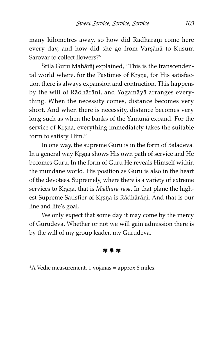many kilometres away, so how did Rādhārāņī come here every day, and how did she go from Varșānā to Kusum Sarovar to collect flowers?"

Śrila Guru Mahārāj explained, "This is the transcendental world where, for the Pastimes of Krsna, for His satisfaction there is always expansion and contraction. This happens by the will of Rādhārāṇī, and Yogamāyā arranges everything. When the necessity comes, distance becomes very short. And when there is necessity, distance becomes very long such as when the banks of the Yamunå expand. For the service of Krsna, everything immediately takes the suitable form to satisfy Him."

In one way, the supreme Guru is in the form of Baladeva. In a general way Krsna shows His own path of service and He becomes Guru. In the form of Guru He reveals Himself within the mundane world. His position as Guru is also in the heart of the devotees. Supremely, where there is a variety of extreme services to Krsna, that is Madhura-rasa. In that plane the highest Supreme Satisfier of Krsna is Rādhārāṇī. And that is our line and life's goal.

We only expect that some day it may come by the mercy of Gurudeva. Whether or not we will gain admission there is by the will of my group leader, my Gurudeva.

✾ ✹ ✾

\*A Vedic measurement. 1 yojanas = approx 8 miles.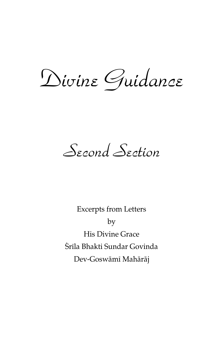*Divine Guidance*

*Second Section*

Excerpts from Letters by His Divine Grace çr^la Bhakti Sundar Govinda Dev-Goswåm^ Mahåråj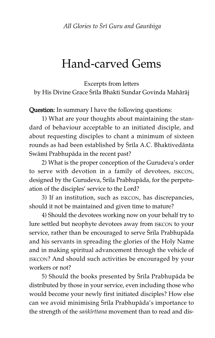### Hand-carved Gems

Excerpts from letters by His Divine Grace Śrila Bhakti Sundar Govinda Mahārāj

Question: In summary I have the following questions:

1) What are your thoughts about maintaining the standard of behaviour acceptable to an initiated disciple, and about requesting disciples to chant a minimum of sixteen rounds as had been established by Śrila A.C. Bhaktivedānta Swāmī Prabhupāda in the recent past?

2) What is the proper conception of the Gurudeva's order to serve with devotion in a family of devotees, ISKCON, designed by the Gurudeva, Srila Prabhupāda, for the perpetuation of the disciples' service to the Lord?

3) If an institution, such as ISKCON, has discrepancies, should it not be maintained and given time to mature?

4) Should the devotees working now on your behalf try to lure settled but neophyte devotees away from ISKCON to your service, rather than be encouraged to serve Srila Prabhupāda and his servants in spreading the glories of the Holy Name and in making spiritual advancement through the vehicle of ISKCON? And should such activities be encouraged by your workers or not?

5) Should the books presented by Srila Prabhupāda be distributed by those in your service, even including those who would become your newly first initiated disciples? How else can we avoid minimising Srila Prabhupāda's importance to the strength of the *sankirttana* movement than to read and dis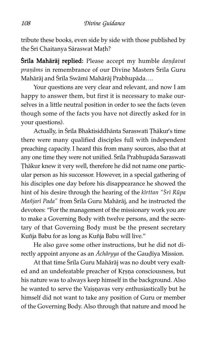tribute these books, even side by side with those published by the Śrī Chaitanya Sāraswat Math?

Śrila Mahārāj replied: Please accept my humble dandavat pranāms in remembrance of our Divine Masters Śrīla Guru Mahārāj and Śrīla Swāmī Mahārāj Prabhupāda….

Your questions are very clear and relevant, and now I am happy to answer them, but first it is necessary to make ourselves in a little neutral position in order to see the facts (even though some of the facts you have not directly asked for in your questions).

Actually, in Śrīla Bhaktisiddhānta Saraswatī Ţhākur's time there were many qualified disciples full with independent preaching capacity. I heard this from many sources, also that at any one time they were not unified. Srila Prabhupāda Saraswatī Thākur knew it very well, therefore he did not name one particular person as his successor. However, in a special gathering of his disciples one day before his disappearance he showed the hint of his desire through the hearing of the kīrttan "Srī Rūpa Mañjarī Pada" from Śrīla Guru Mahārāj, and he instructed the devotees: "For the management of the missionary work you are to make a Governing Body with twelve persons, and the secretary of that Governing Body must be the present secretary Kuñja Babu for as long as Kuñja Babu will live."

He also gave some other instructions, but he did not directly appoint anyone as an  $A$ chāryya of the Gau $\vec{q}$ iya Mission.

At that time Śrila Guru Mahārāj was no doubt very exalted and an undefeatable preacher of Krsna consciousness, but his nature was to always keep himself in the background. Also he wanted to serve the Vaiṣṇavas very enthusiastically but he himself did not want to take any position of Guru or member of the Governing Body. Also through that nature and mood he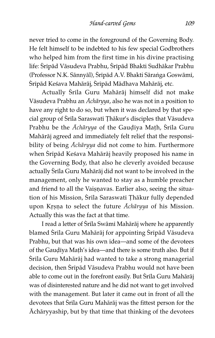never tried to come in the foreground of the Governing Body. He felt himself to be indebted to his few special Godbrothers who helped him from the first time in his divine practising life: Śrīpād Vāsudeva Prabhu, Śrīpād Bhakti Sudhākar Prabhu (Professor N.K. Sānnyāl), Śrīpād A.V. Bhakti Sāranga Goswāmī, Śrīpād Keśava Mahārāj, Śrīpād Mādhava Mahārāj, etc.

Actually Srila Guru Mahārāj himself did not make Våsudeva Prabhu an Ächåryya, also he was not in a position to have any right to do so, but when it was declared by that special group of Śrila Saraswati Ţhākur's disciples that Vāsudeva Prabhu be the Achāryya of the Gaudiya Math, Srila Guru Mahåråj agreed and immediately felt relief that the responsibility of being Ächåryya did not come to him. Furthermore when Śrīpād Keśava Mahārāj heavily proposed his name in the Governing Body, that also he cleverly avoided because actually Śrīla Guru Mahārāj did not want to be involved in the management, only he wanted to stay as a humble preacher and friend to all the Vaișņavas. Earlier also, seeing the situation of his Mission, Srila Saraswati Thākur fully depended upon Krṣṇa to select the future Āchāryya of his Mission. Actually this was the fact at that time.

I read a letter of Śrila Swāmi Mahārāj where he apparently blamed Śrila Guru Mahārāj for appointing Śrīpād Vāsudeva Prabhu, but that was his own idea—and some of the devotees of the Gaudiya Math's idea—and there is some truth also. But if Śrila Guru Mahārāj had wanted to take a strong managerial decision, then Śrīpād Vāsudeva Prabhu would not have been able to come out in the forefront easily. But Śrila Guru Mahārāj was of disinterested nature and he did not want to get involved with the management. But later it came out in front of all the devotees that Srila Guru Mahārāj was the fittest person for the Ächåryyaship, but by that time that thinking of the devotees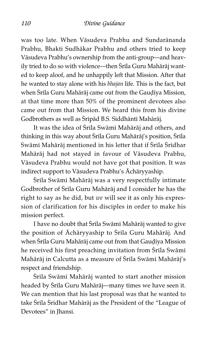was too late. When Våsudeva Prabhu and Sundarånanda Prabhu, Bhakti Sudhåkar Prabhu and others tried to keep Våsudeva Prabhu's ownership from the anti-group—and heavily tried to do so with violence—then Śrila Guru Mahārāj wanted to keep aloof, and he unhappily left that Mission. After that he wanted to stay alone with his bhajan life. This is the fact, but when Śrila Guru Mahārāj came out from the Gaudiya Mission, at that time more than 50% of the prominent devotees also came out from that Mission. We heard this from his divine Godbrothers as well as Śrīpād B.S. Siddhāntī Mahārāj.

It was the idea of Srila Swāmi Mahārāj and others, and thinking in this way about Srila Guru Mahārāj's position, Srila Swāmī Mahārāj mentioned in his letter that if Śrīla Śrīdhar Mahåråj had not stayed in favour of Våsudeva Prabhu, Våsudeva Prabhu would not have got that position. It was indirect support to Våsudeva Prabhu's Ächåryyaship.

Śrila Swāmi Mahārāj was a very respectfully intimate Godbrother of Śrila Guru Mahārāj and I consider he has the right to say as he did, but we will see it as only his expression of clarification for his disciples in order to make his mission perfect.

I have no doubt that Śrila Swāmi Mahārāj wanted to give the position of Āchāryyaship to Śrīla Guru Mahārāj. And when Śrila Guru Mahārāj came out from that Gaudiya Mission he received his first preaching invitation from Srila Swāmī Mahārāj in Calcutta as a measure of Śrīla Swāmī Mahārāj's respect and friendship.

Śrila Swāmi Mahārāj wanted to start another mission headed by Srila Guru Mahārāj—many times we have seen it. We can mention that his last proposal was that he wanted to take Srila Sridhar Mahārāj as the President of the "League of Devotees" in Jhansi.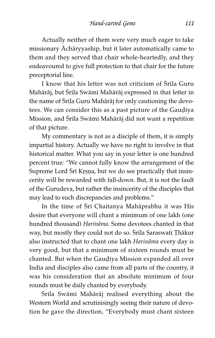*Hand-carved Gems 111*

Actually neither of them were very much eager to take missionary Ächåryyaship, but it later automatically came to them and they served that chair whole-heartedly, and they endeavoured to give full protection to that chair for the future preceptorial line.

I know that his letter was not criticism of Srila Guru Mahārāj, but Śrīla Swāmī Mahārāj expressed in that letter in the name of Śrila Guru Mahārāj for only cautioning the devotees. We can consider this as a past picture of the Gaudiya Mission, and Śrila Swāmī Mahārāj did not want a repetition of that picture.

My commentary is not as a disciple of them, it is simply impartial history. Actually we have no right to involve in that historical matter. What you say in your letter is one hundred percent true: "We cannot fully know the arrangement of the Supreme Lord Śrī Krṣṇa, but we do see practically that insincerity will be rewarded with fall-down. But, it is not the fault of the Gurudeva, but rather the insincerity of the disciples that may lead to such discrepancies and problems."

In the time of Śrī Chaitanya Mahāprabhu it was His desire that everyone will chant a minimum of one lakh (one hundred thousand) Harinåma. Some devotees chanted in that way, but mostly they could not do so. Srila Saraswati Thākur also instructed that to chant one lakh Harinåma every day is very good, but that a minimum of sixteen rounds must be chanted. But when the Gaudiya Mission expanded all over India and disciples also came from all parts of the country, it was his consideration that an absolute minimum of four rounds must be daily chanted by everybody.

Śrila Swāmi Mahārāj realised everything about the Western World and scrutinisingly seeing their nature of devotion he gave the direction, "Everybody must chant sixteen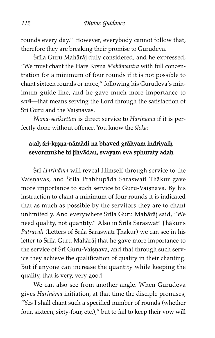rounds every day." However, everybody cannot follow that, therefore they are breaking their promise to Gurudeva.

Śrila Guru Mahārāj duly considered, and he expressed, "We must chant the Hare Krsna Mahāmantra with full concentration for a minimum of four rounds if it is not possible to chant sixteen rounds or more," following his Gurudeva's minimum guide-line, and he gave much more importance to sevå—that means serving the Lord through the satisfaction of Śrī Guru and the Vaisnavas.

Nāma-sankīrttan is direct service to Harināma if it is perfectly done without offence. You know the śloka:

# ataḥ śrī-kṛṣṇa-nāmādi na bhaved grāhyam indriyaiḥ sevonmukhe hi jihvādau, svayam eva sphuraty adaḥ

Śrī Harināma will reveal Himself through service to the Vaișņavas, and Śrīla Prabhupāda Saraswatī Thākur gave more importance to such service to Guru-Vaișnava. By his instruction to chant a minimum of four rounds it is indicated that as much as possible by the servitors they are to chant unlimitedly. And everywhere Śrila Guru Mahārāj said, "We need quality, not quantity." Also in Śrila Saraswati Thākur's Patrāvalī (Letters of Śrila Saraswati Thākur) we can see in his letter to Śrila Guru Mahārāj that he gave more importance to the service of Sri Guru-Vaișņava, and that through such service they achieve the qualification of quality in their chanting. But if anyone can increase the quantity while keeping the quality, that is very, very good.

We can also see from another angle. When Gurudeva gives Harinåma initiation, at that time the disciple promises, "Yes I shall chant such a specified number of rounds (whether four, sixteen, sixty-four, etc.)," but to fail to keep their vow will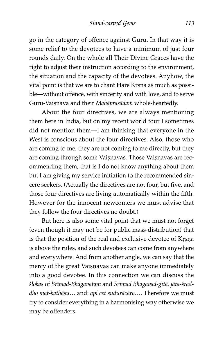go in the category of offence against Guru. In that way it is some relief to the devotees to have a minimum of just four rounds daily. On the whole all Their Divine Graces have the right to adjust their instruction according to the environment, the situation and the capacity of the devotees. Anyhow, the vital point is that we are to chant Hare Krsna as much as possible—without offence, with sincerity and with love, and to serve Guru-Vaiṣṇava and their Mahāprasādam whole-heartedly.

About the four directives, we are always mentioning them here in India, but on my recent world tour I sometimes did not mention them—I am thinking that everyone in the West is conscious about the four directives. Also, those who are coming to me, they are not coming to me directly, but they are coming through some Vaișnavas. Those Vaișnavas are recommending them, that is I do not know anything about them but I am giving my service initiation to the recommended sincere seekers. (Actually the directives are not four, but five, and those four directives are living automatically within the fifth. However for the innocent newcomers we must advise that they follow the four directives no doubt.)

But here is also some vital point that we must not forget (even though it may not be for public mass-distribution) that is that the position of the real and exclusive devotee of Krṣṇa is above the rules, and such devotees can come from anywhere and everywhere. And from another angle, we can say that the mercy of the great Vaiṣṇavas can make anyone immediately into a good devotee. In this connection we can discuss the ślokas of Śrīmad-Bhāgavatam and Śrīmad Bhagavad-gītā, jāta-śraddho mat-kathåsu… and: api cet suduråcåro…. Therefore we must try to consider everything in a harmonising way otherwise we may be offenders.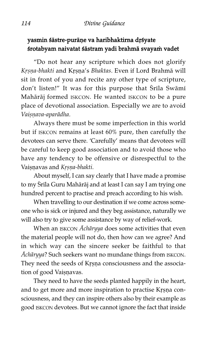# yasmin śāstre-purāņe va haribhaktirna drśyate śrotabyam naivatat śāstram yadi brahmā svayam vadet

"Do not hear any scripture which does not glorify Krsna-bhakti and Krsna's Bhaktas. Even if Lord Brahmā will sit in front of you and recite any other type of scripture, don't listen!" It was for this purpose that Srila Swāmi Mahåråj formed ISKCON. He wanted ISKCON to be a pure place of devotional association. Especially we are to avoid Vaisnava-aparādha.

Always there must be some imperfection in this world but if ISKCON remains at least 60% pure, then carefully the devotees can serve there. 'Carefully' means that devotees will be careful to keep good association and to avoid those who have any tendency to be offensive or disrespectful to the Vaisnavas and Krsna-bhakti.

About myself, I can say clearly that I have made a promise to my Śrila Guru Mahārāj and at least I can say I am trying one hundred percent to practise and preach according to his wish.

When travelling to our destination if we come across someone who is sick or injured and they beg assistance, naturally we will also try to give some assistance by way of relief-work.

When an ISKCON Acharyya does some activities that even the material people will not do, then how can we agree? And in which way can the sincere seeker be faithful to that Ächåryya? Such seekers want no mundane things from ISKCON. They need the seeds of Krsna consciousness and the association of good Vaisnavas.

They need to have the seeds planted happily in the heart, and to get more and more inspiration to practise Krsna consciousness, and they can inspire others also by their example as good ISKCON devotees. But we cannot ignore the fact that inside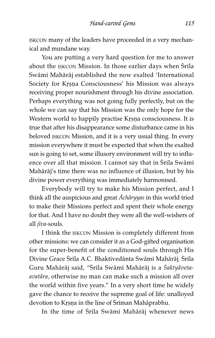ISKCON many of the leaders have proceeded in a very mechanical and mundane way.

You are putting a very hard question for me to answer about the ISKCON Mission. In those earlier days when Srila Swāmī Mahārāj established the now exalted 'International Society for Krsna Consciousness' his Mission was always receiving proper nourishment through his divine association. Perhaps everything was not going fully perfectly, but on the whole we can say that his Mission was the only hope for the Western world to happily practise Krsna consciousness. It is true that after his disappearance some disturbance came in his beloved ISKCON Mission, and it is a very usual thing. In every mission everywhere it must be expected that when the exalted sun is going to set, some illusory environment will try to influence over all that mission. I cannot say that in Śrila Swāmī Mahåråj's time there was no influence of illusion, but by his divine power everything was immediately harmonised.

Everybody will try to make his Mission perfect, and I think all the auspicious and great  $A$ chāryyas in this world tried to make their Missions perfect and spent their whole energy for that. And I have no doubt they were all the well-wishers of all jīva-souls.

I think the ISKCON Mission is completely different from other missions: we can consider it as a God-gifted organisation for the super-benefit of the conditioned souls through His Divine Grace Śrīla A.C. Bhaktivedānta Swāmī Mahārāj. Śrīla Guru Mahārāj said, "Srīla Swāmī Mahārāj is a Saktyāvesaavatåra, otherwise no man can make such a mission all over the world within five years." In a very short time he widely gave the chance to receive the supreme goal of life: unalloyed devotion to Krsna in the line of Sriman Mahāprabhu.

In the time of Śrīla Swāmī Mahārāj whenever news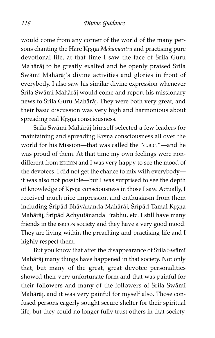would come from any corner of the world of the many persons chanting the Hare Krsna Mahāmantra and practising pure devotional life, at that time I saw the face of Srila Guru Mahārāj to be greatly exalted and he openly praised Śrīla Swāmī Mahārāj's divine activities and glories in front of everybody. I also saw his similar divine expression whenever Śrila Swāmī Mahārāj would come and report his missionary news to Śrila Guru Mahārāj. They were both very great, and their basic discussion was very high and harmonious about spreading real Krṣṇa consciousness.

Śrila Swāmi Mahārāj himself selected a few leaders for maintaining and spreading Krsna consciousness all over the world for his Mission—that was called the "G.B.C."—and he was proud of them. At that time my own feelings were nondifferent from ISKCON and I was very happy to see the mood of the devotees. I did not get the chance to mix with everybody it was also not possible—but I was surprised to see the depth of knowledge of Krsna consciousness in those I saw. Actually, I received much nice impression and enthusiasm from them including Sripād Bhāvānanda Mahārāj, Sripād Tamal Krṣṇa Mahārāj, Śrīpād Achyutānanda Prabhu, etc. I still have many friends in the ISKCON society and they have a very good mood. They are living within the preaching and practising life and I highly respect them.

But you know that after the disappearance of Srila Swāmi Mahåråj many things have happened in that society. Not only that, but many of the great, great devotee personalities showed their very unfortunate form and that was painful for their followers and many of the followers of Śrila Swāmi Mahåråj, and it was very painful for myself also. Those confused persons eagerly sought secure shelter for their spiritual life, but they could no longer fully trust others in that society.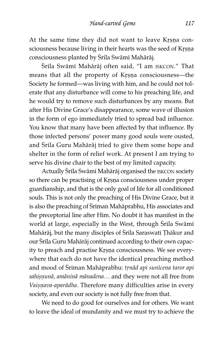At the same time they did not want to leave Krșņa consciousness because living in their hearts was the seed of Krsna consciousness planted by Śrila Swāmi Mahārāj.

Śrila Swāmi Mahārāj often said, "I am ISKCON." That means that all the property of Krsna consciousness-the Society he formed—was living with him, and he could not tolerate that any disturbance will come to his preaching life, and he would try to remove such disturbances by any means. But after His Divine Grace's disappearance, some wave of illusion in the form of ego immediately tried to spread bad influence. You know that many have been affected by that influence. By those infected persons' power many good souls were ousted, and Śrila Guru Mahārāj tried to give them some hope and shelter in the form of relief work. At present I am trying to serve his divine chair to the best of my limited capacity.

Actually Śrīla Swāmī Mahārāj organised the ISKCON society so there can be practising of Krsna consciousness under proper guardianship, and that is the only goal of life for all conditioned souls. This is not only the preaching of His Divine Grace, but it is also the preaching of Sriman Mahāprabhu, His associates and the preceptorial line after Him. No doubt it has manifest in the world at large, especially in the West, through Srila Swāmī Mahārāj, but the many disciples of Śrila Saraswati Ţhākur and our Śrila Guru Mahārāj continued according to their own capacity to preach and practise Krsna consciousness. We see everywhere that each do not have the identical preaching method and mood of Sriman Mahāprabhu: trnād api sunīcena taror api sahișņunā, amāninā mānadena... and they were not all free from Vaișņava-aparādha. Therefore many difficulties arise in every society, and even our society is not fully free from that.

We need to do good for ourselves and for others. We want to leave the ideal of mundanity and we must try to achieve the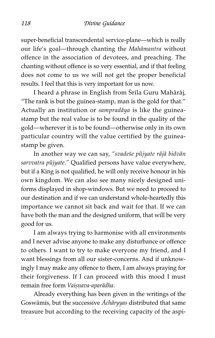super-beneficial transcendental service-plane—which is really our life's goal—through chanting the Mahåmantra without offence in the association of devotees, and preaching. The chanting without offence is so very essential, and if that feeling does not come to us we will not get the proper beneficial results. I feel that this is very important for us now.

I heard a phrase in English from Śrila Guru Mahārāj, "The rank is but the guinea-stamp, man is the gold for that." Actually an institution or sampradåya is like the guineastamp but the real value is to be found in the quality of the gold—wherever it is to be found—otherwise only in its own particular country will the value certified by the guineastamp be given.

In another way we can say, "svadeśe pūjyate rājā bidvān sarvvatra pūjyate." Qualified persons have value everywhere, but if a King is not qualified, he will only receive honour in his own kingdom. We can also see many nicely designed uniforms displayed in shop-windows. But we need to proceed to our destination and if we can understand whole-heartedly this importance we cannot sit back and wait for that. If we can have both the man and the designed uniform, that will be very good for us.

I am always trying to harmonise with all environments and I never advise anyone to make any disturbance or offence to others. I want to try to make everyone my friend, and I want blessings from all our sister-concerns. And if unknowingly I may make any offence to them, I am always praying for their forgiveness. If I can proceed with this mood I must remain free form Vaisnava-aparādha.

Already everything has been given in the writings of the Goswāmis, but the successive  $A$ chāryyas distributed that same treasure but according to the receiving capacity of the aspi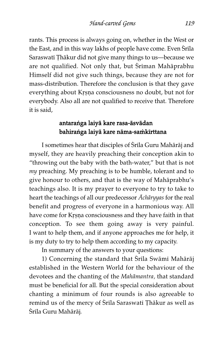rants. This process is always going on, whether in the West or the East, and in this way lakhs of people have come. Even Srila Saraswati Thākur did not give many things to us—because we are not qualified. Not only that, but Sriman Mahāprabhu Himself did not give such things, because they are not for mass-distribution. Therefore the conclusion is that they gave everything about Krsna consciousness no doubt, but not for everybody. Also all are not qualified to receive that. Therefore it is said,

# antaraíga laiyå kare rasa-åsvådan bahiranga laiyā kare nāma-samkīrttana

I sometimes hear that disciples of Srila Guru Mahārāj and myself, they are heavily preaching their conception akin to "throwing out the baby with the bath-water," but that is not my preaching. My preaching is to be humble, tolerant and to give honour to others, and that is the way of Mahåprabhu's teachings also. It is my prayer to everyone to try to take to heart the teachings of all our predecessor Ächåryyas for the real benefit and progress of everyone in a harmonious way. All have come for Krsna consciousness and they have faith in that conception. To see them going away is very painful. I want to help them, and if anyone approaches me for help, it is my duty to try to help them according to my capacity.

In summary of the answers to your questions:

1) Concerning the standard that Śrila Swāmi Mahārāj established in the Western World for the behaviour of the devotees and the chanting of the Mahåmantra, that standard must be beneficial for all. But the special consideration about chanting a minimum of four rounds is also agreeable to remind us of the mercy of Srila Saraswati Thākur as well as Śrīla Guru Mahārāj.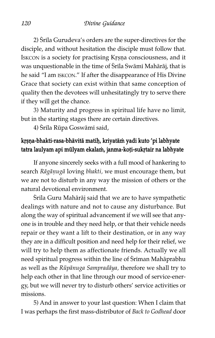2) Srila Gurudeva's orders are the super-directives for the disciple, and without hesitation the disciple must follow that. ISKCON is a society for practising Krsna consciousness, and it was unquestionable in the time of Śrila Swāmi Mahārāj, that is he said "I am ISKCON." If after the disappearance of His Divine Grace that society can exist within that same conception of quality then the devotees will unhesitatingly try to serve there if they will get the chance.

3) Maturity and progress in spiritual life have no limit, but in the starting stages there are certain directives.

4) Srila Rūpa Goswāmi said,

# krsna-bhakti-rasa-bhāvitā matiḥ, kriyatām yadi kuto 'pi labhyate tatra laulyam api mūlyam ekalam, janma-koți-sukrtair na labhyate

If anyone sincerely seeks with a full mood of hankering to search Rāgāņugā loving bhakti, we must encourage them, but we are not to disturb in any way the mission of others or the natural devotional environment.

Śrila Guru Mahārāj said that we are to have sympathetic dealings with nature and not to cause any disturbance. But along the way of spiritual advancement if we will see that anyone is in trouble and they need help, or that their vehicle needs repair or they want a lift to their destination, or in any way they are in a difficult position and need help for their relief, we will try to help them as affectionate friends. Actually we all need spiritual progress within the line of Sriman Mahāprabhu as well as the Rūpānuga Sampradāya, therefore we shall try to help each other in that line through our mood of service-energy, but we will never try to disturb others' service activities or missions.

5) And in answer to your last question: When I claim that I was perhaps the first mass-distributor of Back to Godhead door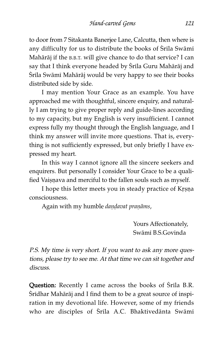to door from 7 Sitakanta Banerjee Lane, Calcutta, then where is any difficulty for us to distribute the books of Śrīla Swāmī Mahåråj if the B.B.T. will give chance to do that service? I can say that I think everyone headed by Śrila Guru Mahārāj and Śrila Swāmi Mahārāj would be very happy to see their books distributed side by side.

I may mention Your Grace as an example. You have approached me with thoughtful, sincere enquiry, and naturally I am trying to give proper reply and guide-lines according to my capacity, but my English is very insufficient. I cannot express fully my thought through the English language, and I think my answer will invite more questions. That is, everything is not sufficiently expressed, but only briefly I have expressed my heart.

In this way I cannot ignore all the sincere seekers and enquirers. But personally I consider Your Grace to be a qualified Vaisnava and merciful to the fallen souls such as myself.

I hope this letter meets you in steady practice of Krșņa consciousness.

Again with my humble dandavat praṇāms,

Yours Affectionately, Swåm^ B.S.Govinda

P.S. My time is very short. If you want to ask any more questions, please try to see me. At that time we can sit together and discuss.

Question: Recently I came across the books of Srila B.R. Śridhar Mahārāj and I find them to be a great source of inspiration in my devotional life. However, some of my friends who are disciples of Srila A.C. Bhaktivedānta Swāmi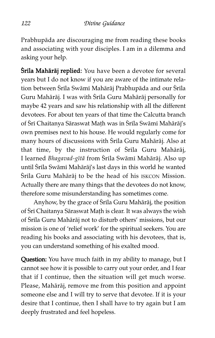Prabhupåda are discouraging me from reading these books and associating with your disciples. I am in a dilemma and asking your help.

**Śrila Mahārāj replied:** You have been a devotee for several years but I do not know if you are aware of the intimate relation between Śrīla Swāmī Mahārāj Prabhupāda and our Śrīla Guru Mahārāj. I was with Śrīla Guru Mahārāj personally for maybe 42 years and saw his relationship with all the different devotees. For about ten years of that time the Calcutta branch of Śrī Chaitanya Sāraswat Mațh was in Śrīla Swāmī Mahārāj's own premises next to his house. He would regularly come for many hours of discussions with Śrila Guru Mahārāj. Also at that time, by the instruction of Srila Guru Mahārāj, I learned Bhagavad-gītā from Śrīla Swāmī Mahārāj. Also up until Śrīla Swāmī Mahārāj's last days in this world he wanted Śrila Guru Mahārāj to be the head of his ISKCON Mission. Actually there are many things that the devotees do not know, therefore some misunderstanding has sometimes come.

Anyhow, by the grace of Śrila Guru Mahārāj, the position of Srī Chaitanya Sāraswat Mațh is clear. It was always the wish of Śrila Guru Mahārāj not to disturb others' missions, but our mission is one of 'relief work' for the spiritual seekers. You are reading his books and associating with his devotees, that is, you can understand something of his exalted mood.

Question: You have much faith in my ability to manage, but I cannot see how it is possible to carry out your order, and I fear that if I continue, then the situation will get much worse. Please, Mahåråj, remove me from this position and appoint someone else and I will try to serve that devotee. If it is your desire that I continue, then I shall have to try again but I am deeply frustrated and feel hopeless.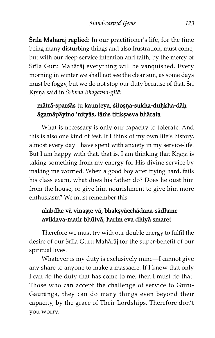**Srila Mahārāj replied:** In our practitioner's life, for the time being many disturbing things and also frustration, must come, but with our deep service intention and faith, by the mercy of Śrila Guru Mahārāj everything will be vanquished. Every morning in winter we shall not see the clear sun, as some days must be foggy, but we do not stop our duty because of that. Sri Krsna said in Śrīmad Bhagavad-gītā:

# mātrā-sparśās tu kaunteya, śītoṣṇa-sukha-duḥkha-dāḥ āgamāpāyino 'nityās, tāms titik sasva bhārata

What is necessary is only our capacity to tolerate. And this is also one kind of test. If I think of my own life's history, almost every day I have spent with anxiety in my service-life. But I am happy with that, that is, I am thinking that Krṣṇa is taking something from my energy for His divine service by making me worried. When a good boy after trying hard, fails his class exam, what does his father do? Does he oust him from the house, or give him nourishment to give him more enthusiasm? We must remember this.

# alabdhe vā vinașțe vā, bhakșyācchādana-sādhane aviklava-matir bhūtvā, harim eva dhiyā smaret

Therefore we must try with our double energy to fulfil the desire of our Srila Guru Mahārāj for the super-benefit of our spiritual lives.

Whatever is my duty is exclusively mine—I cannot give any share to anyone to make a massacre. If I know that only I can do the duty that has come to me, then I must do that. Those who can accept the challenge of service to Guru-Gaurānga, they can do many things even beyond their capacity, by the grace of Their Lordships. Therefore don't you worry.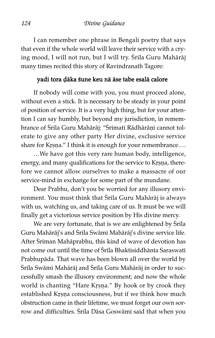I can remember one phrase in Bengali poetry that says that even if the whole world will leave their service with a crying mood, I will not run, but I will try. Srila Guru Mahārāj many times recited this story of Ravindranath Tagore:

## yadi tora àåka ßune keu nå åse tabe esalå calore

If nobody will come with you, you must proceed alone, without even a stick. It is necessary to be steady in your point of position of service. It is a very high thing, but for your attention I can say humbly, but beyond my jurisdiction, in remembrance of Śrila Guru Mahārāj: "Śrīmatī Rādhārāņī cannot tolerate to give any other party Her divine, exclusive service share for Krṣṇa." I think it is enough for your remembrance....

…We have got this very rare human body, intelligence, energy, and many qualifications for the service to Krsna, therefore we cannot allow ourselves to make a massacre of our service-mind in exchange for some part of the mundane.

Dear Prabhu, don't you be worried for any illusory environment. You must think that Śrila Guru Mahārāj is always with us, watching us, and taking care of us. It must be we will finally get a victorious service position by His divine mercy.

We are very fortunate, that is we are enlightened by Srila Guru Mahārāj's and Śrīla Swāmī Mahārāj's divine service life. After Sriman Mahāprabhu, this kind of wave of devotion has not come out until the time of Śrīla Bhaktisiddhānta Saraswatī Prabhupåda. That wave has been blown all over the world by Śrīla Swāmī Mahārāj and Śrīla Guru Mahārāj in order to successfully smash the illusory environment; and now the whole world is chanting "Hare Krṣṇa." By hook or by crook they established Krsna consciousness, but if we think how much obstruction came in their lifetime, we must forget our own sorrow and difficulties. Srila Dāsa Goswāmi said that when you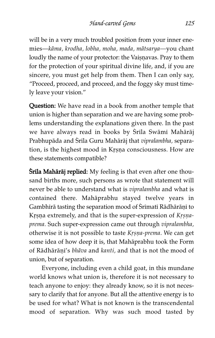will be in a very much troubled position from your inner enemies—kåma, krodha, lobha, moha, mada, måtsarya—you chant loudly the name of your protector: the Vaisnavas. Pray to them for the protection of your spiritual divine life, and, if you are sincere, you must get help from them. Then I can only say, "Proceed, proceed, and proceed, and the foggy sky must timely leave your vision."

Question: We have read in a book from another temple that union is higher than separation and we are having some problems understanding the explanations given there. In the past we have always read in books by Śrila Swāmi Mahārāj Prabhupāda and Śrīla Guru Mahārāj that vipralambha, separation, is the highest mood in Krṣṇa consciousness. How are these statements compatible?

**Śrila Mahārāj replied:** My feeling is that even after one thousand births more, such persons as wrote that statement will never be able to understand what is vipralambha and what is contained there. Mahåprabhu stayed twelve years in Gambhīrā tasting the separation mood of Śrīmatī Rādhārāṇī to Krṣṇa extremely, and that is the super-expression of Krṣṇaprema. Such super-expression came out through vipralambha, otherwise it is not possible to taste Krsna-prema. We can get some idea of how deep it is, that Mahåprabhu took the Form of Rādhārāṇī's bhāva and kanti, and that is not the mood of union, but of separation.

Everyone, including even a child goat, in this mundane world knows what union is, therefore it is not necessary to teach anyone to enjoy: they already know, so it is not necessary to clarify that for anyone. But all the attentive energy is to be used for what? What is not known is the transcendental mood of separation. Why was such mood tasted by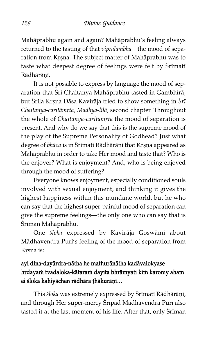Mahåprabhu again and again? Mahåprabhu's feeling always returned to the tasting of that vipralambha—the mood of separation from Krsna. The subject matter of Mahāprabhu was to taste what deepest degree of feelings were felt by Srimati Rādhārānī.

It is not possible to express by language the mood of separation that Sri Chaitanya Mahāprabhu tasted in Gambhīrā, but Śrīla Krsņa Dāsa Kavirāja tried to show something in  $\delta r\bar{\imath}$ Chaitanya-caritāmṛta, Madhya-līlā, second chapter. Throughout the whole of Chaitanya-caritāmŗta the mood of separation is present. And why do we say that this is the supreme mood of the play of the Supreme Personality of Godhead? Just what degree of bhāva is in Śrīmatī Rādhārāṇī that Kṛṣṇa appeared as Mahåprabhu in order to take Her mood and taste that? Who is the enjoyer? What is enjoyment? And, who is being enjoyed through the mood of suffering?

Everyone knows enjoyment, especially conditioned souls involved with sexual enjoyment, and thinking it gives the highest happiness within this mundane world, but he who can say that the highest super-painful mood of separation can give the supreme feelings—the only one who can say that is Śrīman Mahāprabhu.

One śloka expressed by Kavirāja Goswāmī about Mādhavendra Purī's feeling of the mood of separation from Krsna is:

# ayi d^na-dayårdra-nåtha he mathurånåtha kadåvalokyase hṛdayam tvadaloka-kātaram dayita bhrāmyati kim karomy aham ei śloka kahiyāchen rādhāra thākurāņī...

This śloka was extremely expressed by Śrīmatī Rādhārāṇī, and through Her super-mercy Śrīpād Mādhavendra Purī also tasted it at the last moment of his life. After that, only Sriman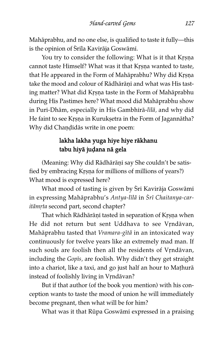Mahåprabhu, and no one else, is qualified to taste it fully—this is the opinion of Śrila Kavirāja Goswāmi.

You try to consider the following: What is it that Krsna cannot taste Himself? What was it that Krsna wanted to taste, that He appeared in the Form of Mahāprabhu? Why did Krṣṇa take the mood and colour of Rādhārānī and what was His tasting matter? What did Krsna taste in the Form of Mahāprabhu during His Pastimes here? What mood did Mahåprabhu show in Puri-Dhām, especially in His Gambhīrā-līlā, and why did He faint to see Krsna in Kuruksetra in the Form of Jagannātha? Why did Chandidās write in one poem:

# lakha lakha yuga hiye hiye råkhanu tabu hiyā judana nā gela

(Meaning: Why did Rādhārāņī say She couldn't be satisfied by embracing Krsna for millions of millions of years?) What mood is expressed here?

What mood of tasting is given by Sri Kavirāja Goswāmī in expressing Mahāprabhu's Antya-līlā in Śrī Chaitanya-caritāmŗta second part, second chapter?

That which Rādhārāņī tasted in separation of Krsna when He did not return but sent Uddhava to see Vrndāvan, Mahāprabhu tasted that Vramara-gītā in an intoxicated way continuously for twelve years like an extremely mad man. If such souls are foolish then all the residents of Vrndāvan, including the Gopis, are foolish. Why didn't they get straight into a chariot, like a taxi, and go just half an hour to Mathurā instead of foolishly living in Vrndāvan?

But if that author (of the book you mention) with his conception wants to taste the mood of union he will immediately become pregnant, then what will be for him?

What was it that Rūpa Goswāmī expressed in a praising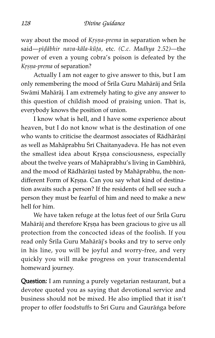way about the mood of Krsna-prema in separation when he said—pīḍābhir nava-kāla-kūṭa, etc. (C.c. Madhya 2.52)—the power of even a young cobra's poison is defeated by the Krsna-prema of separation?

Actually I am not eager to give answer to this, but I am only remembering the mood of Srila Guru Mahārāj and Srila Swāmī Mahārāj. I am extremely hating to give any answer to this question of childish mood of praising union. That is, everybody knows the position of union.

I know what is hell, and I have some experience about heaven, but I do not know what is the destination of one who wants to criticise the dearmost associates of Rādhārāṇī as well as Mahāprabhu Śrī Chaitanyadeva. He has not even the smallest idea about Krsna consciousness, especially about the twelve years of Mahāprabhu's living in Gambhīrā, and the mood of Rādhārāṇī tasted by Mahāprabhu, the nondifferent Form of Krsna. Can you say what kind of destination awaits such a person? If the residents of hell see such a person they must be fearful of him and need to make a new hell for him.

We have taken refuge at the lotus feet of our Srila Guru Mahārāj and therefore Krṣṇa has been gracious to give us all protection from the concocted ideas of the foolish. If you read only Srila Guru Mahārāj's books and try to serve only in his line, you will be joyful and worry-free, and very quickly you will make progress on your transcendental homeward journey.

Question: I am running a purely vegetarian restaurant, but a devotee quoted you as saying that devotional service and business should not be mixed. He also implied that it isn't proper to offer foodstuffs to Sri Guru and Gaurānga before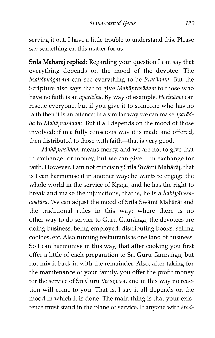serving it out. I have a little trouble to understand this. Please say something on this matter for us.

**Śrila Mahārāj replied:** Regarding your question I can say that everything depends on the mood of the devotee. The Mahåbhågavata can see everything to be Prasådam. But the Scripture also says that to give Mahåprasådam to those who have no faith is an aparådha. By way of example, Harinåma can rescue everyone, but if you give it to someone who has no faith then it is an offence; in a similar way we can make aparådha to Mahåprasådam. But it all depends on the mood of those involved: if in a fully conscious way it is made and offered, then distributed to those with faith—that is very good.

Mahåprasådam means mercy, and we are not to give that in exchange for money, but we can give it in exchange for faith. However, I am not criticising Śrila Swāmi Mahārāj, that is I can harmonise it in another way: he wants to engage the whole world in the service of Krṣṇa, and he has the right to break and make the injunctions, that is, he is a Saktyāvesaavatāra. We can adjust the mood of Śrila Swāmi Mahārāj and the traditional rules in this way: where there is no other way to do service to Guru-Gauråíga, the devotees are doing business, being employed, distributing books, selling cookies, etc. Also running restaurants is one kind of business. So I can harmonise in this way, that after cooking you first offer a little of each preparation to Sri Guru Gaurānga, but not mix it back in with the remainder. Also, after taking for the maintenance of your family, you offer the profit money for the service of Sri Guru Vaișnava, and in this way no reaction will come to you. That is, I say it all depends on the mood in which it is done. The main thing is that your existence must stand in the plane of service. If anyone with *śrad-*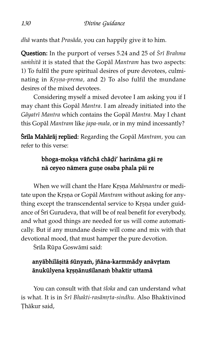dhå wants that Prasåda, you can happily give it to him.

Question: In the purport of verses 5.24 and 25 of Srī Brahma samhitā it is stated that the Gopāl Mantram has two aspects: 1) To fulfil the pure spiritual desires of pure devotees, culminating in Krsna-prema, and 2) To also fulfil the mundane desires of the mixed devotees.

Considering myself a mixed devotee I am asking you if I may chant this Gopål Mantra. I am already initiated into the Gāyatrī Mantra which contains the Gopāl Mantra. May I chant this Gopål Mantram like japa-mala, or in my mind incessantly?

Śrila Mahārāj replied: Regarding the Gopāl Mantram, you can refer to this verse:

# bhoga-mokṣa vāñchā chāḍi' harināma gāi re nā ceyeo nāmera guņe osaba phala pāi re

When we will chant the Hare Krsna Mahāmantra or meditate upon the Krsna or Gopāl Mantram without asking for anything except the transcendental service to Krsna under guidance of Sri Gurudeva, that will be of real benefit for everybody, and what good things are needed for us will come automatically. But if any mundane desire will come and mix with that devotional mood, that must hamper the pure devotion.

Śrīla Rūpa Goswāmī said:

# anyābhilāșitā śūnyam, jñāna-karmmādy anāvŗtam ānukūlyena krsņānuśīlanam bhaktir uttamā

You can consult with that *sloka* and can understand what is what. It is in Śrī Bhakti-rasāmṛta-sindhu. Also Bhaktivinod Thākur said,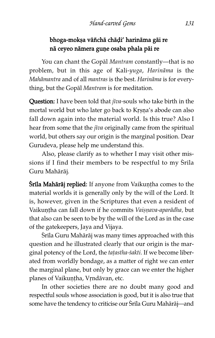# bhoga-mokșa vāñchā chāḍi' harināma gāi re nā ceyeo nāmera guņe osaba phala pāi re

You can chant the Gopål Mantram constantly—that is no problem, but in this age of Kali-yuga, Harinåma is the Mahåmantra and of all mantras is the best. Harinåma is for everything, but the Gopål Mantram is for meditation.

Question: I have been told that jiva-souls who take birth in the mortal world but who later go back to Krsna's abode can also fall down again into the material world. Is this true? Also I hear from some that the *jīva* originally came from the spiritual world, but others say our origin is the marginal position. Dear Gurudeva, please help me understand this.

Also, please clarify as to whether I may visit other missions if I find their members to be respectful to my  $S$ rila Guru Mahåråj.

**Śrila Mahārāj replied:** If anyone from Vaikuntha comes to the material worlds it is generally only by the will of the Lord. It is, however, given in the Scriptures that even a resident of Vaikuntha can fall down if he commits Vaisnava-aparādha, but that also can be seen to be by the will of the Lord as in the case of the gatekeepers, Jaya and Vijaya.

Śrīla Guru Mahārāj was many times approached with this question and he illustrated clearly that our origin is the marginal potency of the Lord, the tațastha-śakti. If we become liberated from worldly bondage, as a matter of right we can enter the marginal plane, but only by grace can we enter the higher planes of Vaikuntha, Vrndāvan, etc.

In other societies there are no doubt many good and respectful souls whose association is good, but it is also true that some have the tendency to criticise our Srila Guru Mahārāj—and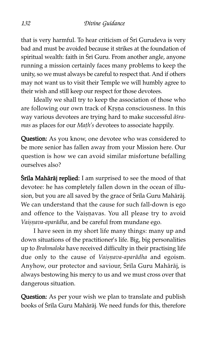that is very harmful. To hear criticism of Sri Gurudeva is very bad and must be avoided because it strikes at the foundation of spiritual wealth: faith in Śrī Guru. From another angle, anyone running a mission certainly faces many problems to keep the unity, so we must always be careful to respect that. And if others may not want us to visit their Temple we will humbly agree to their wish and still keep our respect for those devotees.

Ideally we shall try to keep the association of those who are following our own track of Krsna consciousness. In this way various devotees are trying hard to make successful āsramas as places for our Math's devotees to associate happily.

Question: As you know, one devotee who was considered to be more senior has fallen away from your Mission here. Our question is how we can avoid similar misfortune befalling ourselves also?

**Śrila Mahārāj replied:** I am surprised to see the mood of that devotee: he has completely fallen down in the ocean of illusion, but you are all saved by the grace of Srila Guru Mahārāj. We can understand that the cause for such fall-down is ego and offence to the Vaiṣṇavas. You all please try to avoid Vaișņava-aparādha, and be careful from mundane ego.

I have seen in my short life many things: many up and down situations of the practitioner's life. Big, big personalities up to Brahmaloka have received difficulty in their practising life due only to the cause of Vaișņava-aparādha and egoism. Anyhow, our protector and saviour, Śrila Guru Mahārāj, is always bestowing his mercy to us and we must cross over that dangerous situation.

Question: As per your wish we plan to translate and publish books of Śrila Guru Mahārāj. We need funds for this, therefore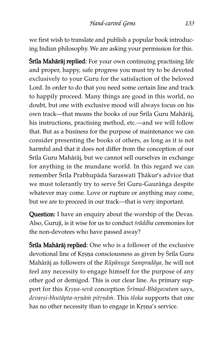we first wish to translate and publish a popular book introducing Indian philosophy. We are asking your permission for this.

**Śrila Mahārāj replied:** For your own continuing practising life and proper, happy, safe progress you must try to be devoted exclusively to your Guru for the satisfaction of the beloved Lord. In order to do that you need some certain line and track to happily proceed. Many things are good in this world, no doubt, but one with exclusive mood will always focus on his own track—that means the books of our Śrila Guru Mahārāj, his instructions, practising method, etc.—and we will follow that. But as a business for the purpose of maintenance we can consider presenting the books of others, as long as it is not harmful and that it does not differ from the conception of our Śrila Guru Mahārāj, but we cannot sell ourselves in exchange for anything in the mundane world. In this regard we can remember Śrīla Prabhupāda Saraswatī Țhākur's advice that we must tolerantly try to serve Sri Guru-Gaurānga despite whatever may come. Love or rupture or anything may come, but we are to proceed in our track—that is very important.

Question: I have an enquiry about the worship of the Devas. Also, Guruji, is it wise for us to conduct śrāddha ceremonies for the non-devotees who have passed away?

**Śrila Mahārāj replied:** One who is a follower of the exclusive devotional line of Krsna consciousness as given by Srila Guru Mahārāj as followers of the Rūpānuga Sampradāya, he will not feel any necessity to engage himself for the purpose of any other god or demigod. This is our clear line. As primary support for this Krsna-sevā conception Śrīmad-Bhāgavatam says, devarși-bhutāpta-nrņām pitrņām. This śloka supports that one has no other necessity than to engage in Krṣṇa's service.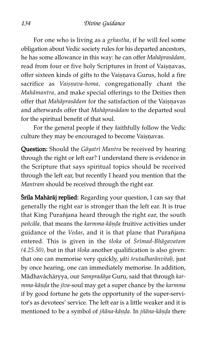For one who is living as a grhastha, if he will feel some obligation about Vedic society rules for his departed ancestors, he has some allowance in this way: he can offer Mahåprasådam, read from four or five holy Scriptures in front of Vaișnavas, offer sixteen kinds of gifts to the Vaisnava Gurus, hold a fire sacrifice as Vaisnava-homa, congregationally chant the Mahåmantra, and make special offerings to the Deities then offer that Mahāprasādam for the satisfaction of the Vaișnavas and afterwards offer that Mahåprasådam to the departed soul for the spiritual benefit of that soul.

For the general people if they faithfully follow the Vedic culture they may be encouraged to become Vaișņavas.

Question: Should the Gāyatrī Mantra be received by hearing through the right or left ear? I understand there is evidence in the Scripture that says spiritual topics should be received through the left ear, but recently I heard you mention that the Mantram should be received through the right ear.

**Śrila Mahārāj replied:** Regarding your question, I can say that generally the right ear is stronger than the left ear. It is true that King Purañjana heard through the right ear, the south pañcāla, that means the karmma-kāṇḍa fruitive activities under guidance of the Vedas, and it is that plane that Purañjana entered. This is given in the *sloka* of *Srīmad-Bhāgavatam*  $(4.25.50)$ , but in that  $sloka$  another qualification is also given: that one can memorise very quickly, yāti śrutadharānvitaḥ, just by once hearing, one can immediately memorise. In addition, Mådhavåchåryya, our Sampradåya Guru, said that through karmma-kāṇḍa the jīva-soul may get a super chance by the karmma if by good fortune he gets the opportunity of the super-servitor's as devotees' service. The left ear is a little weaker and it is mentioned to be a symbol of jñāna-kāṇḍa. In jñāna-kāṇḍa there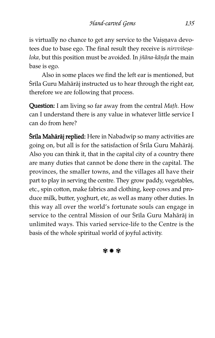is virtually no chance to get any service to the Vaișņava devotees due to base ego. The final result they receive is nirvvisesaloka, but this position must be avoided. In jñāna-kāņḍa the main base is ego.

Also in some places we find the left ear is mentioned, but Śrila Guru Mahārāj instructed us to hear through the right ear, therefore we are following that process.

Question: I am living so far away from the central Math. How can I understand there is any value in whatever little service I can do from here?

**Śrīla Mahārāj replied:** Here in Nabadwip so many activities are going on, but all is for the satisfaction of Srila Guru Mahārāj. Also you can think it, that in the capital city of a country there are many duties that cannot be done there in the capital. The provinces, the smaller towns, and the villages all have their part to play in serving the centre. They grow paddy, vegetables, etc., spin cotton, make fabrics and clothing, keep cows and produce milk, butter, yoghurt, etc, as well as many other duties. In this way all over the world's fortunate souls can engage in service to the central Mission of our Srila Guru Mahārāj in unlimited ways. This varied service-life to the Centre is the basis of the whole spiritual world of joyful activity.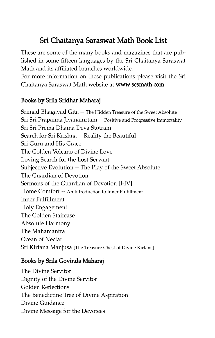# Sri Chaitanya Saraswat Math Book List

These are some of the many books and magazines that are published in some fifteen languages by the Sri Chaitanya Saraswat Math and its affiliated branches worldwide.

For more information on these publications please visit the Sri Chaitanya Saraswat Math website at www.scsmath.com.

# Books by Srila Sridhar Maharaj

Srimad Bhagavad Gita -- The Hidden Treasure of the Sweet Absolute Sri Sri Prapanna Jivanamrtam -- Positive and Progressive Immortality Sri Sri Prema Dhama Deva Stotram Search for Sri Krishna -- Reality the Beautiful Sri Guru and His Grace The Golden Volcano of Divine Love Loving Search for the Lost Servant Subjective Evolution -- The Play of the Sweet Absolute The Guardian of Devotion Sermons of the Guardian of Devotion [I-IV] Home Comfort -- An Introduction to Inner Fulfillment Inner Fulfillment Holy Engagement The Golden Staircase Absolute Harmony The Mahamantra Ocean of Nectar Sri Kirtana Manjusa [The Treasure Chest of Divine Kirtans]

# Books by Srila Govinda Maharaj

The Divine Servitor Dignity of the Divine Servitor Golden Reflections The Benedictine Tree of Divine Aspiration Divine Guidance Divine Message for the Devotees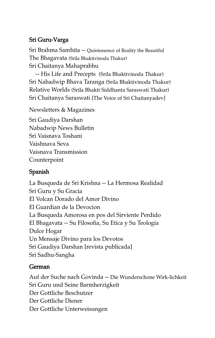# Sri Guru-Varga

Sri Brahma Samhita -- Quintessence of Reality the Beautiful The Bhagavata (Srila Bhaktivinoda Thakur) Sri Chaitanya Mahaprabhu

-- His Life and Precepts (Srila Bhaktivinoda Thakur) Sri Nabadwip Bhava Taranga (Srila Bhaktivinoda Thakur) Relative Worlds (Srila Bhakti Siddhanta Saraswati Thakur) Sri Chaitanya Saraswati [The Voice of Sri Chaitanyadev]

Newsletters & Magazines

Sri Gaudiya Darshan Nabadwip News Bulletin Sri Vaisnava Toshani Vaishnava Seva Vaisnava Transmission Counterpoint

## Spanish

La Busqueda de Sri Krishna -- La Hermosa Realidad Sri Guru y Su Gracia El Volcan Dorado del Amor Divino El Guardian de la Devocion La Busqueda Amorosa en pos del Sirviente Perdido El Bhagavata -- Su Filosofia, Su Etica y Su Teologia Dulce Hogar Un Mensaje Divino para los Devotos Sri Gaudiya Darshan [revista publicada] Sri Sadhu-Sangha

## German

Auf der Suche nach Govinda -- Die Wunderschone Wirk-lichkeit Sri Guru und Seine Barmherzigkeit Der Gottliche Beschutzer Der Gottliche Diener Der Gottliche Unterweisungen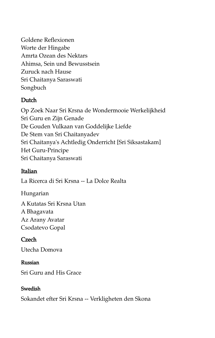Goldene Reflexionen Worte der Hingabe Amrta Ozean des Nektars Ahimsa, Sein und Bewusstsein Zuruck nach Hause Sri Chaitanya Saraswati Songbuch

## Dutch

Op Zoek Naar Sri Krsna de Wondermooie Werkelijkheid Sri Guru en Zijn Genade De Gouden Vulkaan van Goddelijke Liefde De Stem van Sri Chaitanyadev Sri Chaitanya's Achtledig Onderricht [Sri Siksastakam] Het Guru-Principe Sri Chaitanya Saraswati

## Italian

La Ricerca di Sri Krsna -- La Dolce Realta

Hungarian

A Kutatas Sri Krsna Utan A Bhagavata Az Arany Avatar Csodatevo Gopal

## **Czech**

Utecha Domova

## Russian

Sri Guru and His Grace

## Swedish

Sokandet efter Sri Krsna -- Verkligheten den Skona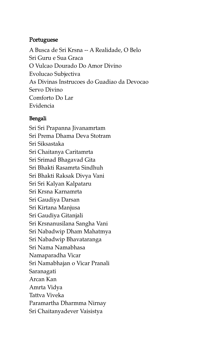## Portuguese

A Busca de Sri Krsna -- A Realidade, O Belo Sri Guru e Sua Graca O Vulcao Dourado Do Amor Divino Evolucao Subjectiva As Divinas Instrucoes do Guadiao da Devocao Servo Divino Comforto Do Lar Evidencia

## Bengali

Sri Sri Prapanna Jivanamrtam Sri Prema Dhama Deva Stotram Sri Siksastaka Sri Chaitanya Caritamrta Sri Srimad Bhagavad Gita Sri Bhakti Rasamrta Sindhuh Sri Bhakti Raksak Divya Vani Sri Sri Kalyan Kalpataru Sri Krsna Karnamrta Sri Gaudiya Darsan Sri Kirtana Manjusa Sri Gaudiya Gitanjali Sri Krsnanusilana Sangha Vani Sri Nabadwip Dham Mahatmya Sri Nabadwip Bhavataranga Sri Nama Namabhasa Namaparadha Vicar Sri Namabhajan o Vicar Pranali Saranagati Arcan Kan Amrta Vidya Tattva Viveka Paramartha Dharmma Nirnay Sri Chaitanyadever Vaisistya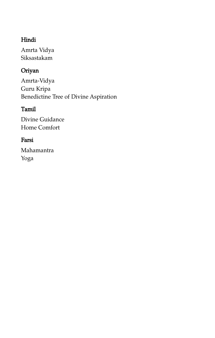# Hindi

Amrta Vidya Siksastakam

# Oriyan

Amrta-Vidya Guru Kripa Benedictine Tree of Divine Aspiration

# Tamil

Divine Guidance Home Comfort

# Farsi

Mahamantra Yoga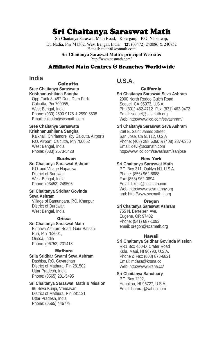# Sri Chaitanya Saraswat Math

Sri Chaitanya Saraswat Math Road, Kolerganj, P.O. Nabadwip, Dt. Nadia, Pin 741302, West Bengal, India **□**: (03472) 240086 & 240752 E-mail: math@scsmath.com

> **Sri Chaitanya Saraswat Math's principal Web site:**  http://www.scsmath.com/

### Affiliated Main Centres & Branches Worldwide

## **India**

### **Calcutta**

**Sree Chaitanya Saraswata Krishnanushilana Sangha** Opp. Tank 3, 487 Dum Dum Park Calcutta, Pin 700055,

West Bengal, India Phone: (033) 2590 9175 & 2590 6508 Email: calcutta@scsmath.com

#### **Sree Chaitanya Saraswata Krishnanushilana Sangha**

Kaikhali, Chiriamore (by Calcutta Airport) P.O. Airport, Calcutta, Pin 700052 West Bengal, India Phone: (033) 2573-5428

#### **Burdwan**

### **Sri Chaitanya Saraswat Ashram**

P.O. and Village Hapaniya District of Burdwan West Bengal, India Phone: (03453) 249505

#### **Sri Chaitanya Sridhar Govinda Seva Ashram**

Village of Bamunpara, P.O. Khanpur District of Burdwan West Bengal, India

#### **Orissa**

**Sri Chaitanya Saraswat Math** Bidhava Ashram Road, Gaur Batsahi Puri, Pin 752001, Orissa, India Phone: (06752) 231413

#### **Mathura**

**Srila Sridhar Swami Seva Ashram** Dasbisa, P.O. Govardhan District of Mathura, Pin 281502 Uttar Pradesh, India Phone: (0565) 281-5495

# **Sri Chaitanya Saraswat Math & Mission**

96 Seva Kunja, Vrindavan District of Mathura, Pin 281121 Uttar Pradesh, India Phone: (0565) 446778

## **U.S.A.**

**California Sri Chaitanya Saraswat Seva Ashram** 2900 North Rodeo Gulch Road Soquel, CA 95073, U.S.A. Ph: (831) 462-4712 Fax: (831) 462-9472 Email: soquel@scsmath.org Web: http://www.lcd.com/sevashram/

#### **Sri Chaitanya Saraswat Seva Ashram**

269 E. Saint James Street San Jose, Ca 95112, U.S.A Phone: (408) 288 6360 & (408) 287-6360 Email: devi@scsmath.com http://www.lcd.com/sevashram/sanjose

#### **New York**

#### **Sri Chaitanya Saraswat Math**

P.O. Box 311, Oaklyn NJ, U.S.A. Phone: (856) 962-8888 Fax: (856) 962-0894 Email: bkgiri@scsmath.com Web: http://www.scsmathny.org and: http://www.scxmathnj.org

#### **Oregon**

#### **Sri Chaitanya Saraswat Ashram** 755 N. Bertelsen Ave. Eugene, OR 97402 Phone: (541) 687-1093 email: oregon@scsmath.org

#### **Hawaii**

#### **Sri Chaitanya Sridhar Govinda Mission**

RR1 Box 450-D, Crater Road Kula, Maui, HI 96790, U.S.A. Phone & Fax: (808) 878-6821 Email: mdasa@krsna.cc Web: http://www.krsna.cc/

#### **Sri Chaitanya Sanctuary**

P.O. Box 1292, Honokaa, HI 96727, U.S.A. Email: bororaj@yahoo.com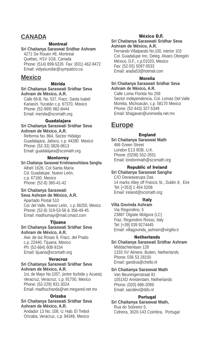## **CANADA**

#### **Montreal**

**Sri Chaitanya Saraswat Sridhar Ashram** 4271 De Rouen #8, Montreal Quebec, H1V 1G8, Canada Phone: (514) 899-5226 Fax: (831) 462-9472 Email: vidyasundar@sympatico.ca

## **Mexico**

**Mérida**

**Sri Chaitanya Saraswati Sridhar Seva Ashram de México, A.R.**

Calle 69-B, No. 537, Fracc. Santa Isabel Kanasín, Yucatán c.p. 97370, Mexico Phone: (52-999) 982-8444 Email: merida@scsmath.org

#### **Guadalajara**

**Sri Chaitanya Saraswati Sridhar Seva Ashram de México, A.R.**

Reforma No. 864, Sector Hidalgo Guadalajara, Jalisco, c.p. 44280 Mexico Phone: (52-33) 3826-9613 Email: guadalajara@scsmath.org

#### **Monterrey**

**Sri Chaitanya Saraswat Krishnanushilana Sangha** Alhelí 1628, Col Santa María Cd. Guadalupe, Nuevo León, c.p. 67160, Mexico Phone: (52-8) 360-41-42

#### **Sri Chaitanya Saraswati Seva Ashram de México, A.R.**

Apartado Postal 510 Col. del Valle, Nuevo León, c.p. 66250, Mexico Phone: (52-8) 319-53-58 & 356-49-45 Email: madhumayi@mail.cmact.com

#### **Tijuana**

#### **Sri Chaitanya Saraswati Sridhar Seva Ashram de México, A.R.**

Ave. de las Rosas 9, Fracc. del Prado c.p. 22440, Tijuana, Mexico Ph: (52-664) 608-9154 Email: tijuana@scsmath.org

#### **Veracruz**

#### **Sri Chaitanya Saraswati Sridhar Seva Ashram de México, A.R.**

1ro. de Mayo No.1057, (entre Iturbide y Azueta) Veracruz, Veracruz, c.p. 91700, Mexico Phone: (52-229) 931-3024 Email: madhuchanda@ver.megared.net.mx

#### **Orizaba**

#### **Sri Chaitanya Saraswati Sridhar Seva Ashram de México, A.R.**

Andador 13 No. 108, U. Hab. El Trebol Orizaba, Veracruz, c.p. 94348, Mexico

#### **México D.F.**

## **Sri Chaitanya Saraswati Sridhar Seva**

**Ashram de México, A.R.** Fernando Villalpando No.100, interior 103 Col. Guadalupe Inn, Deleg. Alvaro Obregón México, D.F., c.p.01020, Mexico Fax: (52-55) 5097-0533

### **Morelia**

Email: aradia53@hotmail.com

**Sri Chaitanya Saraswati Sridhar Seva Ashram de México, A.R.** Calle Loma Florida No 258 Sector Independencia, Col. Lomas Del Valle Morelia, Michoacán, c.p. 58170 Mexico

Phone: (52-443) 327-5349 Email: bhagavan@unimedia.net.mx

## **Europe**

#### **England**

**Sri Chaitanya Saraswat Math** 466 Green Street London E13 9DB, U.K. Phone: (0208) 552-3551 Email: londonmath@scsmath.org

### **Republic of Ireland**

### **Sri Chaitanya Saraswat Sangha**

C/O Devaswarupa Das 14 marks Alley off Francis St., Dublin 8, Eire Tel: [+353] 1 454 5208 Email: ireland@scsmath.org

### **Italy**

**Villa Govinda Ashram** Via Regondino, 5 23887 Olgiate Molgora (LC) Fraz. Regondino Rosso, Italy Tel: [+39] 039 9274445 Email: villagovinda\_ashram@virgilio.it

#### **Netherlands**

**Sri Chaitanya Saraswati Sridhar Ashram** Middachtenlaan 128 1333 XV Almere, Buiten, Netherlands Phone: 036 53 28150 Email: gandiva@chello.nl

### **Sri Chaitanya Saraswat Math**

Van Beuningenstraat 81 1051XD Amsterdam, Netherlands Phone: (020) 686-2099 Email: sacidevi@dds.nl

### **Portugal**

**Sri Chaitanya Saraswat Math,** Rua do Sobreiro 5, Cidreira, 3020-143 Coimbra, Portugal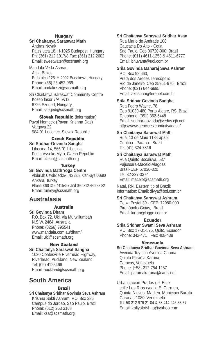#### **Hungary Sri Chaitanya Saraswat Math**

Andras Novak Pajzs utca 18. H-1025 Budapest, Hungary Ph: (361) 212 1917/8 Fax: (361) 212 2602 Email: sweetwater@scsmath.org

Mandala-Veda Ashram Attila Bakos Erdo utca 126. H-2092 Budakeszi, Hungary Phone: (36) 23-452-969 Email: budakeszi@scsmath.org

Sri Chaitanya Saraswat Community Centre Kozep fasor 7/A IV/12 6726 Szeged, Hungary Email: szeged@scsmath.org

**Slovak Republic (information)** Pavol Nemcek (Pavan Krishna Das) Vargova 22 984 01 Lucenec, Slovak Republic

### **Czech Republic**

**Sri Sridhar-Govinda Sangha** Libecina 14, 566 01 Libecina Posta Vysoke Myto, Czech Republic Email: czech@scsmath.org

### **Turkey**

**Sri Govinda Math Yoga Centre** Abdullah Cevdet sokak, No 33/8, Cankaya 06690 Ankara, Turkey Phone: 090 312 4415857 and 090 312 440 88 82 Email: turkey@scsmath.org

## **Australasia**

#### **Australia**

**Sri Govinda Dham** P.O. Box 72, Uki, via Murwillumbah N.S.W. 2484, Australia Phone: (0266) 795541 www.mandala.com.au/dham/ Email: uki@scsmath.org

#### **New Zealand**

**Sri Chaitanya Saraswat Sangha**

1030 Coatesville Riverhead Highway, Riverhead, Auckland, New Zealand. Tel: (09) 4125466 Email: auckland@scsmath.org

# **South America**

#### **Brazil**

**Sri Chaitanya Sridhar Govinda Seva Ashram** Krishna Sakti Ashram, P.O. Box 386 Campus do Jordao, Sao Paulo, Brazil Phone: (012) 263 3168 Email: ksa@scsmath.org

### **Sri Chaitanya Saraswat Sridhar Asan**

Rua Mario de Andrade 108, Caucacia Do Alto - Cotia Sao Paulo, Cep 06720-000, Brazil Phone: (011) 4611-1253 & 4611-6777 Email: bhuvana@uol.com.br

#### **Srila Govinda Maharaj Seva Ashram** P.O. Box 92.660, Prata dos Aredes Teresópolis Rio de Janeiro, Cep 25951-970, Brazil

Phone: (021) 644-6695 Email: akrishna@terenet.com.br

### **Srila Sridhar Govinda Sangha**

Rua Pedro Wayne, 78, Cep 91030-480 Porto Alegre, RS, Brazil Telephone: (051) 362-6448 Email: sridhar-govinda@vedas.cjb.net http://www.geocities.com/nityadasa/

#### **Sri Chaitanya Saraswat Math**

Rua: 13 de Maio 1184 ap.02 Curitiba - Parana - Brazil Tel: (41) 324-7816

### **Sri Chaitanya Saraswat Math**

Rua Quinto Bocaiuva, 537 Pajussara-Maceio-Alagoas Brasil-CEP 57030-320 Tel: 82-337-3374 Email: maceio@scsmath.org

Natal, RN, Eastern tip of Brazil: Information: Email: divya@bol.com.br

#### **Sri Chaitanya Saraswat Ashram**

Caixa Postal 39 - CEP: 72980-000 Pirenópolis-Goiás, Brasil Email: kirtan@loggo.com.br

#### **Ecuador**

**Srila Sridhar Swami Seva Ashram** P.O. Box 17-01-576, Quito, Ecuador Phone: 342-471 Fax: 408-439

### **Venezuela**

**Sri Chaitanya Sridhar Govinda Seva Ashram** Avenida Tuy con Avenida Chama Quinta Parama Karuna Caracas, Venezuela Phone: [+58} 212-754 1257 Email: paramakaruna@cantv.net

Urbanización Prados del Este calle Los Ríos c/calle El Carmen, Quinta Nieves, Madlen. Municipio Baruta. Caracas 1080. Venezuela Tel: 58 212 976 21 04 & 58 414 246 35 57 Email: kaliyakrishna@yahoo.com